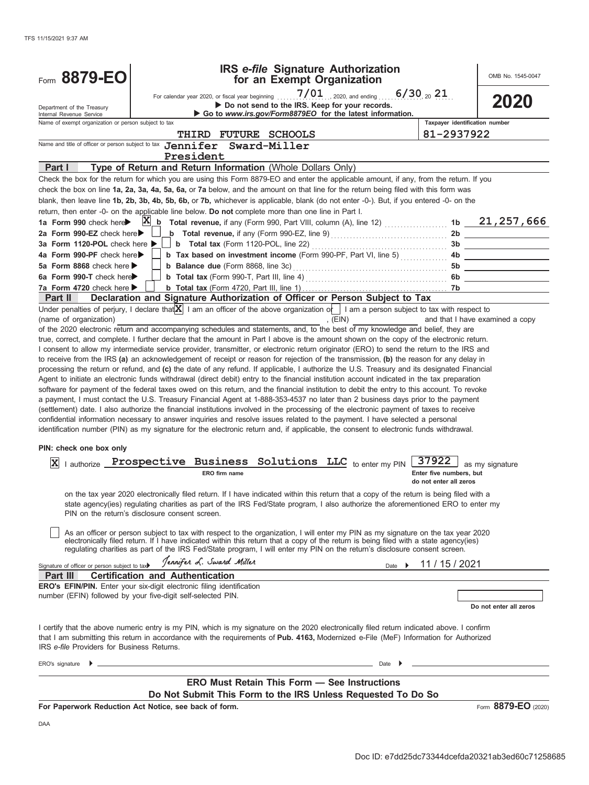DAA

| Form 8879-EO                                                                     | <b>IRS e-file Signature Authorization</b><br>for an Exempt Organization                                                                                                                                                                                                                                                                                                                                                                                                                                                                                                                                                                                                                                                                                                                                                                                                                                                                                                                         |                                                   | OMB No. 1545-0047        |
|----------------------------------------------------------------------------------|-------------------------------------------------------------------------------------------------------------------------------------------------------------------------------------------------------------------------------------------------------------------------------------------------------------------------------------------------------------------------------------------------------------------------------------------------------------------------------------------------------------------------------------------------------------------------------------------------------------------------------------------------------------------------------------------------------------------------------------------------------------------------------------------------------------------------------------------------------------------------------------------------------------------------------------------------------------------------------------------------|---------------------------------------------------|--------------------------|
| Department of the Treasury                                                       | Do not send to the IRS. Keep for your records.<br>Go to www.irs.gov/Form8879EO for the latest information.                                                                                                                                                                                                                                                                                                                                                                                                                                                                                                                                                                                                                                                                                                                                                                                                                                                                                      |                                                   | 2020                     |
| Internal Revenue Service<br>Name of exempt organization or person subject to tax |                                                                                                                                                                                                                                                                                                                                                                                                                                                                                                                                                                                                                                                                                                                                                                                                                                                                                                                                                                                                 | Taxpayer identification number                    |                          |
|                                                                                  | THIRD FUTURE SCHOOLS                                                                                                                                                                                                                                                                                                                                                                                                                                                                                                                                                                                                                                                                                                                                                                                                                                                                                                                                                                            | 81-2937922                                        |                          |
|                                                                                  | Name and title of officer or person subject to tax Jennifer Sward-Miller                                                                                                                                                                                                                                                                                                                                                                                                                                                                                                                                                                                                                                                                                                                                                                                                                                                                                                                        |                                                   |                          |
|                                                                                  | President                                                                                                                                                                                                                                                                                                                                                                                                                                                                                                                                                                                                                                                                                                                                                                                                                                                                                                                                                                                       |                                                   |                          |
| Part I                                                                           | Type of Return and Return Information (Whole Dollars Only)                                                                                                                                                                                                                                                                                                                                                                                                                                                                                                                                                                                                                                                                                                                                                                                                                                                                                                                                      |                                                   |                          |
|                                                                                  | Check the box for the return for which you are using this Form 8879-EO and enter the applicable amount, if any, from the return. If you                                                                                                                                                                                                                                                                                                                                                                                                                                                                                                                                                                                                                                                                                                                                                                                                                                                         |                                                   |                          |
|                                                                                  | check the box on line 1a, 2a, 3a, 4a, 5a, 6a, or 7a below, and the amount on that line for the return being filed with this form was                                                                                                                                                                                                                                                                                                                                                                                                                                                                                                                                                                                                                                                                                                                                                                                                                                                            |                                                   |                          |
|                                                                                  | blank, then leave line 1b, 2b, 3b, 4b, 5b, 6b, or 7b, whichever is applicable, blank (do not enter -0-). But, if you entered -0- on the                                                                                                                                                                                                                                                                                                                                                                                                                                                                                                                                                                                                                                                                                                                                                                                                                                                         |                                                   |                          |
|                                                                                  | return, then enter -0- on the applicable line below. Do not complete more than one line in Part I.                                                                                                                                                                                                                                                                                                                                                                                                                                                                                                                                                                                                                                                                                                                                                                                                                                                                                              |                                                   |                          |
| 1a Form 990 check here                                                           | $X_{n}$ Total revenue, if any (Form 990, Part VIII, column (A), line 12)  1b $21,257,666$                                                                                                                                                                                                                                                                                                                                                                                                                                                                                                                                                                                                                                                                                                                                                                                                                                                                                                       |                                                   |                          |
| 2a Form 990-EZ check here▶                                                       | <b>b</b> Total revenue, if any (Form 990-EZ, line 9) $\ldots$ $\ldots$ $\ldots$ $\ldots$ $\ldots$ $\ldots$                                                                                                                                                                                                                                                                                                                                                                                                                                                                                                                                                                                                                                                                                                                                                                                                                                                                                      |                                                   | 2b                       |
| 3a Form 1120-POL check here ▶                                                    | <b>b</b> Total tax (Form 1120-POL, line 22) <b>contained</b> $\frac{1}{2}$                                                                                                                                                                                                                                                                                                                                                                                                                                                                                                                                                                                                                                                                                                                                                                                                                                                                                                                      |                                                   |                          |
| 4a Form 990-PF check here▶                                                       | <b>b Tax based on investment income</b> (Form 990-PF, Part VI, line 5)                                                                                                                                                                                                                                                                                                                                                                                                                                                                                                                                                                                                                                                                                                                                                                                                                                                                                                                          |                                                   |                          |
| 5a Form 8868 check here $\blacktriangleright$                                    |                                                                                                                                                                                                                                                                                                                                                                                                                                                                                                                                                                                                                                                                                                                                                                                                                                                                                                                                                                                                 |                                                   | 5b _____________________ |
| 6a Form 990-T check here                                                         |                                                                                                                                                                                                                                                                                                                                                                                                                                                                                                                                                                                                                                                                                                                                                                                                                                                                                                                                                                                                 |                                                   | 6b                       |
| 7a Form 4720 check here $\blacktriangleright$                                    |                                                                                                                                                                                                                                                                                                                                                                                                                                                                                                                                                                                                                                                                                                                                                                                                                                                                                                                                                                                                 |                                                   |                          |
| Part II                                                                          | Declaration and Signature Authorization of Officer or Person Subject to Tax                                                                                                                                                                                                                                                                                                                                                                                                                                                                                                                                                                                                                                                                                                                                                                                                                                                                                                                     |                                                   |                          |
| (name of organization)                                                           | Under penalties of perjury, I declare that $\mathbf{X}$ I am an officer of the above organization of I am a person subject to tax with respect to<br>, (EIN) and that I have examined a copy<br>of the 2020 electronic return and accompanying schedules and statements, and, to the best of my knowledge and belief, they are                                                                                                                                                                                                                                                                                                                                                                                                                                                                                                                                                                                                                                                                  |                                                   |                          |
|                                                                                  | processing the return or refund, and (c) the date of any refund. If applicable, I authorize the U.S. Treasury and its designated Financial<br>Agent to initiate an electronic funds withdrawal (direct debit) entry to the financial institution account indicated in the tax preparation<br>software for payment of the federal taxes owed on this return, and the financial institution to debit the entry to this account. To revoke<br>a payment, I must contact the U.S. Treasury Financial Agent at 1-888-353-4537 no later than 2 business days prior to the payment<br>(settlement) date. I also authorize the financial institutions involved in the processing of the electronic payment of taxes to receive<br>confidential information necessary to answer inquiries and resolve issues related to the payment. I have selected a personal<br>identification number (PIN) as my signature for the electronic return and, if applicable, the consent to electronic funds withdrawal. |                                                   |                          |
| PIN: check one box only                                                          |                                                                                                                                                                                                                                                                                                                                                                                                                                                                                                                                                                                                                                                                                                                                                                                                                                                                                                                                                                                                 |                                                   |                          |
| $\overline{\mathbf{z}}$<br>ᅀ                                                     | I authorize Prospective Business Solutions LLC to enter my PIN 37922 as my signature<br>ERO firm name                                                                                                                                                                                                                                                                                                                                                                                                                                                                                                                                                                                                                                                                                                                                                                                                                                                                                           | Enter five numbers, but<br>do not enter all zeros |                          |
|                                                                                  | on the tax year 2020 electronically filed return. If I have indicated within this return that a copy of the return is being filed with a<br>state agency(ies) regulating charities as part of the IRS Fed/State program, I also authorize the aforementioned ERO to enter my<br>PIN on the return's disclosure consent screen.                                                                                                                                                                                                                                                                                                                                                                                                                                                                                                                                                                                                                                                                  |                                                   |                          |
|                                                                                  | As an officer or person subject to tax with respect to the organization, I will enter my PIN as my signature on the tax year 2020<br>electronically filed return. If I have indicated within this return that a copy of the return is being filed with a state agency(ies)<br>regulating charities as part of the IRS Fed/State program, I will enter my PIN on the return's disclosure consent screen.                                                                                                                                                                                                                                                                                                                                                                                                                                                                                                                                                                                         |                                                   |                          |
| Signature of officer or person subject to tax                                    | Jennifer L. Sward Miller<br>Date $\rightarrow$                                                                                                                                                                                                                                                                                                                                                                                                                                                                                                                                                                                                                                                                                                                                                                                                                                                                                                                                                  | 11 / 15 / 2021                                    |                          |
| Part III                                                                         | <b>Certification and Authentication</b>                                                                                                                                                                                                                                                                                                                                                                                                                                                                                                                                                                                                                                                                                                                                                                                                                                                                                                                                                         |                                                   |                          |
|                                                                                  | <b>ERO's EFIN/PIN.</b> Enter your six-digit electronic filing identification                                                                                                                                                                                                                                                                                                                                                                                                                                                                                                                                                                                                                                                                                                                                                                                                                                                                                                                    |                                                   |                          |
|                                                                                  | number (EFIN) followed by your five-digit self-selected PIN.                                                                                                                                                                                                                                                                                                                                                                                                                                                                                                                                                                                                                                                                                                                                                                                                                                                                                                                                    |                                                   |                          |
|                                                                                  |                                                                                                                                                                                                                                                                                                                                                                                                                                                                                                                                                                                                                                                                                                                                                                                                                                                                                                                                                                                                 |                                                   | Do not enter all zeros   |
| IRS e-file Providers for Business Returns.                                       | I certify that the above numeric entry is my PIN, which is my signature on the 2020 electronically filed return indicated above. I confirm<br>that I am submitting this return in accordance with the requirements of Pub. 4163, Modernized e-File (MeF) Information for Authorized                                                                                                                                                                                                                                                                                                                                                                                                                                                                                                                                                                                                                                                                                                             |                                                   |                          |
| ERO's signature                                                                  | <u> 1980 - Jan Samuel Barbara, poeta estable</u><br>Date $\rightarrow$                                                                                                                                                                                                                                                                                                                                                                                                                                                                                                                                                                                                                                                                                                                                                                                                                                                                                                                          |                                                   |                          |
|                                                                                  |                                                                                                                                                                                                                                                                                                                                                                                                                                                                                                                                                                                                                                                                                                                                                                                                                                                                                                                                                                                                 |                                                   |                          |
|                                                                                  | <b>ERO Must Retain This Form - See Instructions</b><br>Do Not Submit This Form to the IRS Unless Requested To Do So                                                                                                                                                                                                                                                                                                                                                                                                                                                                                                                                                                                                                                                                                                                                                                                                                                                                             |                                                   |                          |
|                                                                                  | For Paperwork Reduction Act Notice, see back of form.                                                                                                                                                                                                                                                                                                                                                                                                                                                                                                                                                                                                                                                                                                                                                                                                                                                                                                                                           |                                                   | Form 8879-EO (2020)      |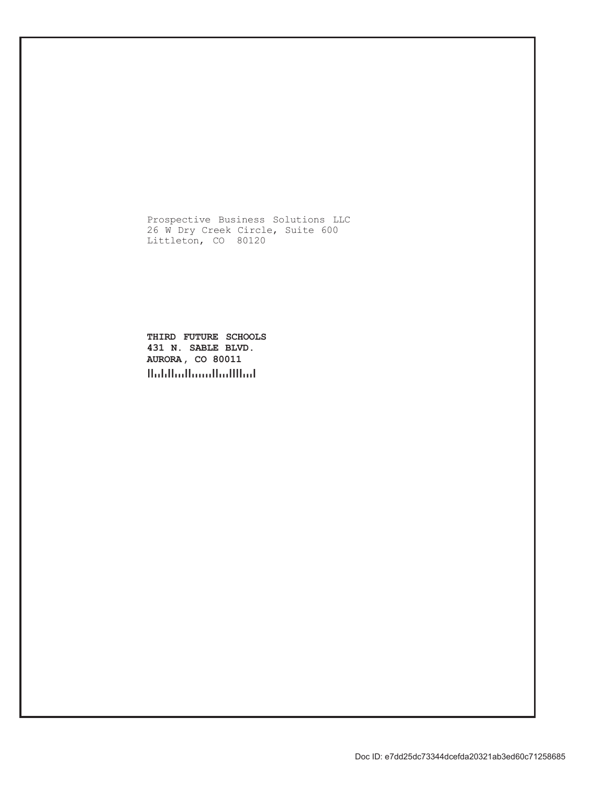Prospective Business Solutions LLC 26 W Dry Creek Circle, Suite 600 Littleton, CO 80120

**THIRD FUTURE SCHOOLS 431 N. SABLE BLVD. AURORA, CO 80011** Hablhallmanlladlllad.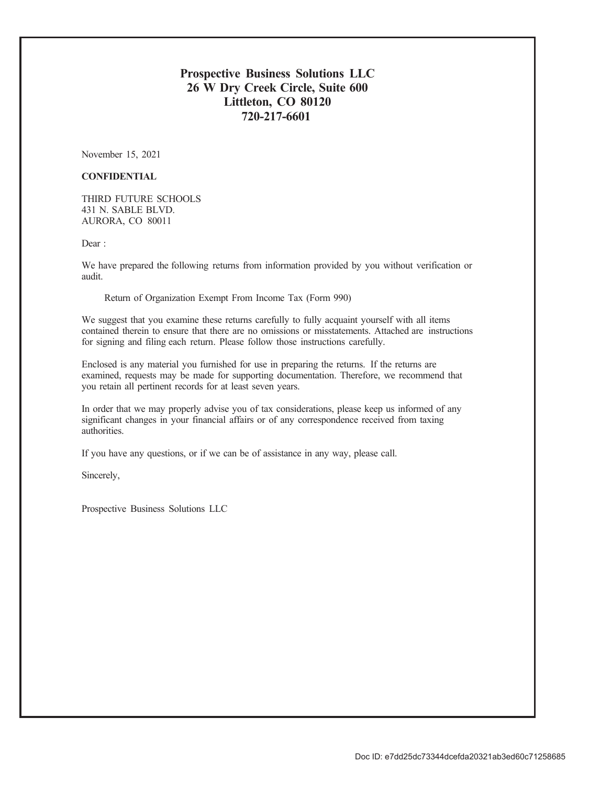# **Prospective Business Solutions LLC 26 W Dry Creek Circle, Suite 600 Littleton, CO 80120 720-217-6601**

November 15, 2021

## **CONFIDENTIAL**

THIRD FUTURE SCHOOLS 431 N. SABLE BLVD. AURORA, CO 80011

Dear:

We have prepared the following returns from information provided by you without verification or audit.

Return of Organization Exempt From Income Tax (Form 990)

We suggest that you examine these returns carefully to fully acquaint yourself with all items contained therein to ensure that there are no omissions or misstatements. Attached are instructions for signing and filing each return. Please follow those instructions carefully.

Enclosed is any material you furnished for use in preparing the returns. If the returns are examined, requests may be made for supporting documentation. Therefore, we recommend that you retain all pertinent records for at least seven years.

In order that we may properly advise you of tax considerations, please keep us informed of any significant changes in your financial affairs or of any correspondence received from taxing authorities.

If you have any questions, or if we can be of assistance in any way, please call.

Sincerely,

Prospective Business Solutions LLC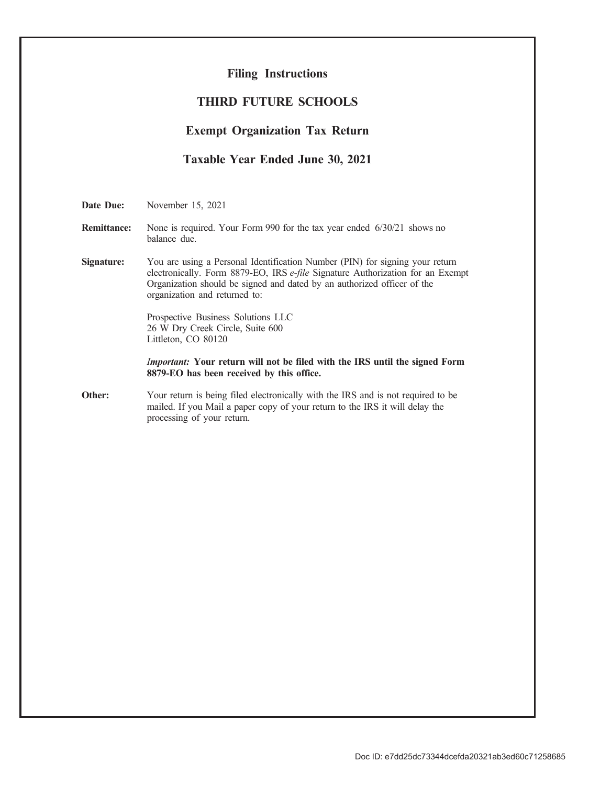# **Filing Instructions**

# **THIRD FUTURE SCHOOLS**

# **Exempt Organization Tax Return**

## **Taxable Year Ended June 30, 2021**

**Date Due:** November 15, 2021

- **Remittance:** None is required. Your Form 990 for the tax year ended  $6/30/21$  shows no balance due.
- **Signature:** You are using a Personal Identification Number (PIN) for signing your return electronically. Form 8879-EO, IRS *e-file* Signature Authorization for an Exempt Organization should be signed and dated by an authorized officer of the organization and returned to:

Prospective Business Solutions LLC 26 W Dry Creek Circle, Suite 600 Littleton, CO 80120

*Important:* **Your return will not be filed with the IRS until the signed Form 8879-EO has been received by this office.**

**Other:** Your return is being filed electronically with the IRS and is not required to be mailed. If you Mail a paper copy of your return to the IRS it will delay the processing of your return.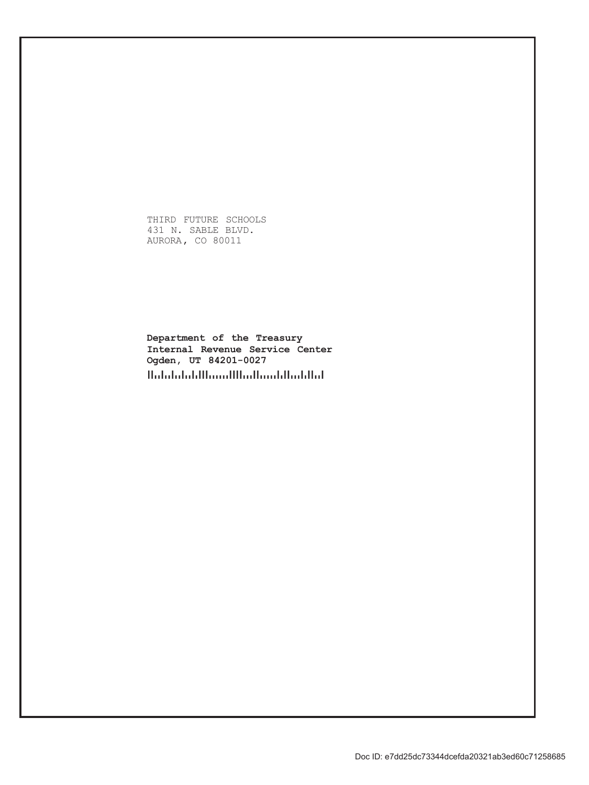THIRD FUTURE SCHOOLS 431 N. SABLE BLVD. AURORA, CO 80011

**Department of the Treasury Internal Revenue Service Center Ogden, UT 84201-0027** llabdabddllaadllbadamddladdlaf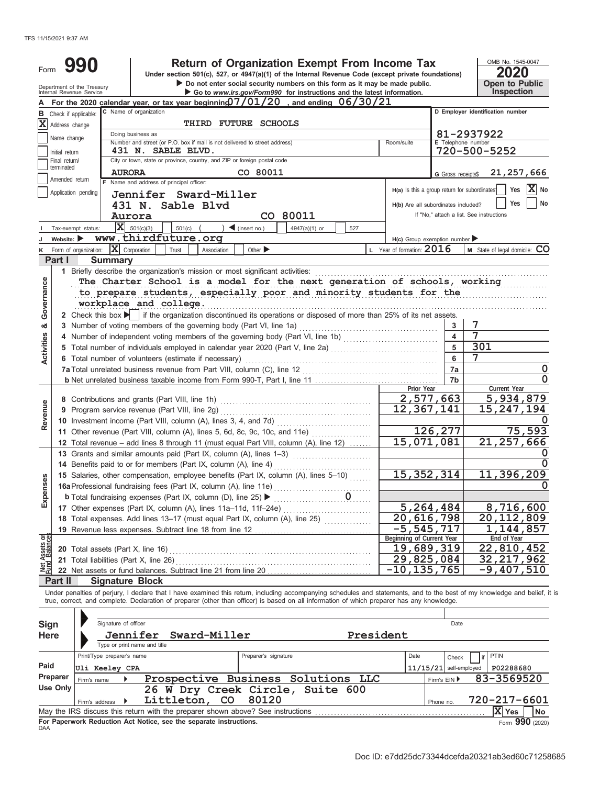| Form                           |                                                         |                                     |                                                                                                 | <b>Return of Organization Exempt From Income Tax</b><br>Under section 501(c), 527, or 4947(a)(1) of the Internal Revenue Code (except private foundations)<br>Do not enter social security numbers on this form as it may be made public.                                                                                |           |                                                              |                                          | OMB No. 1545-0047<br>2020<br><b>Open to Public</b> |
|--------------------------------|---------------------------------------------------------|-------------------------------------|-------------------------------------------------------------------------------------------------|--------------------------------------------------------------------------------------------------------------------------------------------------------------------------------------------------------------------------------------------------------------------------------------------------------------------------|-----------|--------------------------------------------------------------|------------------------------------------|----------------------------------------------------|
|                                | Department of the Treasury<br>Internal Revenue Service  |                                     |                                                                                                 | Go to www.irs.gov/Form990 for instructions and the latest information.                                                                                                                                                                                                                                                   |           |                                                              |                                          | <b>Inspection</b>                                  |
|                                |                                                         |                                     |                                                                                                 | For the 2020 calendar year, or tax year beginning $07/01/20$ , and ending $06/30/21$                                                                                                                                                                                                                                     |           |                                                              |                                          |                                                    |
| в                              | Check if applicable:                                    |                                     | C Name of organization                                                                          |                                                                                                                                                                                                                                                                                                                          |           |                                                              |                                          | D Employer identification number                   |
| $ \mathbf{x} $                 | Address change                                          |                                     |                                                                                                 | THIRD FUTURE SCHOOLS                                                                                                                                                                                                                                                                                                     |           |                                                              |                                          |                                                    |
|                                | Name change                                             |                                     | Doing business as<br>Number and street (or P.O. box if mail is not delivered to street address) |                                                                                                                                                                                                                                                                                                                          |           | Room/suite                                                   | E Telephone number                       | 81-2937922                                         |
|                                | Initial return                                          |                                     | 431 N. SABLE BLVD.                                                                              |                                                                                                                                                                                                                                                                                                                          |           |                                                              |                                          | 720-500-5252                                       |
|                                | Final return/<br>terminated                             |                                     | City or town, state or province, country, and ZIP or foreign postal code                        |                                                                                                                                                                                                                                                                                                                          |           |                                                              |                                          |                                                    |
|                                | Amended return                                          | <b>AURORA</b>                       |                                                                                                 | CO 80011                                                                                                                                                                                                                                                                                                                 |           |                                                              | G Gross receipts\$                       | 21, 257, 666                                       |
|                                |                                                         |                                     | F Name and address of principal officer:                                                        |                                                                                                                                                                                                                                                                                                                          |           | H(a) Is this a group return for subordinates                 |                                          | $ \mathbf{X} $ No<br>Yes                           |
|                                | Application pending                                     |                                     | Jennifer Sward-Miller                                                                           |                                                                                                                                                                                                                                                                                                                          |           |                                                              |                                          | Yes<br>No                                          |
|                                |                                                         |                                     | 431 N. Sable Blvd                                                                               |                                                                                                                                                                                                                                                                                                                          |           | H(b) Are all subordinates included?                          |                                          | If "No," attach a list. See instructions           |
|                                |                                                         |                                     | Aurora                                                                                          | CO 80011                                                                                                                                                                                                                                                                                                                 |           |                                                              |                                          |                                                    |
|                                | Tax-exempt status:                                      |                                     | $ \mathbf{X} $ 501(c)(3)<br>$501(c)$ (<br>www.thirdfuture.org                                   | $\sum$ (insert no.)<br>4947(a)(1) or                                                                                                                                                                                                                                                                                     | 527       |                                                              |                                          |                                                    |
| κ                              | Website: $\blacktriangleright$<br>Form of organization: | $\overline{\mathbf{X}}$ Corporation | Trust<br>Association                                                                            | Other $\blacktriangleright$                                                                                                                                                                                                                                                                                              |           | $H(c)$ Group exemption number<br>L Year of formation: $2016$ |                                          | M State of legal domicile: CO                      |
|                                | Part I                                                  | <b>Summary</b>                      |                                                                                                 |                                                                                                                                                                                                                                                                                                                          |           |                                                              |                                          |                                                    |
|                                |                                                         |                                     | 1 Briefly describe the organization's mission or most significant activities:                   |                                                                                                                                                                                                                                                                                                                          |           |                                                              |                                          |                                                    |
| Governance                     |                                                         |                                     | workplace and college.                                                                          | The Charter School is a model for the next generation of schools, working<br>to prepare students, especially poor and minority students for the<br>2 Check this box $\blacktriangleright$   if the organization discontinued its operations or disposed of more than 25% of its net assets.                              |           |                                                              |                                          |                                                    |
| න්                             |                                                         |                                     |                                                                                                 |                                                                                                                                                                                                                                                                                                                          |           |                                                              | 3                                        | 7                                                  |
|                                |                                                         |                                     |                                                                                                 | 4 Number of independent voting members of the governing body (Part VI, line 1b)                                                                                                                                                                                                                                          |           |                                                              |                                          | 7                                                  |
| Activities                     |                                                         |                                     |                                                                                                 |                                                                                                                                                                                                                                                                                                                          |           |                                                              |                                          | 301                                                |
|                                |                                                         |                                     | 6 Total number of volunteers (estimate if necessary)                                            |                                                                                                                                                                                                                                                                                                                          |           |                                                              | 6                                        | 7                                                  |
|                                |                                                         |                                     |                                                                                                 |                                                                                                                                                                                                                                                                                                                          |           |                                                              | 7a                                       | 0                                                  |
|                                |                                                         |                                     |                                                                                                 |                                                                                                                                                                                                                                                                                                                          |           |                                                              | 7 <sub>b</sub>                           | 0                                                  |
|                                |                                                         |                                     |                                                                                                 |                                                                                                                                                                                                                                                                                                                          |           | <b>Prior Year</b>                                            |                                          | <b>Current Year</b>                                |
|                                |                                                         |                                     |                                                                                                 |                                                                                                                                                                                                                                                                                                                          |           | 2,577,663<br>12,367,141                                      |                                          | 5,934,879<br>15,247,194                            |
| Revenue                        | 9                                                       |                                     |                                                                                                 |                                                                                                                                                                                                                                                                                                                          |           |                                                              |                                          |                                                    |
|                                |                                                         |                                     |                                                                                                 | 11 Other revenue (Part VIII, column (A), lines 5, 6d, 8c, 9c, 10c, and 11e)                                                                                                                                                                                                                                              |           |                                                              | 126,277                                  | 75,593                                             |
|                                |                                                         |                                     |                                                                                                 | 12 Total revenue – add lines 8 through 11 (must equal Part VIII, column (A), line 12)                                                                                                                                                                                                                                    |           | 15,071,081                                                   |                                          | 21, 257, 666                                       |
|                                |                                                         |                                     | 13 Grants and similar amounts paid (Part IX, column (A), lines 1-3)                             |                                                                                                                                                                                                                                                                                                                          |           |                                                              |                                          | $\Omega$                                           |
|                                |                                                         |                                     |                                                                                                 | 14 Benefits paid to or for members (Part IX, column (A), line 4)                                                                                                                                                                                                                                                         |           |                                                              |                                          | 0                                                  |
|                                |                                                         |                                     |                                                                                                 | 15 Salaries, other compensation, employee benefits (Part IX, column (A), lines 5-10)                                                                                                                                                                                                                                     |           | 15, 352, 314                                                 |                                          | 11,396,209                                         |
| Expenses                       |                                                         |                                     |                                                                                                 |                                                                                                                                                                                                                                                                                                                          |           |                                                              |                                          |                                                    |
|                                |                                                         |                                     | <b>b</b> Total fundraising expenses (Part IX, column (D), line 25) ▶                            | . 0                                                                                                                                                                                                                                                                                                                      |           |                                                              |                                          |                                                    |
|                                |                                                         |                                     |                                                                                                 | 17 Other expenses (Part IX, column (A), lines 11a-11d, 11f-24e)                                                                                                                                                                                                                                                          |           |                                                              | 5,264,484                                | 8,716,600                                          |
|                                |                                                         |                                     |                                                                                                 | 18 Total expenses. Add lines 13-17 (must equal Part IX, column (A), line 25)                                                                                                                                                                                                                                             |           | $\overline{20,616,798}$                                      |                                          | 20, 112, 809                                       |
|                                |                                                         |                                     |                                                                                                 |                                                                                                                                                                                                                                                                                                                          |           | $-5, 545, 717$<br><b>Beginning of Current Year</b>           |                                          | 1,144,857<br>End of Year                           |
|                                |                                                         |                                     |                                                                                                 |                                                                                                                                                                                                                                                                                                                          |           | 19,689,319                                                   |                                          | 22,810,452                                         |
|                                |                                                         |                                     | 21 Total liabilities (Part X, line 26)                                                          |                                                                                                                                                                                                                                                                                                                          |           | 29,825,084                                                   |                                          | 32, 217, 962                                       |
| Net Assets or<br>Fund Balances |                                                         |                                     |                                                                                                 |                                                                                                                                                                                                                                                                                                                          |           | $-10, 135, 765$                                              |                                          | $-9,407,510$                                       |
|                                | <b>Part II</b>                                          | <b>Signature Block</b>              |                                                                                                 |                                                                                                                                                                                                                                                                                                                          |           |                                                              |                                          |                                                    |
|                                |                                                         |                                     |                                                                                                 | Under penalties of perjury, I declare that I have examined this return, including accompanying schedules and statements, and to the best of my knowledge and belief, it is<br>true, correct, and complete. Declaration of preparer (other than officer) is based on all information of which preparer has any knowledge. |           |                                                              |                                          |                                                    |
|                                |                                                         | Signature of officer                |                                                                                                 |                                                                                                                                                                                                                                                                                                                          |           |                                                              | Date                                     |                                                    |
| Sign                           |                                                         |                                     |                                                                                                 |                                                                                                                                                                                                                                                                                                                          |           |                                                              |                                          |                                                    |
| <b>Here</b>                    |                                                         |                                     | Jennifer<br>Sward-Miller<br>Type or print name and title                                        |                                                                                                                                                                                                                                                                                                                          | President |                                                              |                                          |                                                    |
|                                |                                                         | Print/Type preparer's name          |                                                                                                 | Preparer's signature                                                                                                                                                                                                                                                                                                     |           | Date                                                         |                                          | <b>PTIN</b><br>if                                  |
| Paid                           |                                                         |                                     |                                                                                                 |                                                                                                                                                                                                                                                                                                                          |           |                                                              | Check                                    |                                                    |
|                                | <b>Preparer</b>                                         | Uli Keeley CPA                      |                                                                                                 | Prospective Business Solutions LLC                                                                                                                                                                                                                                                                                       |           |                                                              | $11/15/21$ self-employed<br>Firm's EIN ▶ | P02288680<br>83-3569520                            |
|                                | <b>Use Only</b>                                         | Firm's name                         |                                                                                                 | 26 W Dry Creek Circle, Suite 600                                                                                                                                                                                                                                                                                         |           |                                                              |                                          |                                                    |
|                                |                                                         | Firm's address                      | CO<br>Littleton,                                                                                | 80120                                                                                                                                                                                                                                                                                                                    |           |                                                              | Phone no.                                | 720-217-6601                                       |
|                                |                                                         |                                     |                                                                                                 |                                                                                                                                                                                                                                                                                                                          |           |                                                              |                                          | X Yes<br>No                                        |
|                                |                                                         |                                     | For Paperwork Reduction Act Notice, see the separate instructions.                              |                                                                                                                                                                                                                                                                                                                          |           |                                                              |                                          | Form 990 (2020)                                    |

For Paperwork Reduction Act Notice, see the separate instructions.<br>DAA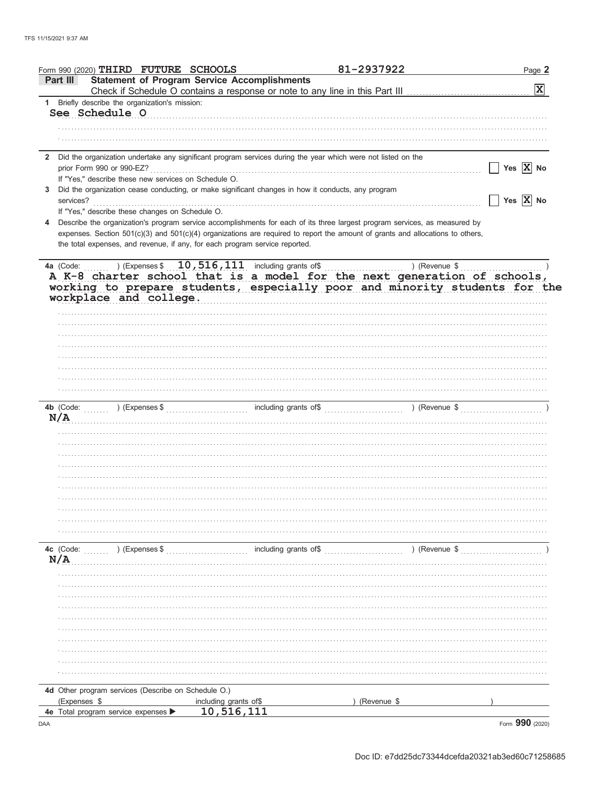|                | Form 990 (2020) THIRD FUTURE SCHOOLS                                                                                                                       |                       | 81-2937922                                                                                                                                                                                                                                   | Page 2                |
|----------------|------------------------------------------------------------------------------------------------------------------------------------------------------------|-----------------------|----------------------------------------------------------------------------------------------------------------------------------------------------------------------------------------------------------------------------------------------|-----------------------|
| Part III       | <b>Statement of Program Service Accomplishments</b>                                                                                                        |                       |                                                                                                                                                                                                                                              | $ \mathbf{X} $        |
|                | 1 Briefly describe the organization's mission:<br>See Schedule O                                                                                           |                       |                                                                                                                                                                                                                                              |                       |
|                |                                                                                                                                                            |                       |                                                                                                                                                                                                                                              |                       |
|                |                                                                                                                                                            |                       |                                                                                                                                                                                                                                              |                       |
| $\mathbf{2}$   | Did the organization undertake any significant program services during the year which were not listed on the<br>prior Form 990 or 990-EZ?                  |                       |                                                                                                                                                                                                                                              | Yes $X$ No            |
| 3<br>services? | If "Yes," describe these new services on Schedule O.<br>Did the organization cease conducting, or make significant changes in how it conducts, any program |                       |                                                                                                                                                                                                                                              | Yes $\overline{X}$ No |
| 4              | If "Yes," describe these changes on Schedule O.                                                                                                            |                       | Describe the organization's program service accomplishments for each of its three largest program services, as measured by                                                                                                                   |                       |
|                | the total expenses, and revenue, if any, for each program service reported.                                                                                |                       | expenses. Section 501(c)(3) and 501(c)(4) organizations are required to report the amount of grants and allocations to others,                                                                                                               |                       |
| 4a (Code:      |                                                                                                                                                            |                       | a (Code: ) (Expenses \$ 10,516,111 including grants of \$ ) (Revenue \$ ) (Revenue \$ ) (Revenue \$ ) (Revenue \$ ) (Revenue \$ ) (Revenue \$ ) (Revenue \$ ) (Revenue \$ ) (Revenue \$ ) (Revenue \$ ) (Revenue \$ ) (Revenue \$ ) (Revenue |                       |
|                | workplace and college.                                                                                                                                     |                       | working to prepare students, especially poor and minority students for the                                                                                                                                                                   |                       |
|                |                                                                                                                                                            |                       |                                                                                                                                                                                                                                              |                       |
|                |                                                                                                                                                            |                       |                                                                                                                                                                                                                                              |                       |
|                |                                                                                                                                                            |                       |                                                                                                                                                                                                                                              |                       |
|                |                                                                                                                                                            |                       |                                                                                                                                                                                                                                              |                       |
|                |                                                                                                                                                            |                       |                                                                                                                                                                                                                                              |                       |
|                |                                                                                                                                                            |                       |                                                                                                                                                                                                                                              |                       |
|                |                                                                                                                                                            |                       |                                                                                                                                                                                                                                              |                       |
|                |                                                                                                                                                            |                       |                                                                                                                                                                                                                                              |                       |
| N/A            |                                                                                                                                                            |                       |                                                                                                                                                                                                                                              |                       |
|                |                                                                                                                                                            |                       |                                                                                                                                                                                                                                              |                       |
|                |                                                                                                                                                            |                       |                                                                                                                                                                                                                                              |                       |
|                |                                                                                                                                                            |                       |                                                                                                                                                                                                                                              |                       |
|                |                                                                                                                                                            |                       |                                                                                                                                                                                                                                              |                       |
|                |                                                                                                                                                            |                       |                                                                                                                                                                                                                                              |                       |
|                |                                                                                                                                                            |                       |                                                                                                                                                                                                                                              |                       |
|                |                                                                                                                                                            |                       |                                                                                                                                                                                                                                              |                       |
|                |                                                                                                                                                            |                       |                                                                                                                                                                                                                                              |                       |
| 4c (Code:      | $(1)$ (Expenses \$                                                                                                                                         |                       | ) (Revenue \$                                                                                                                                                                                                                                |                       |
| N/A            |                                                                                                                                                            |                       |                                                                                                                                                                                                                                              |                       |
|                |                                                                                                                                                            |                       |                                                                                                                                                                                                                                              |                       |
|                |                                                                                                                                                            |                       |                                                                                                                                                                                                                                              |                       |
|                |                                                                                                                                                            |                       |                                                                                                                                                                                                                                              |                       |
|                |                                                                                                                                                            |                       |                                                                                                                                                                                                                                              |                       |
|                |                                                                                                                                                            |                       |                                                                                                                                                                                                                                              |                       |
|                |                                                                                                                                                            |                       |                                                                                                                                                                                                                                              |                       |
|                |                                                                                                                                                            |                       |                                                                                                                                                                                                                                              |                       |
|                |                                                                                                                                                            |                       |                                                                                                                                                                                                                                              |                       |
| (Expenses \$   | 4d Other program services (Describe on Schedule O.)                                                                                                        | including grants of\$ | ) (Revenue \$                                                                                                                                                                                                                                |                       |
|                | 4e Total program service expenses                                                                                                                          | 10,516,111            |                                                                                                                                                                                                                                              |                       |
| DAA            |                                                                                                                                                            |                       |                                                                                                                                                                                                                                              | Form 990 (2020)       |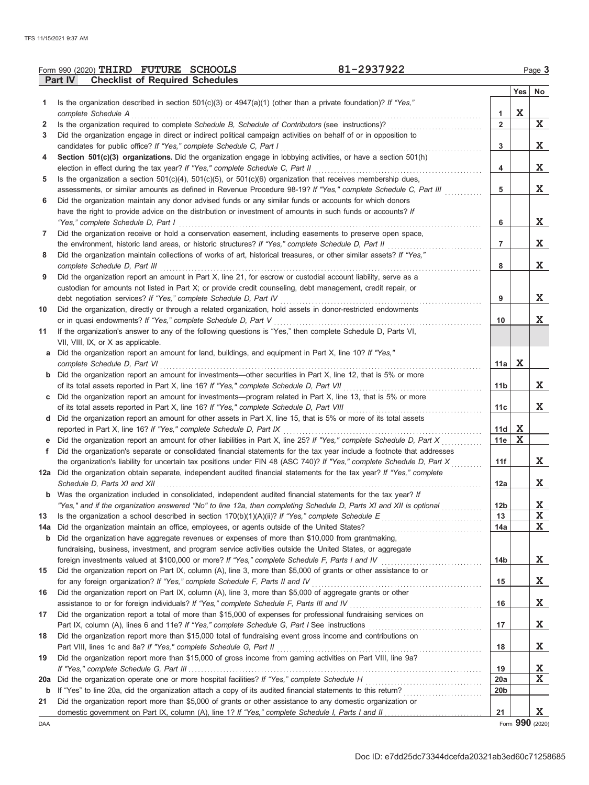|     | 81-2937922<br>Form 990 (2020) THIRD FUTURE SCHOOLS                                                                                                                                                                                                |                 |                  | Page 3               |
|-----|---------------------------------------------------------------------------------------------------------------------------------------------------------------------------------------------------------------------------------------------------|-----------------|------------------|----------------------|
|     | <b>Checklist of Required Schedules</b><br>Part IV                                                                                                                                                                                                 |                 |                  |                      |
|     |                                                                                                                                                                                                                                                   |                 |                  | Yes No               |
| 1.  | Is the organization described in section $501(c)(3)$ or $4947(a)(1)$ (other than a private foundation)? If "Yes,"                                                                                                                                 |                 |                  |                      |
|     | complete Schedule A                                                                                                                                                                                                                               | 1               | $\mathbf X$      |                      |
| 2   | Is the organization required to complete Schedule B, Schedule of Contributors (see instructions)?                                                                                                                                                 | $\overline{2}$  |                  | X                    |
| 3   | Did the organization engage in direct or indirect political campaign activities on behalf of or in opposition to                                                                                                                                  |                 |                  |                      |
|     | candidates for public office? If "Yes," complete Schedule C, Part I                                                                                                                                                                               | 3               |                  | X                    |
| 4   | Section 501(c)(3) organizations. Did the organization engage in lobbying activities, or have a section 501(h)                                                                                                                                     |                 |                  |                      |
|     | election in effect during the tax year? If "Yes," complete Schedule C, Part II                                                                                                                                                                    | 4               |                  | X                    |
| 5   | Is the organization a section $501(c)(4)$ , $501(c)(5)$ , or $501(c)(6)$ organization that receives membership dues,                                                                                                                              |                 |                  |                      |
|     | assessments, or similar amounts as defined in Revenue Procedure 98-19? If "Yes," complete Schedule C, Part III                                                                                                                                    | 5               |                  | X                    |
| 6   | Did the organization maintain any donor advised funds or any similar funds or accounts for which donors<br>have the right to provide advice on the distribution or investment of amounts in such funds or accounts? If                            |                 |                  |                      |
|     | "Yes," complete Schedule D, Part I                                                                                                                                                                                                                | 6               |                  | X                    |
| 7   | Did the organization receive or hold a conservation easement, including easements to preserve open space,                                                                                                                                         |                 |                  |                      |
|     | the environment, historic land areas, or historic structures? If "Yes," complete Schedule D, Part II                                                                                                                                              | $\overline{7}$  |                  | X                    |
| 8   | Did the organization maintain collections of works of art, historical treasures, or other similar assets? If "Yes,"                                                                                                                               |                 |                  |                      |
|     | complete Schedule D. Part III                                                                                                                                                                                                                     | 8               |                  | X                    |
| 9   | Did the organization report an amount in Part X, line 21, for escrow or custodial account liability, serve as a                                                                                                                                   |                 |                  |                      |
|     | custodian for amounts not listed in Part X; or provide credit counseling, debt management, credit repair, or                                                                                                                                      |                 |                  |                      |
|     | debt negotiation services? If "Yes," complete Schedule D, Part IV                                                                                                                                                                                 | 9               |                  | X                    |
| 10  | Did the organization, directly or through a related organization, hold assets in donor-restricted endowments                                                                                                                                      |                 |                  |                      |
|     | or in quasi endowments? If "Yes," complete Schedule D, Part V                                                                                                                                                                                     | 10              |                  | X                    |
| 11  | If the organization's answer to any of the following questions is "Yes," then complete Schedule D, Parts VI,                                                                                                                                      |                 |                  |                      |
|     | VII, VIII, IX, or X as applicable.                                                                                                                                                                                                                |                 |                  |                      |
| а   | Did the organization report an amount for land, buildings, and equipment in Part X, line 10? If "Yes,"                                                                                                                                            |                 |                  |                      |
|     | complete Schedule D, Part VI                                                                                                                                                                                                                      | 11a             | X                |                      |
| b   | Did the organization report an amount for investments—other securities in Part X, line 12, that is 5% or more                                                                                                                                     |                 |                  |                      |
|     | of its total assets reported in Part X, line 16? If "Yes," complete Schedule D, Part VII                                                                                                                                                          | 11 <sub>b</sub> |                  | X                    |
| С   | Did the organization report an amount for investments—program related in Part X, line 13, that is 5% or more                                                                                                                                      |                 |                  |                      |
|     | of its total assets reported in Part X, line 16? If "Yes," complete Schedule D, Part VIII                                                                                                                                                         | 11c             |                  | X                    |
| d   | Did the organization report an amount for other assets in Part X, line 15, that is 5% or more of its total assets                                                                                                                                 |                 |                  |                      |
|     | reported in Part X, line 16? If "Yes," complete Schedule D, Part IX                                                                                                                                                                               | 11d             | X<br>$\mathbf x$ |                      |
|     | Did the organization report an amount for other liabilities in Part X, line 25? If "Yes," complete Schedule D, Part X                                                                                                                             | 11e             |                  |                      |
|     | Did the organization's separate or consolidated financial statements for the tax year include a footnote that addresses                                                                                                                           | 11f             |                  | X.                   |
|     | the organization's liability for uncertain tax positions under FIN 48 (ASC 740)? If "Yes," complete Schedule D, Part X<br>12a Did the organization obtain separate, independent audited financial statements for the tax year? If "Yes," complete |                 |                  |                      |
|     |                                                                                                                                                                                                                                                   | 12a             |                  | X                    |
| b   | Was the organization included in consolidated, independent audited financial statements for the tax year? If                                                                                                                                      |                 |                  |                      |
|     | "Yes," and if the organization answered "No" to line 12a, then completing Schedule D, Parts XI and XII is optional                                                                                                                                | 12 <sub>b</sub> |                  | X                    |
| 13  |                                                                                                                                                                                                                                                   | 13              |                  | X                    |
| 14a | Did the organization maintain an office, employees, or agents outside of the United States?                                                                                                                                                       | 14a             |                  | X                    |
| b   | Did the organization have aggregate revenues or expenses of more than \$10,000 from grantmaking,                                                                                                                                                  |                 |                  |                      |
|     | fundraising, business, investment, and program service activities outside the United States, or aggregate                                                                                                                                         |                 |                  |                      |
|     | foreign investments valued at \$100,000 or more? If "Yes," complete Schedule F, Parts I and IV                                                                                                                                                    | 14 <sub>b</sub> |                  | X                    |
| 15  | Did the organization report on Part IX, column (A), line 3, more than \$5,000 of grants or other assistance to or                                                                                                                                 |                 |                  |                      |
|     | for any foreign organization? If "Yes," complete Schedule F, Parts II and IV                                                                                                                                                                      | 15              |                  | X                    |
| 16  | Did the organization report on Part IX, column (A), line 3, more than \$5,000 of aggregate grants or other                                                                                                                                        |                 |                  |                      |
|     | assistance to or for foreign individuals? If "Yes," complete Schedule F, Parts III and IV                                                                                                                                                         | 16              |                  | X                    |
| 17  | Did the organization report a total of more than \$15,000 of expenses for professional fundraising services on                                                                                                                                    |                 |                  |                      |
|     |                                                                                                                                                                                                                                                   | 17              |                  | X                    |
| 18  | Did the organization report more than \$15,000 total of fundraising event gross income and contributions on                                                                                                                                       |                 |                  |                      |
|     | Part VIII, lines 1c and 8a? If "Yes," complete Schedule G, Part II                                                                                                                                                                                | 18              |                  | X                    |
| 19  | Did the organization report more than \$15,000 of gross income from gaming activities on Part VIII, line 9a?                                                                                                                                      |                 |                  |                      |
|     |                                                                                                                                                                                                                                                   | 19              |                  | X                    |
| 20a | Did the organization operate one or more hospital facilities? If "Yes," complete Schedule H                                                                                                                                                       | 20a             |                  | X                    |
| b   | If "Yes" to line 20a, did the organization attach a copy of its audited financial statements to this return?                                                                                                                                      | 20 <sub>b</sub> |                  |                      |
| 21  | Did the organization report more than \$5,000 of grants or other assistance to any domestic organization or                                                                                                                                       |                 |                  |                      |
|     |                                                                                                                                                                                                                                                   | 21              |                  | X<br>Form 990 (2020) |
| DAA |                                                                                                                                                                                                                                                   |                 |                  |                      |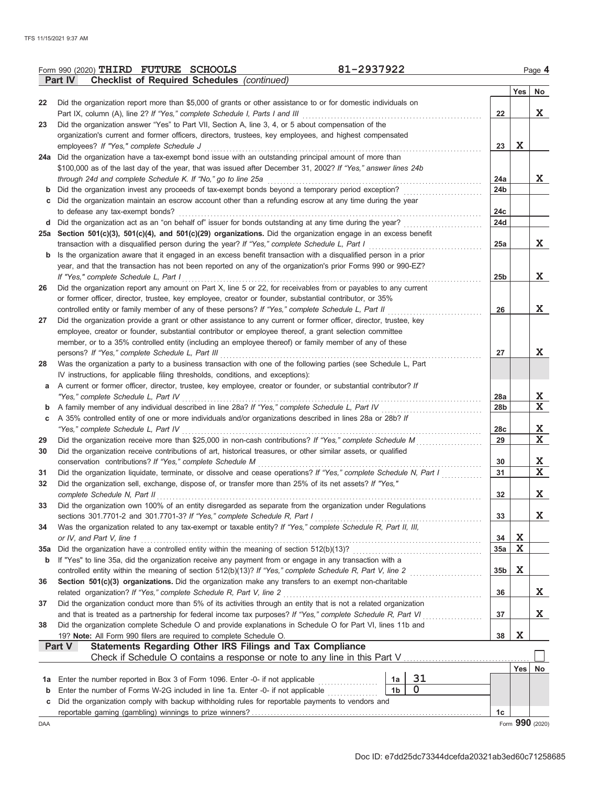| <b>Checklist of Required Schedules (continued)</b><br>Part IV<br>Yes<br>No<br>Did the organization report more than \$5,000 of grants or other assistance to or for domestic individuals on<br>22<br>X<br>Part IX, column (A), line 2? If "Yes," complete Schedule I, Parts I and III<br>22<br>Did the organization answer "Yes" to Part VII, Section A, line 3, 4, or 5 about compensation of the<br>23<br>organization's current and former officers, directors, trustees, key employees, and highest compensated<br>X<br>employees? If "Yes," complete Schedule J<br>23<br>24a Did the organization have a tax-exempt bond issue with an outstanding principal amount of more than<br>\$100,000 as of the last day of the year, that was issued after December 31, 2002? If "Yes," answer lines 24b<br>X<br>through 24d and complete Schedule K. If "No," go to line 25a<br>24a<br>Did the organization invest any proceeds of tax-exempt bonds beyond a temporary period exception?<br>24 <sub>b</sub><br>b<br>Did the organization maintain an escrow account other than a refunding escrow at any time during the year<br>С<br>24c<br>to defease any tax-exempt bonds?<br>Did the organization act as an "on behalf of" issuer for bonds outstanding at any time during the year?<br>24d<br>d<br>25a Section 501(c)(3), 501(c)(4), and 501(c)(29) organizations. Did the organization engage in an excess benefit<br>X<br>transaction with a disqualified person during the year? If "Yes," complete Schedule L, Part I<br>25a<br>Is the organization aware that it engaged in an excess benefit transaction with a disqualified person in a prior<br>b<br>year, and that the transaction has not been reported on any of the organization's prior Forms 990 or 990-EZ?<br>X<br>If "Yes," complete Schedule L, Part I<br>25 <sub>b</sub><br>Did the organization report any amount on Part X, line 5 or 22, for receivables from or payables to any current<br>26<br>or former officer, director, trustee, key employee, creator or founder, substantial contributor, or 35%<br>X<br>controlled entity or family member of any of these persons? If "Yes," complete Schedule L, Part II<br>26<br>Did the organization provide a grant or other assistance to any current or former officer, director, trustee, key<br>employee, creator or founder, substantial contributor or employee thereof, a grant selection committee<br>member, or to a 35% controlled entity (including an employee thereof) or family member of any of these<br>X<br>persons? If "Yes," complete Schedule L, Part III<br>27<br>Was the organization a party to a business transaction with one of the following parties (see Schedule L, Part<br>IV instructions, for applicable filing thresholds, conditions, and exceptions):<br>A current or former officer, director, trustee, key employee, creator or founder, or substantial contributor? If<br>а<br>X<br>"Yes," complete Schedule L, Part IV<br>28a<br>X<br>A family member of any individual described in line 28a? If "Yes," complete Schedule L, Part IV<br>28 <sub>b</sub><br>b<br>A 35% controlled entity of one or more individuals and/or organizations described in lines 28a or 28b? If<br>C<br>X<br>"Yes," complete Schedule L, Part IV<br>28c<br>X<br>Did the organization receive more than \$25,000 in non-cash contributions? If "Yes," complete Schedule M<br>29<br>29<br>Did the organization receive contributions of art, historical treasures, or other similar assets, or qualified<br>30<br>X<br>conservation contributions? If "Yes," complete Schedule M<br>30<br>X<br>31<br>Did the organization liquidate, terminate, or dissolve and cease operations? If "Yes," complete Schedule N, Part I<br>Did the organization sell, exchange, dispose of, or transfer more than 25% of its net assets? If "Yes,"<br>32<br>X<br>32<br>complete Schedule N, Part II<br>Did the organization own 100% of an entity disregarded as separate from the organization under Regulations<br>X<br>sections 301.7701-2 and 301.7701-3? If "Yes," complete Schedule R, Part I<br>33<br>Was the organization related to any tax-exempt or taxable entity? If "Yes," complete Schedule R, Part II, III,<br>34<br>$\mathbf x$<br>or IV, and Part V, line 1<br>34<br>$\mathbf X$<br>Did the organization have a controlled entity within the meaning of section 512(b)(13)?<br>35a<br>35a<br>If "Yes" to line 35a, did the organization receive any payment from or engage in any transaction with a<br>b<br>X<br>controlled entity within the meaning of section 512(b)(13)? If "Yes," complete Schedule R, Part V, line 2<br>35 <sub>b</sub><br>Section 501(c)(3) organizations. Did the organization make any transfers to an exempt non-charitable<br>36<br>related organization? If "Yes," complete Schedule R, Part V, line 2<br>X<br>36<br>Did the organization conduct more than 5% of its activities through an entity that is not a related organization<br>37<br>X<br>and that is treated as a partnership for federal income tax purposes? If "Yes," complete Schedule R, Part VI<br>37<br>Did the organization complete Schedule O and provide explanations in Schedule O for Part VI, lines 11b and<br>38<br>19? Note: All Form 990 filers are required to complete Schedule O.<br>X<br>38<br>Statements Regarding Other IRS Filings and Tax Compliance<br>Part V<br>Check if Schedule O contains a response or note to any line in this Part V.<br>Yes<br>No<br>31<br>Enter the number reported in Box 3 of Form 1096. Enter -0- if not applicable<br>1a<br>1a<br>$\mathbf 0$<br>1 <sub>b</sub><br>Enter the number of Forms W-2G included in line 1a. Enter -0- if not applicable<br>b<br>Did the organization comply with backup withholding rules for reportable payments to vendors and<br>c<br>1c |     | 81-2937922<br>Form 990 (2020) THIRD FUTURE SCHOOLS |  | Page 4 |
|-----------------------------------------------------------------------------------------------------------------------------------------------------------------------------------------------------------------------------------------------------------------------------------------------------------------------------------------------------------------------------------------------------------------------------------------------------------------------------------------------------------------------------------------------------------------------------------------------------------------------------------------------------------------------------------------------------------------------------------------------------------------------------------------------------------------------------------------------------------------------------------------------------------------------------------------------------------------------------------------------------------------------------------------------------------------------------------------------------------------------------------------------------------------------------------------------------------------------------------------------------------------------------------------------------------------------------------------------------------------------------------------------------------------------------------------------------------------------------------------------------------------------------------------------------------------------------------------------------------------------------------------------------------------------------------------------------------------------------------------------------------------------------------------------------------------------------------------------------------------------------------------------------------------------------------------------------------------------------------------------------------------------------------------------------------------------------------------------------------------------------------------------------------------------------------------------------------------------------------------------------------------------------------------------------------------------------------------------------------------------------------------------------------------------------------------------------------------------------------------------------------------------------------------------------------------------------------------------------------------------------------------------------------------------------------------------------------------------------------------------------------------------------------------------------------------------------------------------------------------------------------------------------------------------------------------------------------------------------------------------------------------------------------------------------------------------------------------------------------------------------------------------------------------------------------------------------------------------------------------------------------------------------------------------------------------------------------------------------------------------------------------------------------------------------------------------------------------------------------------------------------------------------------------------------------------------------------------------------------------------------------------------------------------------------------------------------------------------------------------------------------------------------------------------------------------------------------------------------------------------------------------------------------------------------------------------------------------------------------------------------------------------------------------------------------------------------------------------------------------------------------------------------------------------------------------------------------------------------------------------------------------------------------------------------------------------------------------------------------------------------------------------------------------------------------------------------------------------------------------------------------------------------------------------------------------------------------------------------------------------------------------------------------------------------------------------------------------------------------------------------------------------------------------------------------------------------------------------------------------------------------------------------------------------------------------------------------------------------------------------------------------------------------------------------------------------------------------------------------------------------------------------------------------------------------------------------------------------------------------------------------------------------------------------------------------------------------------------------------------------------------------------------------------------------------------------------------------------------------------------------------------------------------------------------------------------------------------------------------------------------------------------------------------------------------------------------------------------------------------------------------------------------------------------------------------------------------------------------------------|-----|----------------------------------------------------|--|--------|
|                                                                                                                                                                                                                                                                                                                                                                                                                                                                                                                                                                                                                                                                                                                                                                                                                                                                                                                                                                                                                                                                                                                                                                                                                                                                                                                                                                                                                                                                                                                                                                                                                                                                                                                                                                                                                                                                                                                                                                                                                                                                                                                                                                                                                                                                                                                                                                                                                                                                                                                                                                                                                                                                                                                                                                                                                                                                                                                                                                                                                                                                                                                                                                                                                                                                                                                                                                                                                                                                                                                                                                                                                                                                                                                                                                                                                                                                                                                                                                                                                                                                                                                                                                                                                                                                                                                                                                                                                                                                                                                                                                                                                                                                                                                                                                                                                                                                                                                                                                                                                                                                                                                                                                                                                                                                                                                                                                                                                                                                                                                                                                                                                                                                                                                                                                                                                                                                 |     |                                                    |  |        |
|                                                                                                                                                                                                                                                                                                                                                                                                                                                                                                                                                                                                                                                                                                                                                                                                                                                                                                                                                                                                                                                                                                                                                                                                                                                                                                                                                                                                                                                                                                                                                                                                                                                                                                                                                                                                                                                                                                                                                                                                                                                                                                                                                                                                                                                                                                                                                                                                                                                                                                                                                                                                                                                                                                                                                                                                                                                                                                                                                                                                                                                                                                                                                                                                                                                                                                                                                                                                                                                                                                                                                                                                                                                                                                                                                                                                                                                                                                                                                                                                                                                                                                                                                                                                                                                                                                                                                                                                                                                                                                                                                                                                                                                                                                                                                                                                                                                                                                                                                                                                                                                                                                                                                                                                                                                                                                                                                                                                                                                                                                                                                                                                                                                                                                                                                                                                                                                                 |     |                                                    |  |        |
|                                                                                                                                                                                                                                                                                                                                                                                                                                                                                                                                                                                                                                                                                                                                                                                                                                                                                                                                                                                                                                                                                                                                                                                                                                                                                                                                                                                                                                                                                                                                                                                                                                                                                                                                                                                                                                                                                                                                                                                                                                                                                                                                                                                                                                                                                                                                                                                                                                                                                                                                                                                                                                                                                                                                                                                                                                                                                                                                                                                                                                                                                                                                                                                                                                                                                                                                                                                                                                                                                                                                                                                                                                                                                                                                                                                                                                                                                                                                                                                                                                                                                                                                                                                                                                                                                                                                                                                                                                                                                                                                                                                                                                                                                                                                                                                                                                                                                                                                                                                                                                                                                                                                                                                                                                                                                                                                                                                                                                                                                                                                                                                                                                                                                                                                                                                                                                                                 |     |                                                    |  |        |
|                                                                                                                                                                                                                                                                                                                                                                                                                                                                                                                                                                                                                                                                                                                                                                                                                                                                                                                                                                                                                                                                                                                                                                                                                                                                                                                                                                                                                                                                                                                                                                                                                                                                                                                                                                                                                                                                                                                                                                                                                                                                                                                                                                                                                                                                                                                                                                                                                                                                                                                                                                                                                                                                                                                                                                                                                                                                                                                                                                                                                                                                                                                                                                                                                                                                                                                                                                                                                                                                                                                                                                                                                                                                                                                                                                                                                                                                                                                                                                                                                                                                                                                                                                                                                                                                                                                                                                                                                                                                                                                                                                                                                                                                                                                                                                                                                                                                                                                                                                                                                                                                                                                                                                                                                                                                                                                                                                                                                                                                                                                                                                                                                                                                                                                                                                                                                                                                 |     |                                                    |  |        |
|                                                                                                                                                                                                                                                                                                                                                                                                                                                                                                                                                                                                                                                                                                                                                                                                                                                                                                                                                                                                                                                                                                                                                                                                                                                                                                                                                                                                                                                                                                                                                                                                                                                                                                                                                                                                                                                                                                                                                                                                                                                                                                                                                                                                                                                                                                                                                                                                                                                                                                                                                                                                                                                                                                                                                                                                                                                                                                                                                                                                                                                                                                                                                                                                                                                                                                                                                                                                                                                                                                                                                                                                                                                                                                                                                                                                                                                                                                                                                                                                                                                                                                                                                                                                                                                                                                                                                                                                                                                                                                                                                                                                                                                                                                                                                                                                                                                                                                                                                                                                                                                                                                                                                                                                                                                                                                                                                                                                                                                                                                                                                                                                                                                                                                                                                                                                                                                                 |     |                                                    |  |        |
|                                                                                                                                                                                                                                                                                                                                                                                                                                                                                                                                                                                                                                                                                                                                                                                                                                                                                                                                                                                                                                                                                                                                                                                                                                                                                                                                                                                                                                                                                                                                                                                                                                                                                                                                                                                                                                                                                                                                                                                                                                                                                                                                                                                                                                                                                                                                                                                                                                                                                                                                                                                                                                                                                                                                                                                                                                                                                                                                                                                                                                                                                                                                                                                                                                                                                                                                                                                                                                                                                                                                                                                                                                                                                                                                                                                                                                                                                                                                                                                                                                                                                                                                                                                                                                                                                                                                                                                                                                                                                                                                                                                                                                                                                                                                                                                                                                                                                                                                                                                                                                                                                                                                                                                                                                                                                                                                                                                                                                                                                                                                                                                                                                                                                                                                                                                                                                                                 |     |                                                    |  |        |
|                                                                                                                                                                                                                                                                                                                                                                                                                                                                                                                                                                                                                                                                                                                                                                                                                                                                                                                                                                                                                                                                                                                                                                                                                                                                                                                                                                                                                                                                                                                                                                                                                                                                                                                                                                                                                                                                                                                                                                                                                                                                                                                                                                                                                                                                                                                                                                                                                                                                                                                                                                                                                                                                                                                                                                                                                                                                                                                                                                                                                                                                                                                                                                                                                                                                                                                                                                                                                                                                                                                                                                                                                                                                                                                                                                                                                                                                                                                                                                                                                                                                                                                                                                                                                                                                                                                                                                                                                                                                                                                                                                                                                                                                                                                                                                                                                                                                                                                                                                                                                                                                                                                                                                                                                                                                                                                                                                                                                                                                                                                                                                                                                                                                                                                                                                                                                                                                 |     |                                                    |  |        |
|                                                                                                                                                                                                                                                                                                                                                                                                                                                                                                                                                                                                                                                                                                                                                                                                                                                                                                                                                                                                                                                                                                                                                                                                                                                                                                                                                                                                                                                                                                                                                                                                                                                                                                                                                                                                                                                                                                                                                                                                                                                                                                                                                                                                                                                                                                                                                                                                                                                                                                                                                                                                                                                                                                                                                                                                                                                                                                                                                                                                                                                                                                                                                                                                                                                                                                                                                                                                                                                                                                                                                                                                                                                                                                                                                                                                                                                                                                                                                                                                                                                                                                                                                                                                                                                                                                                                                                                                                                                                                                                                                                                                                                                                                                                                                                                                                                                                                                                                                                                                                                                                                                                                                                                                                                                                                                                                                                                                                                                                                                                                                                                                                                                                                                                                                                                                                                                                 |     |                                                    |  |        |
|                                                                                                                                                                                                                                                                                                                                                                                                                                                                                                                                                                                                                                                                                                                                                                                                                                                                                                                                                                                                                                                                                                                                                                                                                                                                                                                                                                                                                                                                                                                                                                                                                                                                                                                                                                                                                                                                                                                                                                                                                                                                                                                                                                                                                                                                                                                                                                                                                                                                                                                                                                                                                                                                                                                                                                                                                                                                                                                                                                                                                                                                                                                                                                                                                                                                                                                                                                                                                                                                                                                                                                                                                                                                                                                                                                                                                                                                                                                                                                                                                                                                                                                                                                                                                                                                                                                                                                                                                                                                                                                                                                                                                                                                                                                                                                                                                                                                                                                                                                                                                                                                                                                                                                                                                                                                                                                                                                                                                                                                                                                                                                                                                                                                                                                                                                                                                                                                 |     |                                                    |  |        |
|                                                                                                                                                                                                                                                                                                                                                                                                                                                                                                                                                                                                                                                                                                                                                                                                                                                                                                                                                                                                                                                                                                                                                                                                                                                                                                                                                                                                                                                                                                                                                                                                                                                                                                                                                                                                                                                                                                                                                                                                                                                                                                                                                                                                                                                                                                                                                                                                                                                                                                                                                                                                                                                                                                                                                                                                                                                                                                                                                                                                                                                                                                                                                                                                                                                                                                                                                                                                                                                                                                                                                                                                                                                                                                                                                                                                                                                                                                                                                                                                                                                                                                                                                                                                                                                                                                                                                                                                                                                                                                                                                                                                                                                                                                                                                                                                                                                                                                                                                                                                                                                                                                                                                                                                                                                                                                                                                                                                                                                                                                                                                                                                                                                                                                                                                                                                                                                                 |     |                                                    |  |        |
|                                                                                                                                                                                                                                                                                                                                                                                                                                                                                                                                                                                                                                                                                                                                                                                                                                                                                                                                                                                                                                                                                                                                                                                                                                                                                                                                                                                                                                                                                                                                                                                                                                                                                                                                                                                                                                                                                                                                                                                                                                                                                                                                                                                                                                                                                                                                                                                                                                                                                                                                                                                                                                                                                                                                                                                                                                                                                                                                                                                                                                                                                                                                                                                                                                                                                                                                                                                                                                                                                                                                                                                                                                                                                                                                                                                                                                                                                                                                                                                                                                                                                                                                                                                                                                                                                                                                                                                                                                                                                                                                                                                                                                                                                                                                                                                                                                                                                                                                                                                                                                                                                                                                                                                                                                                                                                                                                                                                                                                                                                                                                                                                                                                                                                                                                                                                                                                                 |     |                                                    |  |        |
|                                                                                                                                                                                                                                                                                                                                                                                                                                                                                                                                                                                                                                                                                                                                                                                                                                                                                                                                                                                                                                                                                                                                                                                                                                                                                                                                                                                                                                                                                                                                                                                                                                                                                                                                                                                                                                                                                                                                                                                                                                                                                                                                                                                                                                                                                                                                                                                                                                                                                                                                                                                                                                                                                                                                                                                                                                                                                                                                                                                                                                                                                                                                                                                                                                                                                                                                                                                                                                                                                                                                                                                                                                                                                                                                                                                                                                                                                                                                                                                                                                                                                                                                                                                                                                                                                                                                                                                                                                                                                                                                                                                                                                                                                                                                                                                                                                                                                                                                                                                                                                                                                                                                                                                                                                                                                                                                                                                                                                                                                                                                                                                                                                                                                                                                                                                                                                                                 |     |                                                    |  |        |
|                                                                                                                                                                                                                                                                                                                                                                                                                                                                                                                                                                                                                                                                                                                                                                                                                                                                                                                                                                                                                                                                                                                                                                                                                                                                                                                                                                                                                                                                                                                                                                                                                                                                                                                                                                                                                                                                                                                                                                                                                                                                                                                                                                                                                                                                                                                                                                                                                                                                                                                                                                                                                                                                                                                                                                                                                                                                                                                                                                                                                                                                                                                                                                                                                                                                                                                                                                                                                                                                                                                                                                                                                                                                                                                                                                                                                                                                                                                                                                                                                                                                                                                                                                                                                                                                                                                                                                                                                                                                                                                                                                                                                                                                                                                                                                                                                                                                                                                                                                                                                                                                                                                                                                                                                                                                                                                                                                                                                                                                                                                                                                                                                                                                                                                                                                                                                                                                 |     |                                                    |  |        |
|                                                                                                                                                                                                                                                                                                                                                                                                                                                                                                                                                                                                                                                                                                                                                                                                                                                                                                                                                                                                                                                                                                                                                                                                                                                                                                                                                                                                                                                                                                                                                                                                                                                                                                                                                                                                                                                                                                                                                                                                                                                                                                                                                                                                                                                                                                                                                                                                                                                                                                                                                                                                                                                                                                                                                                                                                                                                                                                                                                                                                                                                                                                                                                                                                                                                                                                                                                                                                                                                                                                                                                                                                                                                                                                                                                                                                                                                                                                                                                                                                                                                                                                                                                                                                                                                                                                                                                                                                                                                                                                                                                                                                                                                                                                                                                                                                                                                                                                                                                                                                                                                                                                                                                                                                                                                                                                                                                                                                                                                                                                                                                                                                                                                                                                                                                                                                                                                 |     |                                                    |  |        |
|                                                                                                                                                                                                                                                                                                                                                                                                                                                                                                                                                                                                                                                                                                                                                                                                                                                                                                                                                                                                                                                                                                                                                                                                                                                                                                                                                                                                                                                                                                                                                                                                                                                                                                                                                                                                                                                                                                                                                                                                                                                                                                                                                                                                                                                                                                                                                                                                                                                                                                                                                                                                                                                                                                                                                                                                                                                                                                                                                                                                                                                                                                                                                                                                                                                                                                                                                                                                                                                                                                                                                                                                                                                                                                                                                                                                                                                                                                                                                                                                                                                                                                                                                                                                                                                                                                                                                                                                                                                                                                                                                                                                                                                                                                                                                                                                                                                                                                                                                                                                                                                                                                                                                                                                                                                                                                                                                                                                                                                                                                                                                                                                                                                                                                                                                                                                                                                                 |     |                                                    |  |        |
|                                                                                                                                                                                                                                                                                                                                                                                                                                                                                                                                                                                                                                                                                                                                                                                                                                                                                                                                                                                                                                                                                                                                                                                                                                                                                                                                                                                                                                                                                                                                                                                                                                                                                                                                                                                                                                                                                                                                                                                                                                                                                                                                                                                                                                                                                                                                                                                                                                                                                                                                                                                                                                                                                                                                                                                                                                                                                                                                                                                                                                                                                                                                                                                                                                                                                                                                                                                                                                                                                                                                                                                                                                                                                                                                                                                                                                                                                                                                                                                                                                                                                                                                                                                                                                                                                                                                                                                                                                                                                                                                                                                                                                                                                                                                                                                                                                                                                                                                                                                                                                                                                                                                                                                                                                                                                                                                                                                                                                                                                                                                                                                                                                                                                                                                                                                                                                                                 |     |                                                    |  |        |
|                                                                                                                                                                                                                                                                                                                                                                                                                                                                                                                                                                                                                                                                                                                                                                                                                                                                                                                                                                                                                                                                                                                                                                                                                                                                                                                                                                                                                                                                                                                                                                                                                                                                                                                                                                                                                                                                                                                                                                                                                                                                                                                                                                                                                                                                                                                                                                                                                                                                                                                                                                                                                                                                                                                                                                                                                                                                                                                                                                                                                                                                                                                                                                                                                                                                                                                                                                                                                                                                                                                                                                                                                                                                                                                                                                                                                                                                                                                                                                                                                                                                                                                                                                                                                                                                                                                                                                                                                                                                                                                                                                                                                                                                                                                                                                                                                                                                                                                                                                                                                                                                                                                                                                                                                                                                                                                                                                                                                                                                                                                                                                                                                                                                                                                                                                                                                                                                 |     |                                                    |  |        |
|                                                                                                                                                                                                                                                                                                                                                                                                                                                                                                                                                                                                                                                                                                                                                                                                                                                                                                                                                                                                                                                                                                                                                                                                                                                                                                                                                                                                                                                                                                                                                                                                                                                                                                                                                                                                                                                                                                                                                                                                                                                                                                                                                                                                                                                                                                                                                                                                                                                                                                                                                                                                                                                                                                                                                                                                                                                                                                                                                                                                                                                                                                                                                                                                                                                                                                                                                                                                                                                                                                                                                                                                                                                                                                                                                                                                                                                                                                                                                                                                                                                                                                                                                                                                                                                                                                                                                                                                                                                                                                                                                                                                                                                                                                                                                                                                                                                                                                                                                                                                                                                                                                                                                                                                                                                                                                                                                                                                                                                                                                                                                                                                                                                                                                                                                                                                                                                                 |     |                                                    |  |        |
|                                                                                                                                                                                                                                                                                                                                                                                                                                                                                                                                                                                                                                                                                                                                                                                                                                                                                                                                                                                                                                                                                                                                                                                                                                                                                                                                                                                                                                                                                                                                                                                                                                                                                                                                                                                                                                                                                                                                                                                                                                                                                                                                                                                                                                                                                                                                                                                                                                                                                                                                                                                                                                                                                                                                                                                                                                                                                                                                                                                                                                                                                                                                                                                                                                                                                                                                                                                                                                                                                                                                                                                                                                                                                                                                                                                                                                                                                                                                                                                                                                                                                                                                                                                                                                                                                                                                                                                                                                                                                                                                                                                                                                                                                                                                                                                                                                                                                                                                                                                                                                                                                                                                                                                                                                                                                                                                                                                                                                                                                                                                                                                                                                                                                                                                                                                                                                                                 |     |                                                    |  |        |
|                                                                                                                                                                                                                                                                                                                                                                                                                                                                                                                                                                                                                                                                                                                                                                                                                                                                                                                                                                                                                                                                                                                                                                                                                                                                                                                                                                                                                                                                                                                                                                                                                                                                                                                                                                                                                                                                                                                                                                                                                                                                                                                                                                                                                                                                                                                                                                                                                                                                                                                                                                                                                                                                                                                                                                                                                                                                                                                                                                                                                                                                                                                                                                                                                                                                                                                                                                                                                                                                                                                                                                                                                                                                                                                                                                                                                                                                                                                                                                                                                                                                                                                                                                                                                                                                                                                                                                                                                                                                                                                                                                                                                                                                                                                                                                                                                                                                                                                                                                                                                                                                                                                                                                                                                                                                                                                                                                                                                                                                                                                                                                                                                                                                                                                                                                                                                                                                 |     |                                                    |  |        |
|                                                                                                                                                                                                                                                                                                                                                                                                                                                                                                                                                                                                                                                                                                                                                                                                                                                                                                                                                                                                                                                                                                                                                                                                                                                                                                                                                                                                                                                                                                                                                                                                                                                                                                                                                                                                                                                                                                                                                                                                                                                                                                                                                                                                                                                                                                                                                                                                                                                                                                                                                                                                                                                                                                                                                                                                                                                                                                                                                                                                                                                                                                                                                                                                                                                                                                                                                                                                                                                                                                                                                                                                                                                                                                                                                                                                                                                                                                                                                                                                                                                                                                                                                                                                                                                                                                                                                                                                                                                                                                                                                                                                                                                                                                                                                                                                                                                                                                                                                                                                                                                                                                                                                                                                                                                                                                                                                                                                                                                                                                                                                                                                                                                                                                                                                                                                                                                                 | 27  |                                                    |  |        |
|                                                                                                                                                                                                                                                                                                                                                                                                                                                                                                                                                                                                                                                                                                                                                                                                                                                                                                                                                                                                                                                                                                                                                                                                                                                                                                                                                                                                                                                                                                                                                                                                                                                                                                                                                                                                                                                                                                                                                                                                                                                                                                                                                                                                                                                                                                                                                                                                                                                                                                                                                                                                                                                                                                                                                                                                                                                                                                                                                                                                                                                                                                                                                                                                                                                                                                                                                                                                                                                                                                                                                                                                                                                                                                                                                                                                                                                                                                                                                                                                                                                                                                                                                                                                                                                                                                                                                                                                                                                                                                                                                                                                                                                                                                                                                                                                                                                                                                                                                                                                                                                                                                                                                                                                                                                                                                                                                                                                                                                                                                                                                                                                                                                                                                                                                                                                                                                                 |     |                                                    |  |        |
|                                                                                                                                                                                                                                                                                                                                                                                                                                                                                                                                                                                                                                                                                                                                                                                                                                                                                                                                                                                                                                                                                                                                                                                                                                                                                                                                                                                                                                                                                                                                                                                                                                                                                                                                                                                                                                                                                                                                                                                                                                                                                                                                                                                                                                                                                                                                                                                                                                                                                                                                                                                                                                                                                                                                                                                                                                                                                                                                                                                                                                                                                                                                                                                                                                                                                                                                                                                                                                                                                                                                                                                                                                                                                                                                                                                                                                                                                                                                                                                                                                                                                                                                                                                                                                                                                                                                                                                                                                                                                                                                                                                                                                                                                                                                                                                                                                                                                                                                                                                                                                                                                                                                                                                                                                                                                                                                                                                                                                                                                                                                                                                                                                                                                                                                                                                                                                                                 |     |                                                    |  |        |
|                                                                                                                                                                                                                                                                                                                                                                                                                                                                                                                                                                                                                                                                                                                                                                                                                                                                                                                                                                                                                                                                                                                                                                                                                                                                                                                                                                                                                                                                                                                                                                                                                                                                                                                                                                                                                                                                                                                                                                                                                                                                                                                                                                                                                                                                                                                                                                                                                                                                                                                                                                                                                                                                                                                                                                                                                                                                                                                                                                                                                                                                                                                                                                                                                                                                                                                                                                                                                                                                                                                                                                                                                                                                                                                                                                                                                                                                                                                                                                                                                                                                                                                                                                                                                                                                                                                                                                                                                                                                                                                                                                                                                                                                                                                                                                                                                                                                                                                                                                                                                                                                                                                                                                                                                                                                                                                                                                                                                                                                                                                                                                                                                                                                                                                                                                                                                                                                 |     |                                                    |  |        |
|                                                                                                                                                                                                                                                                                                                                                                                                                                                                                                                                                                                                                                                                                                                                                                                                                                                                                                                                                                                                                                                                                                                                                                                                                                                                                                                                                                                                                                                                                                                                                                                                                                                                                                                                                                                                                                                                                                                                                                                                                                                                                                                                                                                                                                                                                                                                                                                                                                                                                                                                                                                                                                                                                                                                                                                                                                                                                                                                                                                                                                                                                                                                                                                                                                                                                                                                                                                                                                                                                                                                                                                                                                                                                                                                                                                                                                                                                                                                                                                                                                                                                                                                                                                                                                                                                                                                                                                                                                                                                                                                                                                                                                                                                                                                                                                                                                                                                                                                                                                                                                                                                                                                                                                                                                                                                                                                                                                                                                                                                                                                                                                                                                                                                                                                                                                                                                                                 | 28  |                                                    |  |        |
|                                                                                                                                                                                                                                                                                                                                                                                                                                                                                                                                                                                                                                                                                                                                                                                                                                                                                                                                                                                                                                                                                                                                                                                                                                                                                                                                                                                                                                                                                                                                                                                                                                                                                                                                                                                                                                                                                                                                                                                                                                                                                                                                                                                                                                                                                                                                                                                                                                                                                                                                                                                                                                                                                                                                                                                                                                                                                                                                                                                                                                                                                                                                                                                                                                                                                                                                                                                                                                                                                                                                                                                                                                                                                                                                                                                                                                                                                                                                                                                                                                                                                                                                                                                                                                                                                                                                                                                                                                                                                                                                                                                                                                                                                                                                                                                                                                                                                                                                                                                                                                                                                                                                                                                                                                                                                                                                                                                                                                                                                                                                                                                                                                                                                                                                                                                                                                                                 |     |                                                    |  |        |
|                                                                                                                                                                                                                                                                                                                                                                                                                                                                                                                                                                                                                                                                                                                                                                                                                                                                                                                                                                                                                                                                                                                                                                                                                                                                                                                                                                                                                                                                                                                                                                                                                                                                                                                                                                                                                                                                                                                                                                                                                                                                                                                                                                                                                                                                                                                                                                                                                                                                                                                                                                                                                                                                                                                                                                                                                                                                                                                                                                                                                                                                                                                                                                                                                                                                                                                                                                                                                                                                                                                                                                                                                                                                                                                                                                                                                                                                                                                                                                                                                                                                                                                                                                                                                                                                                                                                                                                                                                                                                                                                                                                                                                                                                                                                                                                                                                                                                                                                                                                                                                                                                                                                                                                                                                                                                                                                                                                                                                                                                                                                                                                                                                                                                                                                                                                                                                                                 |     |                                                    |  |        |
|                                                                                                                                                                                                                                                                                                                                                                                                                                                                                                                                                                                                                                                                                                                                                                                                                                                                                                                                                                                                                                                                                                                                                                                                                                                                                                                                                                                                                                                                                                                                                                                                                                                                                                                                                                                                                                                                                                                                                                                                                                                                                                                                                                                                                                                                                                                                                                                                                                                                                                                                                                                                                                                                                                                                                                                                                                                                                                                                                                                                                                                                                                                                                                                                                                                                                                                                                                                                                                                                                                                                                                                                                                                                                                                                                                                                                                                                                                                                                                                                                                                                                                                                                                                                                                                                                                                                                                                                                                                                                                                                                                                                                                                                                                                                                                                                                                                                                                                                                                                                                                                                                                                                                                                                                                                                                                                                                                                                                                                                                                                                                                                                                                                                                                                                                                                                                                                                 |     |                                                    |  |        |
|                                                                                                                                                                                                                                                                                                                                                                                                                                                                                                                                                                                                                                                                                                                                                                                                                                                                                                                                                                                                                                                                                                                                                                                                                                                                                                                                                                                                                                                                                                                                                                                                                                                                                                                                                                                                                                                                                                                                                                                                                                                                                                                                                                                                                                                                                                                                                                                                                                                                                                                                                                                                                                                                                                                                                                                                                                                                                                                                                                                                                                                                                                                                                                                                                                                                                                                                                                                                                                                                                                                                                                                                                                                                                                                                                                                                                                                                                                                                                                                                                                                                                                                                                                                                                                                                                                                                                                                                                                                                                                                                                                                                                                                                                                                                                                                                                                                                                                                                                                                                                                                                                                                                                                                                                                                                                                                                                                                                                                                                                                                                                                                                                                                                                                                                                                                                                                                                 |     |                                                    |  |        |
|                                                                                                                                                                                                                                                                                                                                                                                                                                                                                                                                                                                                                                                                                                                                                                                                                                                                                                                                                                                                                                                                                                                                                                                                                                                                                                                                                                                                                                                                                                                                                                                                                                                                                                                                                                                                                                                                                                                                                                                                                                                                                                                                                                                                                                                                                                                                                                                                                                                                                                                                                                                                                                                                                                                                                                                                                                                                                                                                                                                                                                                                                                                                                                                                                                                                                                                                                                                                                                                                                                                                                                                                                                                                                                                                                                                                                                                                                                                                                                                                                                                                                                                                                                                                                                                                                                                                                                                                                                                                                                                                                                                                                                                                                                                                                                                                                                                                                                                                                                                                                                                                                                                                                                                                                                                                                                                                                                                                                                                                                                                                                                                                                                                                                                                                                                                                                                                                 |     |                                                    |  |        |
|                                                                                                                                                                                                                                                                                                                                                                                                                                                                                                                                                                                                                                                                                                                                                                                                                                                                                                                                                                                                                                                                                                                                                                                                                                                                                                                                                                                                                                                                                                                                                                                                                                                                                                                                                                                                                                                                                                                                                                                                                                                                                                                                                                                                                                                                                                                                                                                                                                                                                                                                                                                                                                                                                                                                                                                                                                                                                                                                                                                                                                                                                                                                                                                                                                                                                                                                                                                                                                                                                                                                                                                                                                                                                                                                                                                                                                                                                                                                                                                                                                                                                                                                                                                                                                                                                                                                                                                                                                                                                                                                                                                                                                                                                                                                                                                                                                                                                                                                                                                                                                                                                                                                                                                                                                                                                                                                                                                                                                                                                                                                                                                                                                                                                                                                                                                                                                                                 |     |                                                    |  |        |
|                                                                                                                                                                                                                                                                                                                                                                                                                                                                                                                                                                                                                                                                                                                                                                                                                                                                                                                                                                                                                                                                                                                                                                                                                                                                                                                                                                                                                                                                                                                                                                                                                                                                                                                                                                                                                                                                                                                                                                                                                                                                                                                                                                                                                                                                                                                                                                                                                                                                                                                                                                                                                                                                                                                                                                                                                                                                                                                                                                                                                                                                                                                                                                                                                                                                                                                                                                                                                                                                                                                                                                                                                                                                                                                                                                                                                                                                                                                                                                                                                                                                                                                                                                                                                                                                                                                                                                                                                                                                                                                                                                                                                                                                                                                                                                                                                                                                                                                                                                                                                                                                                                                                                                                                                                                                                                                                                                                                                                                                                                                                                                                                                                                                                                                                                                                                                                                                 |     |                                                    |  |        |
|                                                                                                                                                                                                                                                                                                                                                                                                                                                                                                                                                                                                                                                                                                                                                                                                                                                                                                                                                                                                                                                                                                                                                                                                                                                                                                                                                                                                                                                                                                                                                                                                                                                                                                                                                                                                                                                                                                                                                                                                                                                                                                                                                                                                                                                                                                                                                                                                                                                                                                                                                                                                                                                                                                                                                                                                                                                                                                                                                                                                                                                                                                                                                                                                                                                                                                                                                                                                                                                                                                                                                                                                                                                                                                                                                                                                                                                                                                                                                                                                                                                                                                                                                                                                                                                                                                                                                                                                                                                                                                                                                                                                                                                                                                                                                                                                                                                                                                                                                                                                                                                                                                                                                                                                                                                                                                                                                                                                                                                                                                                                                                                                                                                                                                                                                                                                                                                                 |     |                                                    |  |        |
|                                                                                                                                                                                                                                                                                                                                                                                                                                                                                                                                                                                                                                                                                                                                                                                                                                                                                                                                                                                                                                                                                                                                                                                                                                                                                                                                                                                                                                                                                                                                                                                                                                                                                                                                                                                                                                                                                                                                                                                                                                                                                                                                                                                                                                                                                                                                                                                                                                                                                                                                                                                                                                                                                                                                                                                                                                                                                                                                                                                                                                                                                                                                                                                                                                                                                                                                                                                                                                                                                                                                                                                                                                                                                                                                                                                                                                                                                                                                                                                                                                                                                                                                                                                                                                                                                                                                                                                                                                                                                                                                                                                                                                                                                                                                                                                                                                                                                                                                                                                                                                                                                                                                                                                                                                                                                                                                                                                                                                                                                                                                                                                                                                                                                                                                                                                                                                                                 | 31  |                                                    |  |        |
|                                                                                                                                                                                                                                                                                                                                                                                                                                                                                                                                                                                                                                                                                                                                                                                                                                                                                                                                                                                                                                                                                                                                                                                                                                                                                                                                                                                                                                                                                                                                                                                                                                                                                                                                                                                                                                                                                                                                                                                                                                                                                                                                                                                                                                                                                                                                                                                                                                                                                                                                                                                                                                                                                                                                                                                                                                                                                                                                                                                                                                                                                                                                                                                                                                                                                                                                                                                                                                                                                                                                                                                                                                                                                                                                                                                                                                                                                                                                                                                                                                                                                                                                                                                                                                                                                                                                                                                                                                                                                                                                                                                                                                                                                                                                                                                                                                                                                                                                                                                                                                                                                                                                                                                                                                                                                                                                                                                                                                                                                                                                                                                                                                                                                                                                                                                                                                                                 |     |                                                    |  |        |
|                                                                                                                                                                                                                                                                                                                                                                                                                                                                                                                                                                                                                                                                                                                                                                                                                                                                                                                                                                                                                                                                                                                                                                                                                                                                                                                                                                                                                                                                                                                                                                                                                                                                                                                                                                                                                                                                                                                                                                                                                                                                                                                                                                                                                                                                                                                                                                                                                                                                                                                                                                                                                                                                                                                                                                                                                                                                                                                                                                                                                                                                                                                                                                                                                                                                                                                                                                                                                                                                                                                                                                                                                                                                                                                                                                                                                                                                                                                                                                                                                                                                                                                                                                                                                                                                                                                                                                                                                                                                                                                                                                                                                                                                                                                                                                                                                                                                                                                                                                                                                                                                                                                                                                                                                                                                                                                                                                                                                                                                                                                                                                                                                                                                                                                                                                                                                                                                 |     |                                                    |  |        |
|                                                                                                                                                                                                                                                                                                                                                                                                                                                                                                                                                                                                                                                                                                                                                                                                                                                                                                                                                                                                                                                                                                                                                                                                                                                                                                                                                                                                                                                                                                                                                                                                                                                                                                                                                                                                                                                                                                                                                                                                                                                                                                                                                                                                                                                                                                                                                                                                                                                                                                                                                                                                                                                                                                                                                                                                                                                                                                                                                                                                                                                                                                                                                                                                                                                                                                                                                                                                                                                                                                                                                                                                                                                                                                                                                                                                                                                                                                                                                                                                                                                                                                                                                                                                                                                                                                                                                                                                                                                                                                                                                                                                                                                                                                                                                                                                                                                                                                                                                                                                                                                                                                                                                                                                                                                                                                                                                                                                                                                                                                                                                                                                                                                                                                                                                                                                                                                                 | 33  |                                                    |  |        |
|                                                                                                                                                                                                                                                                                                                                                                                                                                                                                                                                                                                                                                                                                                                                                                                                                                                                                                                                                                                                                                                                                                                                                                                                                                                                                                                                                                                                                                                                                                                                                                                                                                                                                                                                                                                                                                                                                                                                                                                                                                                                                                                                                                                                                                                                                                                                                                                                                                                                                                                                                                                                                                                                                                                                                                                                                                                                                                                                                                                                                                                                                                                                                                                                                                                                                                                                                                                                                                                                                                                                                                                                                                                                                                                                                                                                                                                                                                                                                                                                                                                                                                                                                                                                                                                                                                                                                                                                                                                                                                                                                                                                                                                                                                                                                                                                                                                                                                                                                                                                                                                                                                                                                                                                                                                                                                                                                                                                                                                                                                                                                                                                                                                                                                                                                                                                                                                                 |     |                                                    |  |        |
|                                                                                                                                                                                                                                                                                                                                                                                                                                                                                                                                                                                                                                                                                                                                                                                                                                                                                                                                                                                                                                                                                                                                                                                                                                                                                                                                                                                                                                                                                                                                                                                                                                                                                                                                                                                                                                                                                                                                                                                                                                                                                                                                                                                                                                                                                                                                                                                                                                                                                                                                                                                                                                                                                                                                                                                                                                                                                                                                                                                                                                                                                                                                                                                                                                                                                                                                                                                                                                                                                                                                                                                                                                                                                                                                                                                                                                                                                                                                                                                                                                                                                                                                                                                                                                                                                                                                                                                                                                                                                                                                                                                                                                                                                                                                                                                                                                                                                                                                                                                                                                                                                                                                                                                                                                                                                                                                                                                                                                                                                                                                                                                                                                                                                                                                                                                                                                                                 |     |                                                    |  |        |
|                                                                                                                                                                                                                                                                                                                                                                                                                                                                                                                                                                                                                                                                                                                                                                                                                                                                                                                                                                                                                                                                                                                                                                                                                                                                                                                                                                                                                                                                                                                                                                                                                                                                                                                                                                                                                                                                                                                                                                                                                                                                                                                                                                                                                                                                                                                                                                                                                                                                                                                                                                                                                                                                                                                                                                                                                                                                                                                                                                                                                                                                                                                                                                                                                                                                                                                                                                                                                                                                                                                                                                                                                                                                                                                                                                                                                                                                                                                                                                                                                                                                                                                                                                                                                                                                                                                                                                                                                                                                                                                                                                                                                                                                                                                                                                                                                                                                                                                                                                                                                                                                                                                                                                                                                                                                                                                                                                                                                                                                                                                                                                                                                                                                                                                                                                                                                                                                 |     |                                                    |  |        |
|                                                                                                                                                                                                                                                                                                                                                                                                                                                                                                                                                                                                                                                                                                                                                                                                                                                                                                                                                                                                                                                                                                                                                                                                                                                                                                                                                                                                                                                                                                                                                                                                                                                                                                                                                                                                                                                                                                                                                                                                                                                                                                                                                                                                                                                                                                                                                                                                                                                                                                                                                                                                                                                                                                                                                                                                                                                                                                                                                                                                                                                                                                                                                                                                                                                                                                                                                                                                                                                                                                                                                                                                                                                                                                                                                                                                                                                                                                                                                                                                                                                                                                                                                                                                                                                                                                                                                                                                                                                                                                                                                                                                                                                                                                                                                                                                                                                                                                                                                                                                                                                                                                                                                                                                                                                                                                                                                                                                                                                                                                                                                                                                                                                                                                                                                                                                                                                                 |     |                                                    |  |        |
|                                                                                                                                                                                                                                                                                                                                                                                                                                                                                                                                                                                                                                                                                                                                                                                                                                                                                                                                                                                                                                                                                                                                                                                                                                                                                                                                                                                                                                                                                                                                                                                                                                                                                                                                                                                                                                                                                                                                                                                                                                                                                                                                                                                                                                                                                                                                                                                                                                                                                                                                                                                                                                                                                                                                                                                                                                                                                                                                                                                                                                                                                                                                                                                                                                                                                                                                                                                                                                                                                                                                                                                                                                                                                                                                                                                                                                                                                                                                                                                                                                                                                                                                                                                                                                                                                                                                                                                                                                                                                                                                                                                                                                                                                                                                                                                                                                                                                                                                                                                                                                                                                                                                                                                                                                                                                                                                                                                                                                                                                                                                                                                                                                                                                                                                                                                                                                                                 |     |                                                    |  |        |
|                                                                                                                                                                                                                                                                                                                                                                                                                                                                                                                                                                                                                                                                                                                                                                                                                                                                                                                                                                                                                                                                                                                                                                                                                                                                                                                                                                                                                                                                                                                                                                                                                                                                                                                                                                                                                                                                                                                                                                                                                                                                                                                                                                                                                                                                                                                                                                                                                                                                                                                                                                                                                                                                                                                                                                                                                                                                                                                                                                                                                                                                                                                                                                                                                                                                                                                                                                                                                                                                                                                                                                                                                                                                                                                                                                                                                                                                                                                                                                                                                                                                                                                                                                                                                                                                                                                                                                                                                                                                                                                                                                                                                                                                                                                                                                                                                                                                                                                                                                                                                                                                                                                                                                                                                                                                                                                                                                                                                                                                                                                                                                                                                                                                                                                                                                                                                                                                 |     |                                                    |  |        |
|                                                                                                                                                                                                                                                                                                                                                                                                                                                                                                                                                                                                                                                                                                                                                                                                                                                                                                                                                                                                                                                                                                                                                                                                                                                                                                                                                                                                                                                                                                                                                                                                                                                                                                                                                                                                                                                                                                                                                                                                                                                                                                                                                                                                                                                                                                                                                                                                                                                                                                                                                                                                                                                                                                                                                                                                                                                                                                                                                                                                                                                                                                                                                                                                                                                                                                                                                                                                                                                                                                                                                                                                                                                                                                                                                                                                                                                                                                                                                                                                                                                                                                                                                                                                                                                                                                                                                                                                                                                                                                                                                                                                                                                                                                                                                                                                                                                                                                                                                                                                                                                                                                                                                                                                                                                                                                                                                                                                                                                                                                                                                                                                                                                                                                                                                                                                                                                                 |     |                                                    |  |        |
|                                                                                                                                                                                                                                                                                                                                                                                                                                                                                                                                                                                                                                                                                                                                                                                                                                                                                                                                                                                                                                                                                                                                                                                                                                                                                                                                                                                                                                                                                                                                                                                                                                                                                                                                                                                                                                                                                                                                                                                                                                                                                                                                                                                                                                                                                                                                                                                                                                                                                                                                                                                                                                                                                                                                                                                                                                                                                                                                                                                                                                                                                                                                                                                                                                                                                                                                                                                                                                                                                                                                                                                                                                                                                                                                                                                                                                                                                                                                                                                                                                                                                                                                                                                                                                                                                                                                                                                                                                                                                                                                                                                                                                                                                                                                                                                                                                                                                                                                                                                                                                                                                                                                                                                                                                                                                                                                                                                                                                                                                                                                                                                                                                                                                                                                                                                                                                                                 |     |                                                    |  |        |
|                                                                                                                                                                                                                                                                                                                                                                                                                                                                                                                                                                                                                                                                                                                                                                                                                                                                                                                                                                                                                                                                                                                                                                                                                                                                                                                                                                                                                                                                                                                                                                                                                                                                                                                                                                                                                                                                                                                                                                                                                                                                                                                                                                                                                                                                                                                                                                                                                                                                                                                                                                                                                                                                                                                                                                                                                                                                                                                                                                                                                                                                                                                                                                                                                                                                                                                                                                                                                                                                                                                                                                                                                                                                                                                                                                                                                                                                                                                                                                                                                                                                                                                                                                                                                                                                                                                                                                                                                                                                                                                                                                                                                                                                                                                                                                                                                                                                                                                                                                                                                                                                                                                                                                                                                                                                                                                                                                                                                                                                                                                                                                                                                                                                                                                                                                                                                                                                 |     |                                                    |  |        |
|                                                                                                                                                                                                                                                                                                                                                                                                                                                                                                                                                                                                                                                                                                                                                                                                                                                                                                                                                                                                                                                                                                                                                                                                                                                                                                                                                                                                                                                                                                                                                                                                                                                                                                                                                                                                                                                                                                                                                                                                                                                                                                                                                                                                                                                                                                                                                                                                                                                                                                                                                                                                                                                                                                                                                                                                                                                                                                                                                                                                                                                                                                                                                                                                                                                                                                                                                                                                                                                                                                                                                                                                                                                                                                                                                                                                                                                                                                                                                                                                                                                                                                                                                                                                                                                                                                                                                                                                                                                                                                                                                                                                                                                                                                                                                                                                                                                                                                                                                                                                                                                                                                                                                                                                                                                                                                                                                                                                                                                                                                                                                                                                                                                                                                                                                                                                                                                                 |     |                                                    |  |        |
|                                                                                                                                                                                                                                                                                                                                                                                                                                                                                                                                                                                                                                                                                                                                                                                                                                                                                                                                                                                                                                                                                                                                                                                                                                                                                                                                                                                                                                                                                                                                                                                                                                                                                                                                                                                                                                                                                                                                                                                                                                                                                                                                                                                                                                                                                                                                                                                                                                                                                                                                                                                                                                                                                                                                                                                                                                                                                                                                                                                                                                                                                                                                                                                                                                                                                                                                                                                                                                                                                                                                                                                                                                                                                                                                                                                                                                                                                                                                                                                                                                                                                                                                                                                                                                                                                                                                                                                                                                                                                                                                                                                                                                                                                                                                                                                                                                                                                                                                                                                                                                                                                                                                                                                                                                                                                                                                                                                                                                                                                                                                                                                                                                                                                                                                                                                                                                                                 |     |                                                    |  |        |
|                                                                                                                                                                                                                                                                                                                                                                                                                                                                                                                                                                                                                                                                                                                                                                                                                                                                                                                                                                                                                                                                                                                                                                                                                                                                                                                                                                                                                                                                                                                                                                                                                                                                                                                                                                                                                                                                                                                                                                                                                                                                                                                                                                                                                                                                                                                                                                                                                                                                                                                                                                                                                                                                                                                                                                                                                                                                                                                                                                                                                                                                                                                                                                                                                                                                                                                                                                                                                                                                                                                                                                                                                                                                                                                                                                                                                                                                                                                                                                                                                                                                                                                                                                                                                                                                                                                                                                                                                                                                                                                                                                                                                                                                                                                                                                                                                                                                                                                                                                                                                                                                                                                                                                                                                                                                                                                                                                                                                                                                                                                                                                                                                                                                                                                                                                                                                                                                 |     |                                                    |  |        |
|                                                                                                                                                                                                                                                                                                                                                                                                                                                                                                                                                                                                                                                                                                                                                                                                                                                                                                                                                                                                                                                                                                                                                                                                                                                                                                                                                                                                                                                                                                                                                                                                                                                                                                                                                                                                                                                                                                                                                                                                                                                                                                                                                                                                                                                                                                                                                                                                                                                                                                                                                                                                                                                                                                                                                                                                                                                                                                                                                                                                                                                                                                                                                                                                                                                                                                                                                                                                                                                                                                                                                                                                                                                                                                                                                                                                                                                                                                                                                                                                                                                                                                                                                                                                                                                                                                                                                                                                                                                                                                                                                                                                                                                                                                                                                                                                                                                                                                                                                                                                                                                                                                                                                                                                                                                                                                                                                                                                                                                                                                                                                                                                                                                                                                                                                                                                                                                                 |     |                                                    |  |        |
|                                                                                                                                                                                                                                                                                                                                                                                                                                                                                                                                                                                                                                                                                                                                                                                                                                                                                                                                                                                                                                                                                                                                                                                                                                                                                                                                                                                                                                                                                                                                                                                                                                                                                                                                                                                                                                                                                                                                                                                                                                                                                                                                                                                                                                                                                                                                                                                                                                                                                                                                                                                                                                                                                                                                                                                                                                                                                                                                                                                                                                                                                                                                                                                                                                                                                                                                                                                                                                                                                                                                                                                                                                                                                                                                                                                                                                                                                                                                                                                                                                                                                                                                                                                                                                                                                                                                                                                                                                                                                                                                                                                                                                                                                                                                                                                                                                                                                                                                                                                                                                                                                                                                                                                                                                                                                                                                                                                                                                                                                                                                                                                                                                                                                                                                                                                                                                                                 |     |                                                    |  |        |
|                                                                                                                                                                                                                                                                                                                                                                                                                                                                                                                                                                                                                                                                                                                                                                                                                                                                                                                                                                                                                                                                                                                                                                                                                                                                                                                                                                                                                                                                                                                                                                                                                                                                                                                                                                                                                                                                                                                                                                                                                                                                                                                                                                                                                                                                                                                                                                                                                                                                                                                                                                                                                                                                                                                                                                                                                                                                                                                                                                                                                                                                                                                                                                                                                                                                                                                                                                                                                                                                                                                                                                                                                                                                                                                                                                                                                                                                                                                                                                                                                                                                                                                                                                                                                                                                                                                                                                                                                                                                                                                                                                                                                                                                                                                                                                                                                                                                                                                                                                                                                                                                                                                                                                                                                                                                                                                                                                                                                                                                                                                                                                                                                                                                                                                                                                                                                                                                 |     |                                                    |  |        |
| Form 990 (2020)                                                                                                                                                                                                                                                                                                                                                                                                                                                                                                                                                                                                                                                                                                                                                                                                                                                                                                                                                                                                                                                                                                                                                                                                                                                                                                                                                                                                                                                                                                                                                                                                                                                                                                                                                                                                                                                                                                                                                                                                                                                                                                                                                                                                                                                                                                                                                                                                                                                                                                                                                                                                                                                                                                                                                                                                                                                                                                                                                                                                                                                                                                                                                                                                                                                                                                                                                                                                                                                                                                                                                                                                                                                                                                                                                                                                                                                                                                                                                                                                                                                                                                                                                                                                                                                                                                                                                                                                                                                                                                                                                                                                                                                                                                                                                                                                                                                                                                                                                                                                                                                                                                                                                                                                                                                                                                                                                                                                                                                                                                                                                                                                                                                                                                                                                                                                                                                 |     |                                                    |  |        |
|                                                                                                                                                                                                                                                                                                                                                                                                                                                                                                                                                                                                                                                                                                                                                                                                                                                                                                                                                                                                                                                                                                                                                                                                                                                                                                                                                                                                                                                                                                                                                                                                                                                                                                                                                                                                                                                                                                                                                                                                                                                                                                                                                                                                                                                                                                                                                                                                                                                                                                                                                                                                                                                                                                                                                                                                                                                                                                                                                                                                                                                                                                                                                                                                                                                                                                                                                                                                                                                                                                                                                                                                                                                                                                                                                                                                                                                                                                                                                                                                                                                                                                                                                                                                                                                                                                                                                                                                                                                                                                                                                                                                                                                                                                                                                                                                                                                                                                                                                                                                                                                                                                                                                                                                                                                                                                                                                                                                                                                                                                                                                                                                                                                                                                                                                                                                                                                                 |     |                                                    |  |        |
|                                                                                                                                                                                                                                                                                                                                                                                                                                                                                                                                                                                                                                                                                                                                                                                                                                                                                                                                                                                                                                                                                                                                                                                                                                                                                                                                                                                                                                                                                                                                                                                                                                                                                                                                                                                                                                                                                                                                                                                                                                                                                                                                                                                                                                                                                                                                                                                                                                                                                                                                                                                                                                                                                                                                                                                                                                                                                                                                                                                                                                                                                                                                                                                                                                                                                                                                                                                                                                                                                                                                                                                                                                                                                                                                                                                                                                                                                                                                                                                                                                                                                                                                                                                                                                                                                                                                                                                                                                                                                                                                                                                                                                                                                                                                                                                                                                                                                                                                                                                                                                                                                                                                                                                                                                                                                                                                                                                                                                                                                                                                                                                                                                                                                                                                                                                                                                                                 | DAA |                                                    |  |        |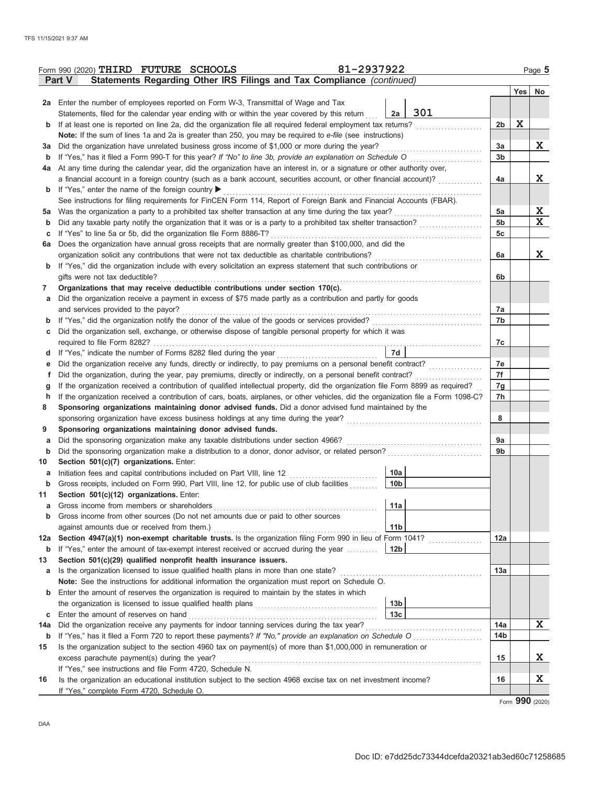|             | 81-2937922<br>Form 990 (2020) THIRD FUTURE SCHOOLS                                                                                 |                |             | Page 5   |
|-------------|------------------------------------------------------------------------------------------------------------------------------------|----------------|-------------|----------|
|             | Statements Regarding Other IRS Filings and Tax Compliance (continued)<br><b>Part V</b>                                             |                |             |          |
|             |                                                                                                                                    |                |             | $Yes$ No |
|             | 2a Enter the number of employees reported on Form W-3, Transmittal of Wage and Tax                                                 |                |             |          |
|             | 301<br>Statements, filed for the calendar year ending with or within the year covered by this return<br>2a                         |                |             |          |
|             | <b>b</b> If at least one is reported on line 2a, did the organization file all required federal employment tax returns?            | 2 <sub>b</sub> | $\mathbf X$ |          |
|             | Note: If the sum of lines 1a and 2a is greater than 250, you may be required to e-file (see instructions)                          |                |             |          |
|             | 3a Did the organization have unrelated business gross income of \$1,000 or more during the year?                                   | 3a             |             | X        |
| b           | If "Yes," has it filed a Form 990-T for this year? If "No" to line 3b, provide an explanation on Schedule O                        | 3 <sub>b</sub> |             |          |
| 4a          | At any time during the calendar year, did the organization have an interest in, or a signature or other authority over,            |                |             |          |
|             | a financial account in a foreign country (such as a bank account, securities account, or other financial account)?                 | 4a             |             | X        |
|             | <b>b</b> If "Yes," enter the name of the foreign country $\blacktriangleright$                                                     |                |             |          |
|             | See instructions for filing requirements for FinCEN Form 114, Report of Foreign Bank and Financial Accounts (FBAR).                |                |             |          |
|             |                                                                                                                                    | 5a             |             | X        |
| b           |                                                                                                                                    | 5 <sub>b</sub> |             | X        |
| c           | If "Yes" to line 5a or 5b, did the organization file Form 8886-T?                                                                  | 5c             |             |          |
| 6a          | Does the organization have annual gross receipts that are normally greater than \$100,000, and did the                             |                |             |          |
|             | organization solicit any contributions that were not tax deductible as charitable contributions?                                   | 6а             |             | X        |
|             | <b>b</b> If "Yes," did the organization include with every solicitation an express statement that such contributions or            |                |             |          |
|             | gifts were not tax deductible?                                                                                                     | 6b             |             |          |
| 7           | Organizations that may receive deductible contributions under section 170(c).                                                      |                |             |          |
| a           | Did the organization receive a payment in excess of \$75 made partly as a contribution and partly for goods                        |                |             |          |
|             |                                                                                                                                    | 7a<br>7b       |             |          |
| b           | Did the organization sell, exchange, or otherwise dispose of tangible personal property for which it was                           |                |             |          |
| c           |                                                                                                                                    | 7c             |             |          |
|             | 7d                                                                                                                                 |                |             |          |
| е           |                                                                                                                                    | 7e             |             |          |
| Ť.          |                                                                                                                                    | 7f             |             |          |
| g           | If the organization received a contribution of qualified intellectual property, did the organization file Form 8899 as required?   | 7g             |             |          |
| h           | If the organization received a contribution of cars, boats, airplanes, or other vehicles, did the organization file a Form 1098-C? | 7h             |             |          |
| 8           | Sponsoring organizations maintaining donor advised funds. Did a donor advised fund maintained by the                               |                |             |          |
|             |                                                                                                                                    | 8              |             |          |
| 9           | Sponsoring organizations maintaining donor advised funds.                                                                          |                |             |          |
| a           | Did the sponsoring organization make any taxable distributions under section 4966?                                                 | 9a             |             |          |
| b           | Did the sponsoring organization make a distribution to a donor, donor advisor, or related person?                                  | 9 <sub>b</sub> |             |          |
| 10          | Section 501(c)(7) organizations. Enter:                                                                                            |                |             |          |
| а           | 10a <br>Initiation fees and capital contributions included on Part VIII, line 12                                                   |                |             |          |
| b           | Gross receipts, included on Form 990, Part VIII, line 12, for public use of club facilities<br>10 <sub>b</sub>                     |                |             |          |
| 11          | Section 501(c)(12) organizations. Enter:                                                                                           |                |             |          |
| a           | 11a                                                                                                                                |                |             |          |
| b           | Gross income from other sources (Do not net amounts due or paid to other sources                                                   |                |             |          |
|             | against amounts due or received from them.)<br>11 <sub>b</sub>                                                                     |                |             |          |
| 12a         | Section 4947(a)(1) non-exempt charitable trusts. Is the organization filing Form 990 in lieu of Form 1041?                         | 12a            |             |          |
| $\mathbf b$ | If "Yes," enter the amount of tax-exempt interest received or accrued during the year<br>12 <sub>b</sub>                           |                |             |          |
| 13          | Section 501(c)(29) qualified nonprofit health insurance issuers.                                                                   |                |             |          |
| а           | Is the organization licensed to issue qualified health plans in more than one state?                                               | 13а            |             |          |
|             | Note: See the instructions for additional information the organization must report on Schedule O.                                  |                |             |          |
| b           | Enter the amount of reserves the organization is required to maintain by the states in which                                       |                |             |          |
|             | 13 <sub>b</sub>                                                                                                                    |                |             |          |
| c           | 13 <sub>c</sub><br>Enter the amount of reserves on hand                                                                            |                |             |          |
| 14a         |                                                                                                                                    | 14a            |             | X        |
| $\mathbf b$ |                                                                                                                                    | 14b            |             |          |
| 15          | Is the organization subject to the section 4960 tax on payment(s) of more than \$1,000,000 in remuneration or                      |                |             |          |
|             | excess parachute payment(s) during the year?                                                                                       | 15             |             | X        |
|             | If "Yes," see instructions and file Form 4720, Schedule N.                                                                         |                |             |          |
| 16          | Is the organization an educational institution subject to the section 4968 excise tax on net investment income?                    | 16             |             | X        |
|             | If "Yes," complete Form 4720, Schedule O.                                                                                          |                |             |          |

Form **990** (2020)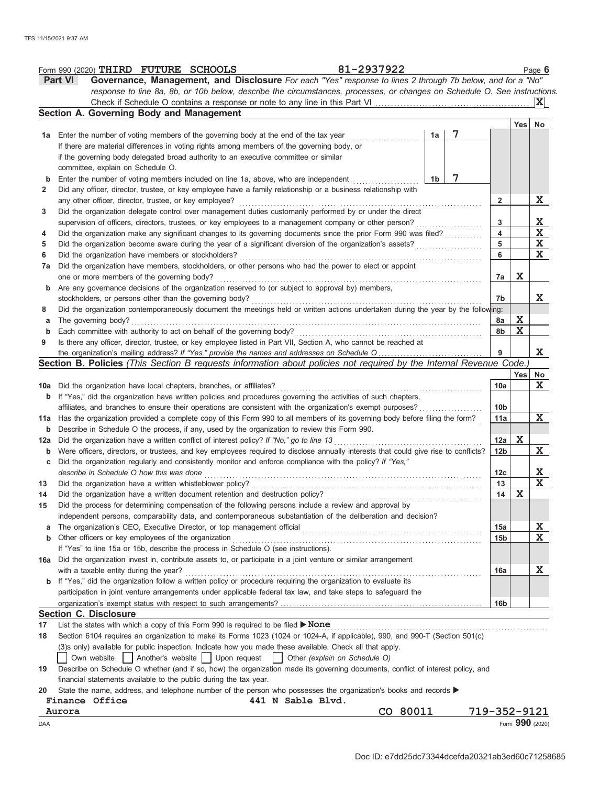|             | 81-2937922<br>Form 990 (2020) THIRD FUTURE SCHOOLS                                                                                  |    |   |                         |             | Page 6      |
|-------------|-------------------------------------------------------------------------------------------------------------------------------------|----|---|-------------------------|-------------|-------------|
|             | Part VI<br>Governance, Management, and Disclosure For each "Yes" response to lines 2 through 7b below, and for a "No"               |    |   |                         |             |             |
|             | response to line 8a, 8b, or 10b below, describe the circumstances, processes, or changes on Schedule O. See instructions.           |    |   |                         |             |             |
|             |                                                                                                                                     |    |   |                         |             |             |
|             | <b>Section A. Governing Body and Management</b>                                                                                     |    |   |                         |             |             |
|             |                                                                                                                                     |    |   |                         | Yes         | No          |
|             | 1a Enter the number of voting members of the governing body at the end of the tax year                                              | 1a | 7 |                         |             |             |
|             | If there are material differences in voting rights among members of the governing body, or                                          |    |   |                         |             |             |
|             | if the governing body delegated broad authority to an executive committee or similar                                                |    |   |                         |             |             |
|             | committee, explain on Schedule O.                                                                                                   |    |   |                         |             |             |
| b           | Enter the number of voting members included on line 1a, above, who are independent                                                  | 1b | 7 |                         |             |             |
| 2           | Did any officer, director, trustee, or key employee have a family relationship or a business relationship with                      |    |   |                         |             |             |
|             | any other officer, director, trustee, or key employee?                                                                              |    |   | $\overline{2}$          |             | X           |
| 3           | Did the organization delegate control over management duties customarily performed by or under the direct                           |    |   |                         |             |             |
|             | supervision of officers, directors, trustees, or key employees to a management company or other person?                             |    |   | 3                       |             | X           |
| 4           | Did the organization make any significant changes to its governing documents since the prior Form 990 was filed?                    |    |   | $\overline{\mathbf{4}}$ |             | X           |
| 5           | Did the organization become aware during the year of a significant diversion of the organization's assets?                          |    |   | 5                       |             | X           |
| 6           | Did the organization have members or stockholders?                                                                                  |    |   | 6                       |             | $\mathbf x$ |
| 7a          | Did the organization have members, stockholders, or other persons who had the power to elect or appoint                             |    |   |                         |             |             |
|             | one or more members of the governing body?                                                                                          |    |   | 7a                      | X           |             |
| b           | Are any governance decisions of the organization reserved to (or subject to approval by) members,                                   |    |   |                         |             |             |
|             | stockholders, or persons other than the governing body?                                                                             |    |   | 7b                      |             | X.          |
| 8           | Did the organization contemporaneously document the meetings held or written actions undertaken during the year by the following:   |    |   |                         |             |             |
|             | The governing body?                                                                                                                 |    |   | 8a                      | X           |             |
| а           | Each committee with authority to act on behalf of the governing body?                                                               |    |   | 8b                      | $\mathbf x$ |             |
| $\mathbf b$ | Is there any officer, director, trustee, or key employee listed in Part VII, Section A, who cannot be reached at                    |    |   |                         |             |             |
| 9           |                                                                                                                                     |    |   |                         |             | X           |
|             | Section B. Policies (This Section B requests information about policies not required by the Internal Revenue Code.)                 |    |   |                         |             |             |
|             |                                                                                                                                     |    |   |                         | <b>Yes</b>  |             |
|             |                                                                                                                                     |    |   |                         |             | No          |
|             | 10a Did the organization have local chapters, branches, or affiliates?                                                              |    |   | 10a                     |             | X           |
| b           | If "Yes," did the organization have written policies and procedures governing the activities of such chapters,                      |    |   |                         |             |             |
|             | affiliates, and branches to ensure their operations are consistent with the organization's exempt purposes?                         |    |   | 10 <sub>b</sub>         |             |             |
|             | 11a Has the organization provided a complete copy of this Form 990 to all members of its governing body before filing the form?     |    |   | 11a                     |             | X           |
| b           | Describe in Schedule O the process, if any, used by the organization to review this Form 990.                                       |    |   |                         |             |             |
| 12a         | Did the organization have a written conflict of interest policy? If "No," go to line 13                                             |    |   | 12a                     | X           |             |
| b           | Were officers, directors, or trustees, and key employees required to disclose annually interests that could give rise to conflicts? |    |   | 12 <sub>b</sub>         |             | X           |
|             | Did the organization regularly and consistently monitor and enforce compliance with the policy? If "Yes,"                           |    |   |                         |             |             |
|             | describe in Schedule O how this was done                                                                                            |    |   | 12 <sub>c</sub>         |             | Δ,          |
| 13          | Did the organization have a written whistleblower policy?                                                                           |    |   | 13                      |             | $\mathbf x$ |
| 14          | Did the organization have a written document retention and destruction policy?                                                      |    |   | 14                      | X           |             |
| 15          | Did the process for determining compensation of the following persons include a review and approval by                              |    |   |                         |             |             |
|             | independent persons, comparability data, and contemporaneous substantiation of the deliberation and decision?                       |    |   |                         |             |             |
| a           | The organization's CEO, Executive Director, or top management official                                                              |    |   | 15a                     |             | <u>x</u>    |
| b           | Other officers or key employees of the organization                                                                                 |    |   | 15 <sub>b</sub>         |             | X           |
|             | If "Yes" to line 15a or 15b, describe the process in Schedule O (see instructions).                                                 |    |   |                         |             |             |
|             | 16a Did the organization invest in, contribute assets to, or participate in a joint venture or similar arrangement                  |    |   |                         |             |             |
|             | with a taxable entity during the year?                                                                                              |    |   | <b>16a</b>              |             | X           |
|             | <b>b</b> If "Yes," did the organization follow a written policy or procedure requiring the organization to evaluate its             |    |   |                         |             |             |
|             | participation in joint venture arrangements under applicable federal tax law, and take steps to safeguard the                       |    |   |                         |             |             |
|             |                                                                                                                                     |    |   | 16 <sub>b</sub>         |             |             |
|             | <b>Section C. Disclosure</b>                                                                                                        |    |   |                         |             |             |
| 17          | List the states with which a copy of this Form 990 is required to be filed > None                                                   |    |   |                         |             |             |
| 18          | Section 6104 requires an organization to make its Forms 1023 (1024 or 1024-A, if applicable), 990, and 990-T (Section 501(c)        |    |   |                         |             |             |
|             | (3)s only) available for public inspection. Indicate how you made these available. Check all that apply.                            |    |   |                         |             |             |
|             | Another's website   Upon request<br>Own website<br>Other (explain on Schedule O)                                                    |    |   |                         |             |             |
| 19          | Describe on Schedule O whether (and if so, how) the organization made its governing documents, conflict of interest policy, and     |    |   |                         |             |             |
|             | financial statements available to the public during the tax year.                                                                   |    |   |                         |             |             |
| 20          | State the name, address, and telephone number of the person who possesses the organization's books and records                      |    |   |                         |             |             |
|             | 441 N Sable Blvd.<br>Finance Office                                                                                                 |    |   |                         |             |             |
|             | CO 80011<br>Aurora                                                                                                                  |    |   | 719-352-9121            |             |             |
|             |                                                                                                                                     |    |   |                         |             |             |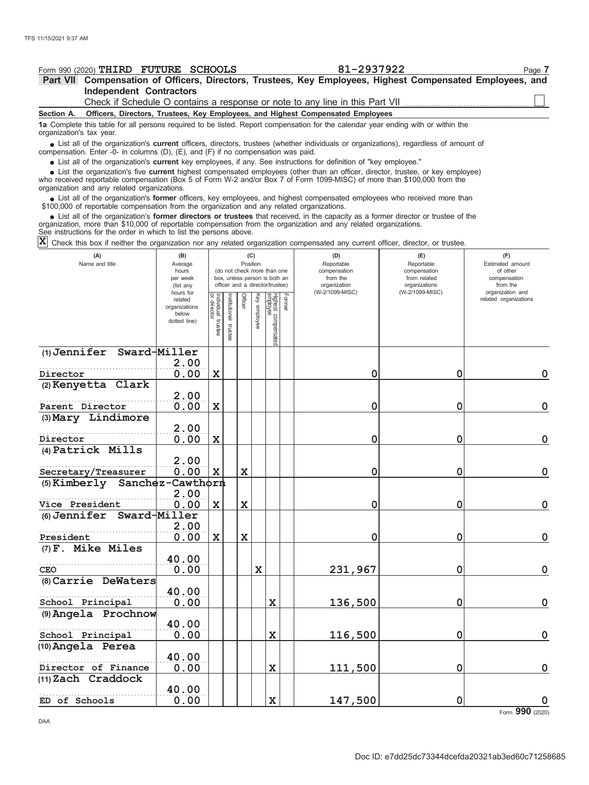| Form 990 (2020) THIRD FUTURE SCHOOLS                                                                                                                                                                                                                                                                       |                                |                                   |               |          |             |                                 |        | 81-2937922                      |                                  | Page 7                       |  |  |  |  |
|------------------------------------------------------------------------------------------------------------------------------------------------------------------------------------------------------------------------------------------------------------------------------------------------------------|--------------------------------|-----------------------------------|---------------|----------|-------------|---------------------------------|--------|---------------------------------|----------------------------------|------------------------------|--|--|--|--|
| Part VII Compensation of Officers, Directors, Trustees, Key Employees, Highest Compensated Employees, and                                                                                                                                                                                                  |                                |                                   |               |          |             |                                 |        |                                 |                                  |                              |  |  |  |  |
|                                                                                                                                                                                                                                                                                                            | <b>Independent Contractors</b> |                                   |               |          |             |                                 |        |                                 |                                  |                              |  |  |  |  |
|                                                                                                                                                                                                                                                                                                            |                                |                                   |               |          |             |                                 |        |                                 |                                  |                              |  |  |  |  |
| Check if Schedule O contains a response or note to any line in this Part VII<br>Officers, Directors, Trustees, Key Employees, and Highest Compensated Employees<br>Section A.                                                                                                                              |                                |                                   |               |          |             |                                 |        |                                 |                                  |                              |  |  |  |  |
| 1a Complete this table for all persons required to be listed. Report compensation for the calendar year ending with or within the<br>organization's tax year.                                                                                                                                              |                                |                                   |               |          |             |                                 |        |                                 |                                  |                              |  |  |  |  |
| • List all of the organization's current officers, directors, trustees (whether individuals or organizations), regardless of amount of<br>compensation. Enter -0- in columns (D), (E), and (F) if no compensation was paid.                                                                                |                                |                                   |               |          |             |                                 |        |                                 |                                  |                              |  |  |  |  |
| • List all of the organization's current key employees, if any. See instructions for definition of "key employee."                                                                                                                                                                                         |                                |                                   |               |          |             |                                 |        |                                 |                                  |                              |  |  |  |  |
| • List the organization's five current highest compensated employees (other than an officer, director, trustee, or key employee)<br>who received reportable compensation (Box 5 of Form W-2 and/or Box 7 of Form 1099-MISC) of more than \$100,000 from the<br>organization and any related organizations. |                                |                                   |               |          |             |                                 |        |                                 |                                  |                              |  |  |  |  |
| List all of the organization's former officers, key employees, and highest compensated employees who received more than<br>\$100,000 of reportable compensation from the organization and any related organizations.                                                                                       |                                |                                   |               |          |             |                                 |        |                                 |                                  |                              |  |  |  |  |
| • List all of the organization's former directors or trustees that received, in the capacity as a former director or trustee of the                                                                                                                                                                        |                                |                                   |               |          |             |                                 |        |                                 |                                  |                              |  |  |  |  |
| organization, more than \$10,000 of reportable compensation from the organization and any related organizations.<br>See instructions for the order in which to list the persons above.                                                                                                                     |                                |                                   |               |          |             |                                 |        |                                 |                                  |                              |  |  |  |  |
| ΙX<br>Check this box if neither the organization nor any related organization compensated any current officer, director, or trustee.                                                                                                                                                                       |                                |                                   |               |          |             |                                 |        |                                 |                                  |                              |  |  |  |  |
| (A)                                                                                                                                                                                                                                                                                                        | (B)                            |                                   |               | (C)      |             |                                 |        | (D)                             | (E)                              | (F)                          |  |  |  |  |
| Name and title                                                                                                                                                                                                                                                                                             | Average<br>hours               |                                   |               | Position |             | (do not check more than one     |        | Reportable<br>compensation      | Reportable<br>compensation       | Estimated amount<br>of other |  |  |  |  |
|                                                                                                                                                                                                                                                                                                            | per week                       |                                   |               |          |             | box, unless person is both an   |        | from the                        | from related                     | compensation                 |  |  |  |  |
|                                                                                                                                                                                                                                                                                                            | (list any<br>hours for         |                                   |               |          |             | officer and a director/trustee) |        | organization<br>(W-2/1099-MISC) | organizations<br>(W-2/1099-MISC) | from the<br>organization and |  |  |  |  |
|                                                                                                                                                                                                                                                                                                            | related                        |                                   | Institutional | Officer  | Key         |                                 | Former |                                 |                                  | related organizations        |  |  |  |  |
|                                                                                                                                                                                                                                                                                                            | organizations<br>below         |                                   |               |          |             |                                 |        |                                 |                                  |                              |  |  |  |  |
|                                                                                                                                                                                                                                                                                                            | dotted line)                   |                                   |               |          | employee    |                                 |        |                                 |                                  |                              |  |  |  |  |
|                                                                                                                                                                                                                                                                                                            |                                | Individual trustee<br>or director | trustee       |          |             |                                 |        |                                 |                                  |                              |  |  |  |  |
|                                                                                                                                                                                                                                                                                                            |                                |                                   |               |          |             | Highest compensated<br>employee |        |                                 |                                  |                              |  |  |  |  |
| (1) Jennifer Sward-Miller                                                                                                                                                                                                                                                                                  |                                |                                   |               |          |             |                                 |        |                                 |                                  |                              |  |  |  |  |
|                                                                                                                                                                                                                                                                                                            | 2.00                           |                                   |               |          |             |                                 |        |                                 |                                  |                              |  |  |  |  |
| Director                                                                                                                                                                                                                                                                                                   | 0.00                           | $\mathbf X$                       |               |          |             |                                 |        | 0                               | 0                                | 0                            |  |  |  |  |
| (2) Kenyetta Clark                                                                                                                                                                                                                                                                                         |                                |                                   |               |          |             |                                 |        |                                 |                                  |                              |  |  |  |  |
| Parent Director                                                                                                                                                                                                                                                                                            | 2.00<br>0.00                   | $\mathbf X$                       |               |          |             |                                 |        | 0                               | 0                                | 0                            |  |  |  |  |
| (3) Mary Lindimore                                                                                                                                                                                                                                                                                         |                                |                                   |               |          |             |                                 |        |                                 |                                  |                              |  |  |  |  |
|                                                                                                                                                                                                                                                                                                            | 2.00                           |                                   |               |          |             |                                 |        |                                 |                                  |                              |  |  |  |  |
| Director                                                                                                                                                                                                                                                                                                   | 0.00                           | $\mathbf X$                       |               |          |             |                                 |        | 0                               | 0                                | 0                            |  |  |  |  |
| (4) Patrick Mills                                                                                                                                                                                                                                                                                          |                                |                                   |               |          |             |                                 |        |                                 |                                  |                              |  |  |  |  |
|                                                                                                                                                                                                                                                                                                            | 2.00                           |                                   |               |          |             |                                 |        |                                 |                                  |                              |  |  |  |  |
| Secretary/Treasurer                                                                                                                                                                                                                                                                                        | 0.00                           | X                                 |               | X        |             |                                 |        | 0                               | 0                                | 0                            |  |  |  |  |
| $(5)$ Kimberly Sanchez-Cawthorn                                                                                                                                                                                                                                                                            |                                |                                   |               |          |             |                                 |        |                                 |                                  |                              |  |  |  |  |
|                                                                                                                                                                                                                                                                                                            | 2.00                           |                                   |               |          |             |                                 |        |                                 |                                  |                              |  |  |  |  |
| Vice President                                                                                                                                                                                                                                                                                             | 0.00                           | X                                 |               | X        |             |                                 |        | 0                               | 0                                | 0                            |  |  |  |  |
| (6) Jennifer Sward-Miller                                                                                                                                                                                                                                                                                  |                                |                                   |               |          |             |                                 |        |                                 |                                  |                              |  |  |  |  |
|                                                                                                                                                                                                                                                                                                            | 2.00                           |                                   |               |          |             |                                 |        |                                 |                                  |                              |  |  |  |  |
| President                                                                                                                                                                                                                                                                                                  | 0.00                           | X                                 |               | X        |             |                                 |        | 0                               | 0                                | 0                            |  |  |  |  |
| (7) F. Mike Miles                                                                                                                                                                                                                                                                                          |                                |                                   |               |          |             |                                 |        |                                 |                                  |                              |  |  |  |  |
|                                                                                                                                                                                                                                                                                                            | 40.00                          |                                   |               |          |             |                                 |        |                                 |                                  |                              |  |  |  |  |
| <b>CEO</b>                                                                                                                                                                                                                                                                                                 | 0.00                           |                                   |               |          | $\mathbf X$ |                                 |        | 231,967                         | 0                                | $\mathbf 0$                  |  |  |  |  |
| (8) Carrie DeWaters                                                                                                                                                                                                                                                                                        |                                |                                   |               |          |             |                                 |        |                                 |                                  |                              |  |  |  |  |
|                                                                                                                                                                                                                                                                                                            | 40.00                          |                                   |               |          |             |                                 |        |                                 |                                  |                              |  |  |  |  |
| School Principal                                                                                                                                                                                                                                                                                           | 0.00                           |                                   |               |          |             | $\mathbf X$                     |        | 136,500                         | 0                                | 0                            |  |  |  |  |
| (9) Angela Prochnow                                                                                                                                                                                                                                                                                        |                                |                                   |               |          |             |                                 |        |                                 |                                  |                              |  |  |  |  |
|                                                                                                                                                                                                                                                                                                            | 40.00                          |                                   |               |          |             |                                 |        |                                 |                                  |                              |  |  |  |  |
| School Principal                                                                                                                                                                                                                                                                                           | 0.00                           |                                   |               |          |             | $\mathbf X$                     |        | 116,500                         | 0                                | $\mathbf 0$                  |  |  |  |  |

**111,500 0 0 0** 

**147,500 0 0 0** 

Form **990** (2020)

DAA

**(10) Angela Perea**

**(11) Zach Craddock**

. . . . . . . . . . . . . . . . . . . . . . . . . . . . . . . . . . . . . . . . . . . . . . . . . . . . . **Director of Finance**

**40.00**

**40.00**

. . . . . . . . . . . . . . . . . . . . . . . . . . . . . . . . . . . . . . . . . . . . . . . . . . . . . **ED of Schools**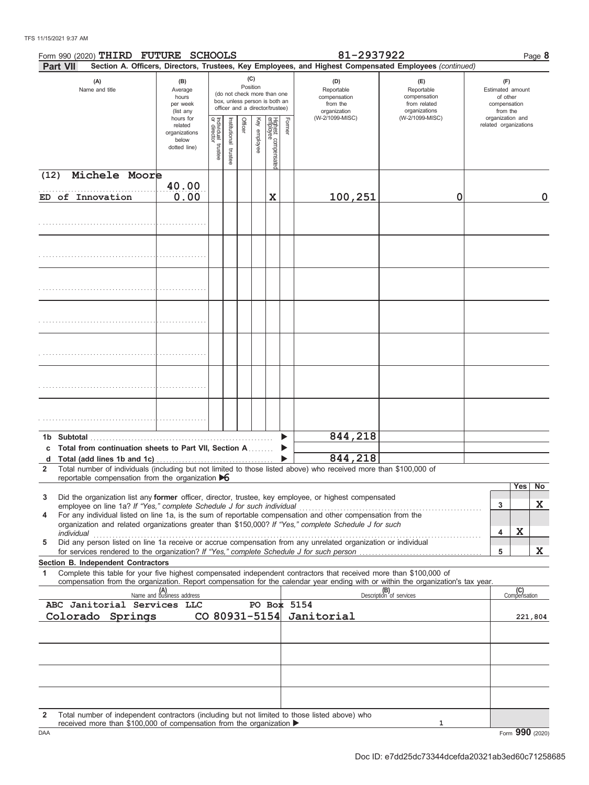|                   |                 | Form 990 (2020) THIRD FUTURE SCHOOLS                                     |                                                                |                                   |                         |                 |              |                                                                                                 |        | 81-2937922                                                                                                                                                                                                |                                                                                                                                  |                                                                 |                       | Page 8         |
|-------------------|-----------------|--------------------------------------------------------------------------|----------------------------------------------------------------|-----------------------------------|-------------------------|-----------------|--------------|-------------------------------------------------------------------------------------------------|--------|-----------------------------------------------------------------------------------------------------------------------------------------------------------------------------------------------------------|----------------------------------------------------------------------------------------------------------------------------------|-----------------------------------------------------------------|-----------------------|----------------|
|                   | <b>Part VII</b> |                                                                          |                                                                |                                   |                         |                 |              |                                                                                                 |        |                                                                                                                                                                                                           | Section A. Officers, Directors, Trustees, Key Employees, and Highest Compensated Employees (continued)                           |                                                                 |                       |                |
|                   |                 | (A)<br>Name and title                                                    | (B)<br>Average<br>hours<br>per week<br>(list any               |                                   |                         | (C)<br>Position |              | (do not check more than one<br>box, unless person is both an<br>officer and a director/trustee) |        | (D)<br>Reportable<br>compensation<br>from the<br>organization<br>(W-2/1099-MISC)                                                                                                                          | (E)<br>Reportable<br>compensation<br>from related<br>organizations<br>(W-2/1099-MISC)                                            | (F)<br>of other<br>compensation<br>from the<br>organization and | Estimated amount      |                |
|                   |                 |                                                                          | hours for<br>related<br>organizations<br>below<br>dotted line) | Individual trustee<br>or director | nstitutional<br>trustee | Officer         | Key employee | Highest compensatec<br>employee                                                                 | Former |                                                                                                                                                                                                           |                                                                                                                                  |                                                                 | related organizations |                |
| (12)              |                 | Michele Moore                                                            | 40.00                                                          |                                   |                         |                 |              |                                                                                                 |        |                                                                                                                                                                                                           |                                                                                                                                  |                                                                 |                       |                |
| ED.               |                 | of Innovation                                                            | 0.00                                                           |                                   |                         |                 |              | X                                                                                               |        | 100,251                                                                                                                                                                                                   | 0                                                                                                                                |                                                                 |                       | $\mathbf 0$    |
|                   |                 |                                                                          |                                                                |                                   |                         |                 |              |                                                                                                 |        |                                                                                                                                                                                                           |                                                                                                                                  |                                                                 |                       |                |
|                   |                 |                                                                          |                                                                |                                   |                         |                 |              |                                                                                                 |        |                                                                                                                                                                                                           |                                                                                                                                  |                                                                 |                       |                |
|                   |                 |                                                                          |                                                                |                                   |                         |                 |              |                                                                                                 |        |                                                                                                                                                                                                           |                                                                                                                                  |                                                                 |                       |                |
|                   |                 |                                                                          |                                                                |                                   |                         |                 |              |                                                                                                 |        |                                                                                                                                                                                                           |                                                                                                                                  |                                                                 |                       |                |
|                   |                 |                                                                          |                                                                |                                   |                         |                 |              |                                                                                                 |        |                                                                                                                                                                                                           |                                                                                                                                  |                                                                 |                       |                |
|                   |                 |                                                                          |                                                                |                                   |                         |                 |              |                                                                                                 |        |                                                                                                                                                                                                           |                                                                                                                                  |                                                                 |                       |                |
|                   |                 |                                                                          |                                                                |                                   |                         |                 |              |                                                                                                 |        |                                                                                                                                                                                                           |                                                                                                                                  |                                                                 |                       |                |
| 1b.               |                 | <b>Subtotal</b><br>Total from continuation sheets to Part VII, Section A |                                                                |                                   |                         |                 |              |                                                                                                 |        | 844,218<br>844,218                                                                                                                                                                                        |                                                                                                                                  |                                                                 |                       |                |
| d<br>$\mathbf{2}$ |                 | reportable compensation from the organization $\triangleright 6$         |                                                                |                                   |                         |                 |              |                                                                                                 |        | Total number of individuals (including but not limited to those listed above) who received more than \$100,000 of                                                                                         |                                                                                                                                  |                                                                 |                       |                |
| 3                 |                 |                                                                          |                                                                |                                   |                         |                 |              |                                                                                                 |        | Did the organization list any former officer, director, trustee, key employee, or highest compensated                                                                                                     |                                                                                                                                  |                                                                 | Yes                   | N <sub>o</sub> |
| 4                 |                 | employee on line 1a? If "Yes," complete Schedule J for such individual   |                                                                |                                   |                         |                 |              |                                                                                                 |        | For any individual listed on line 1a, is the sum of reportable compensation and other compensation from the                                                                                               |                                                                                                                                  | 3                                                               |                       | X              |
|                   | individual      |                                                                          |                                                                |                                   |                         |                 |              |                                                                                                 |        | organization and related organizations greater than \$150,000? If "Yes," complete Schedule J for such                                                                                                     |                                                                                                                                  | 4                                                               | X                     |                |
| 5                 |                 |                                                                          |                                                                |                                   |                         |                 |              |                                                                                                 |        | Did any person listed on line 1a receive or accrue compensation from any unrelated organization or individual<br>for services rendered to the organization? If "Yes," complete Schedule J for such person |                                                                                                                                  | 5                                                               |                       | X              |
|                   |                 | <b>Section B. Independent Contractors</b>                                |                                                                |                                   |                         |                 |              |                                                                                                 |        |                                                                                                                                                                                                           |                                                                                                                                  |                                                                 |                       |                |
| 1                 |                 |                                                                          |                                                                |                                   |                         |                 |              |                                                                                                 |        | Complete this table for your five highest compensated independent contractors that received more than \$100,000 of                                                                                        | compensation from the organization. Report compensation for the calendar year ending with or within the organization's tax year. |                                                                 |                       |                |
|                   |                 |                                                                          | (A)<br>Name and business address                               |                                   |                         |                 |              |                                                                                                 |        |                                                                                                                                                                                                           | Description of services                                                                                                          |                                                                 | (C)<br>Compensation   |                |
|                   |                 | ABC Janitorial Services LLC<br>Colorado Springs                          |                                                                |                                   |                         |                 |              | PO Box 5154                                                                                     |        | CO 80931-5154 Janitorial                                                                                                                                                                                  |                                                                                                                                  |                                                                 |                       | 221,804        |
|                   |                 |                                                                          |                                                                |                                   |                         |                 |              |                                                                                                 |        |                                                                                                                                                                                                           |                                                                                                                                  |                                                                 |                       |                |
|                   |                 |                                                                          |                                                                |                                   |                         |                 |              |                                                                                                 |        |                                                                                                                                                                                                           |                                                                                                                                  |                                                                 |                       |                |
|                   |                 |                                                                          |                                                                |                                   |                         |                 |              |                                                                                                 |        |                                                                                                                                                                                                           |                                                                                                                                  |                                                                 |                       |                |
|                   |                 |                                                                          |                                                                |                                   |                         |                 |              |                                                                                                 |        |                                                                                                                                                                                                           |                                                                                                                                  |                                                                 |                       |                |
| 2                 |                 | received more than \$100,000 of compensation from the organization ▶     |                                                                |                                   |                         |                 |              |                                                                                                 |        | Total number of independent contractors (including but not limited to those listed above) who                                                                                                             | 1                                                                                                                                |                                                                 |                       |                |

DAA Form **990** (2020)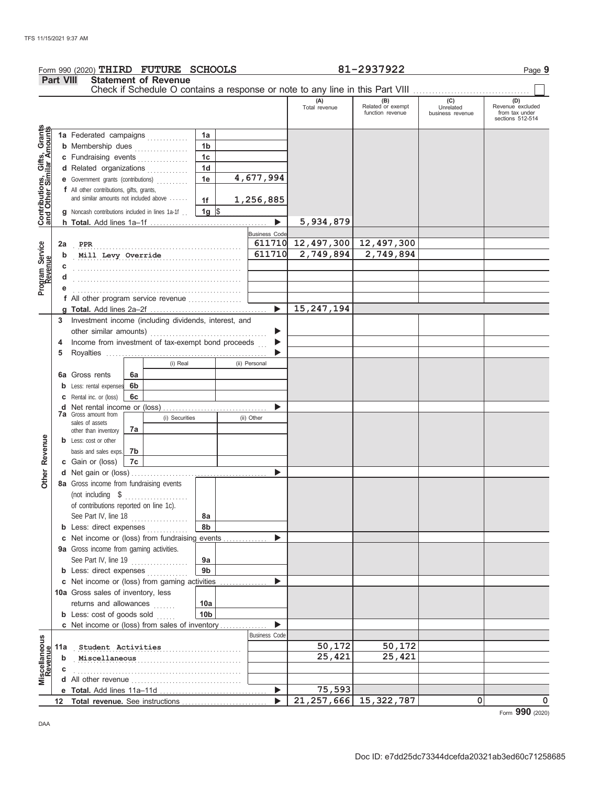|                              |                  | Form 990 (2020) THIRD FUTURE SCHOOLS                                             |    |                             |                 |            |                      |               | 81-2937922                                                                           |                               | Page 9                                                 |
|------------------------------|------------------|----------------------------------------------------------------------------------|----|-----------------------------|-----------------|------------|----------------------|---------------|--------------------------------------------------------------------------------------|-------------------------------|--------------------------------------------------------|
|                              | <b>Part VIII</b> |                                                                                  |    | <b>Statement of Revenue</b> |                 |            |                      |               |                                                                                      |                               |                                                        |
|                              |                  |                                                                                  |    |                             |                 |            |                      | (A)           | Check if Schedule O contains a response or note to any line in this Part VIII<br>(B) | (C)                           | (D)                                                    |
|                              |                  |                                                                                  |    |                             |                 |            |                      | Total revenue | Related or exempt<br>function revenue                                                | Unrelated<br>business revenue | Revenue excluded<br>from tax under<br>sections 512-514 |
| Contributions, Gifts, Grants |                  | 1a Federated campaigns                                                           |    |                             | 1a              |            |                      |               |                                                                                      |                               |                                                        |
|                              |                  | <b>b</b> Membership dues                                                         |    | .                           | 1 <sub>b</sub>  |            |                      |               |                                                                                      |                               |                                                        |
|                              |                  | c Fundraising events                                                             |    | . <b>.</b> .                | 1 <sub>c</sub>  |            |                      |               |                                                                                      |                               |                                                        |
|                              |                  | d Related organizations                                                          |    |                             | 1 <sub>d</sub>  |            |                      |               |                                                                                      |                               |                                                        |
|                              |                  | e Government grants (contributions)                                              |    |                             | 1e              |            | 4,677,994            |               |                                                                                      |                               |                                                        |
|                              |                  | f All other contributions, gifts, grants,                                        |    |                             |                 |            |                      |               |                                                                                      |                               |                                                        |
|                              |                  | and similar amounts not included above                                           |    |                             | 1f              |            | 1,256,885            |               |                                                                                      |                               |                                                        |
|                              |                  | <b>g</b> Noncash contributions included in lines 1a-1f.                          |    |                             | $1g$ $\sqrt{3}$ |            |                      |               |                                                                                      |                               |                                                        |
|                              |                  |                                                                                  |    |                             |                 |            |                      | 5,934,879     |                                                                                      |                               |                                                        |
|                              |                  |                                                                                  |    |                             |                 |            | <b>Business Code</b> |               |                                                                                      |                               |                                                        |
|                              |                  | 2a PPR                                                                           |    |                             |                 |            | 611710               | 12,497,300    | 12,497,300                                                                           |                               |                                                        |
| Program Service              | b                | Mill Levy Override                                                               |    |                             |                 |            | 611710               | 2,749,894     | 2,749,894                                                                            |                               |                                                        |
|                              | С                |                                                                                  |    |                             |                 |            |                      |               |                                                                                      |                               |                                                        |
|                              |                  |                                                                                  |    |                             |                 |            |                      |               |                                                                                      |                               |                                                        |
|                              |                  |                                                                                  |    |                             |                 |            |                      |               |                                                                                      |                               |                                                        |
|                              |                  | f All other program service revenue                                              |    |                             |                 |            |                      | 15, 247, 194  |                                                                                      |                               |                                                        |
|                              | 3                | Investment income (including dividends, interest, and                            |    |                             |                 |            |                      |               |                                                                                      |                               |                                                        |
|                              |                  | other similar amounts)                                                           |    |                             |                 |            |                      |               |                                                                                      |                               |                                                        |
|                              | 4                | Income from investment of tax-exempt bond proceeds                               |    |                             | .               |            |                      |               |                                                                                      |                               |                                                        |
|                              | 5                |                                                                                  |    |                             |                 |            |                      |               |                                                                                      |                               |                                                        |
|                              |                  |                                                                                  |    | (i) Real                    |                 |            | (ii) Personal        |               |                                                                                      |                               |                                                        |
|                              | 6а               | Gross rents                                                                      | 6a |                             |                 |            |                      |               |                                                                                      |                               |                                                        |
|                              |                  | Less: rental expenses                                                            | 6b |                             |                 |            |                      |               |                                                                                      |                               |                                                        |
|                              |                  | <b>C</b> Rental inc. or (loss)                                                   | 6c |                             |                 |            |                      |               |                                                                                      |                               |                                                        |
|                              |                  | d Net rental income or (loss)                                                    |    |                             |                 | . <u>.</u> |                      |               |                                                                                      |                               |                                                        |
|                              |                  | <b>7a</b> Gross amount from                                                      |    | (i) Securities              |                 |            | (ii) Other           |               |                                                                                      |                               |                                                        |
|                              |                  | sales of assets<br>other than inventory                                          | 7a |                             |                 |            |                      |               |                                                                                      |                               |                                                        |
| Revenue                      |                  | <b>b</b> Less: cost or other                                                     |    |                             |                 |            |                      |               |                                                                                      |                               |                                                        |
|                              |                  | basis and sales exps.                                                            | 7b |                             |                 |            |                      |               |                                                                                      |                               |                                                        |
|                              |                  | c Gain or (loss)                                                                 | 7c |                             |                 |            |                      |               |                                                                                      |                               |                                                        |
| $\overline{ }$<br>Othe       |                  | d Net gain or (loss)                                                             |    |                             |                 |            |                      |               |                                                                                      |                               |                                                        |
|                              |                  | 8a Gross income from fundraising events                                          |    |                             |                 |            |                      |               |                                                                                      |                               |                                                        |
|                              |                  | (not including \$                                                                |    | .                           |                 |            |                      |               |                                                                                      |                               |                                                        |
|                              |                  | of contributions reported on line 1c).                                           |    |                             |                 |            |                      |               |                                                                                      |                               |                                                        |
|                              |                  | See Part IV, line 18                                                             |    |                             | 8a<br>8b        |            |                      |               |                                                                                      |                               |                                                        |
|                              |                  | <b>b</b> Less: direct expenses<br>c Net income or (loss) from fundraising events |    |                             |                 |            |                      |               |                                                                                      |                               |                                                        |
|                              |                  | 9a Gross income from gaming activities.                                          |    |                             |                 |            |                      |               |                                                                                      |                               |                                                        |
|                              |                  | See Part IV, line 19                                                             |    |                             | 9a              |            |                      |               |                                                                                      |                               |                                                        |
|                              |                  | <b>b</b> Less: direct expenses                                                   |    | .                           | 9 <sub>b</sub>  |            |                      |               |                                                                                      |                               |                                                        |
|                              |                  | c Net income or (loss) from gaming activities                                    |    |                             |                 |            |                      |               |                                                                                      |                               |                                                        |
|                              |                  | 10a Gross sales of inventory, less                                               |    |                             |                 |            |                      |               |                                                                                      |                               |                                                        |
|                              |                  | returns and allowances                                                           |    | .                           | 10a             |            |                      |               |                                                                                      |                               |                                                        |
|                              |                  | <b>b</b> Less: cost of goods sold                                                |    |                             | 10 <sub>b</sub> |            |                      |               |                                                                                      |                               |                                                        |
|                              |                  | c Net income or (loss) from sales of inventory                                   |    |                             |                 |            |                      |               |                                                                                      |                               |                                                        |
|                              |                  |                                                                                  |    |                             |                 |            | <b>Business Code</b> |               |                                                                                      |                               |                                                        |
|                              |                  | 11a Student Activities                                                           |    |                             |                 |            |                      | 50, 172       | 50,172                                                                               |                               |                                                        |
| Miscellaneous<br>Revenue     | b                | Miscellaneous                                                                    |    |                             |                 |            |                      | 25,421        | 25,421                                                                               |                               |                                                        |
|                              |                  |                                                                                  |    |                             |                 |            |                      |               |                                                                                      |                               |                                                        |
|                              |                  |                                                                                  |    |                             |                 |            |                      |               |                                                                                      |                               |                                                        |
|                              |                  |                                                                                  |    |                             |                 |            |                      | 75,593        |                                                                                      |                               |                                                        |
|                              |                  |                                                                                  |    |                             |                 |            |                      | 21, 257, 666  | 15,322,787                                                                           | $\mathbf 0$                   | 0                                                      |

Form **990** (2020)

### Doc ID: e7dd25dc73344dcefda20321ab3ed60c71258685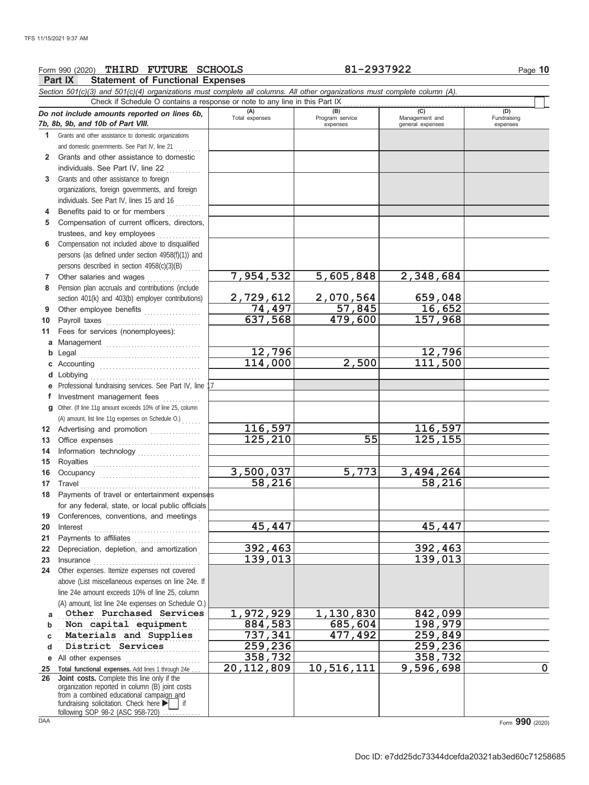|              | Form 990 (2020) THIRD FUTURE SCHOOLS<br><b>Statement of Functional Expenses</b><br>Part IX                                 |                  | 81-2937922                  |                                    | Page 10                 |
|--------------|----------------------------------------------------------------------------------------------------------------------------|------------------|-----------------------------|------------------------------------|-------------------------|
|              | Section 501(c)(3) and 501(c)(4) organizations must complete all columns. All other organizations must complete column (A). |                  |                             |                                    |                         |
|              | Check if Schedule O contains a response or note to any line in this Part IX                                                |                  |                             |                                    |                         |
|              | Do not include amounts reported on lines 6b,                                                                               | (A)              | (B)                         | (C)                                | (D)                     |
|              | 7b, 8b, 9b, and 10b of Part VIII.                                                                                          | Total expenses   | Program service<br>expenses | Management and<br>general expenses | Fundraising<br>expenses |
| 1.           | Grants and other assistance to domestic organizations                                                                      |                  |                             |                                    |                         |
|              | and domestic governments. See Part IV, line 21                                                                             |                  |                             |                                    |                         |
| $\mathbf{2}$ | Grants and other assistance to domestic                                                                                    |                  |                             |                                    |                         |
|              | individuals. See Part IV, line 22                                                                                          |                  |                             |                                    |                         |
|              | Grants and other assistance to foreign                                                                                     |                  |                             |                                    |                         |
| 3            |                                                                                                                            |                  |                             |                                    |                         |
|              | organizations, foreign governments, and foreign                                                                            |                  |                             |                                    |                         |
|              | individuals. See Part IV, lines 15 and 16                                                                                  |                  |                             |                                    |                         |
|              | Benefits paid to or for members                                                                                            |                  |                             |                                    |                         |
| 5            | Compensation of current officers, directors,                                                                               |                  |                             |                                    |                         |
|              | trustees, and key employees                                                                                                |                  |                             |                                    |                         |
| 6            | Compensation not included above to disqualified                                                                            |                  |                             |                                    |                         |
|              | persons (as defined under section 4958(f)(1)) and                                                                          |                  |                             |                                    |                         |
|              | persons described in section 4958(c)(3)(B)                                                                                 |                  |                             |                                    |                         |
| $7^{\circ}$  | Other salaries and wages                                                                                                   | 7,954,532        | 5,605,848                   | 2,348,684                          |                         |
| 8            | Pension plan accruals and contributions (include                                                                           |                  |                             |                                    |                         |
|              | section 401(k) and 403(b) employer contributions)                                                                          | 2,729,612        | 2,070,564                   | 659,048                            |                         |
| 9            | Other employee benefits                                                                                                    | 74,497           | 57,845                      | 16,652                             |                         |
| 10           |                                                                                                                            | 637,568          | 479,600                     | 157,968                            |                         |
| 11           | Fees for services (nonemployees):                                                                                          |                  |                             |                                    |                         |
|              | a Management                                                                                                               |                  |                             |                                    |                         |
| b            | Legal                                                                                                                      | 12,796           |                             | 12,796                             |                         |
| С            |                                                                                                                            | 114,000          | 2,500                       | 111,500                            |                         |
| d            | Lobbying                                                                                                                   |                  |                             |                                    |                         |
|              | e Professional fundraising services. See Part IV, line 17                                                                  |                  |                             |                                    |                         |
|              | f Investment management fees                                                                                               |                  |                             |                                    |                         |
| a            | Other. (If line 11g amount exceeds 10% of line 25, column                                                                  |                  |                             |                                    |                         |
|              | (A) amount, list line 11g expenses on Schedule O.)                                                                         |                  |                             |                                    |                         |
|              | 12 Advertising and promotion                                                                                               | 116,597          |                             | 116,597                            |                         |
| 13           |                                                                                                                            | 125,210          | 55                          | 125,155                            |                         |
| 14           | Information technology                                                                                                     |                  |                             |                                    |                         |
| 15           |                                                                                                                            |                  |                             |                                    |                         |
| 16           |                                                                                                                            | <u>3,500,037</u> | 5,773                       | 3,494,264                          |                         |
| 17           | Travel                                                                                                                     | 58,216           |                             | 58,216                             |                         |
| 18           | Payments of travel or entertainment expenses                                                                               |                  |                             |                                    |                         |
|              | for any federal, state, or local public officials                                                                          |                  |                             |                                    |                         |
| 19           | Conferences, conventions, and meetings                                                                                     |                  |                             |                                    |                         |
| 20           | Interest                                                                                                                   | 45,447           |                             | 45,447                             |                         |
| 21           | Payments to affiliates                                                                                                     |                  |                             |                                    |                         |
| 22           | Depreciation, depletion, and amortization                                                                                  | 392,463          |                             | 392,463                            |                         |
| 23           | Insurance <b>International Property Container</b>                                                                          | 139,013          |                             | 139,013                            |                         |
| 24           | Other expenses. Itemize expenses not covered                                                                               |                  |                             |                                    |                         |
|              | above (List miscellaneous expenses on line 24e. If                                                                         |                  |                             |                                    |                         |
|              | line 24e amount exceeds 10% of line 25, column                                                                             |                  |                             |                                    |                         |
|              | (A) amount, list line 24e expenses on Schedule O.)                                                                         |                  |                             |                                    |                         |
| a            | Other Purchased Services                                                                                                   | 1,972,929        | 1,130,830                   | 842,099                            |                         |
| b            | Non capital equipment                                                                                                      | 884,583          | 685,604                     | 198,979                            |                         |
| C            | Materials and Supplies                                                                                                     | 737,341          | 477,492                     | 259,849                            |                         |
| d            | District Services                                                                                                          | 259,236          |                             | 259,236                            |                         |
| е            | All other expenses                                                                                                         | 358,732          |                             | 358,732                            |                         |
| 25           | Total functional expenses. Add lines 1 through 24e.                                                                        | 20, 112, 809     | 10,516,111                  | 9,596,698                          | $\mathbf 0$             |
| 26           | Joint costs. Complete this line only if the                                                                                |                  |                             |                                    |                         |
|              | organization reported in column (B) joint costs                                                                            |                  |                             |                                    |                         |
|              | from a combined educational campaign and<br>fundraising solicitation. Check here $\blacktriangleright$   if                |                  |                             |                                    |                         |
|              | following SOP 98-2 (ASC 958-720)                                                                                           |                  |                             |                                    |                         |

DAA **Form 990** (2020)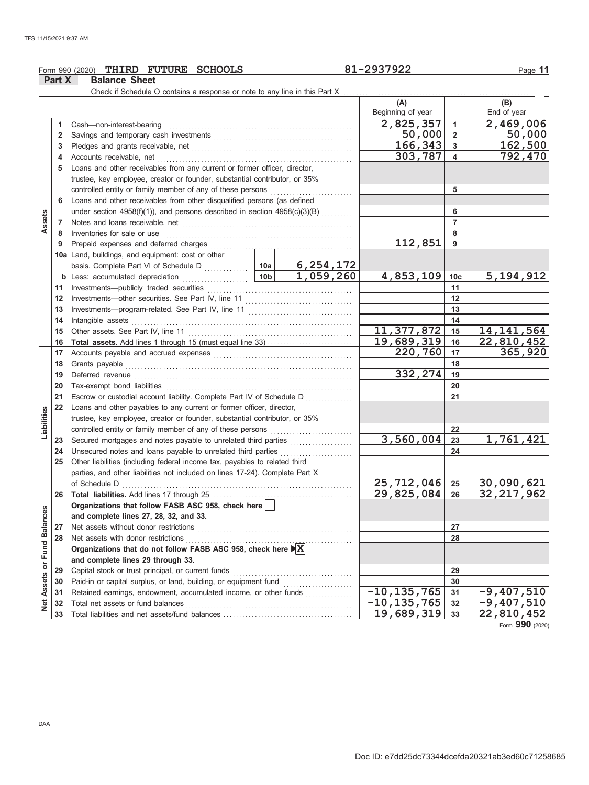|                         |              | Form 990 (2020) THIRD FUTURE SCHOOLS                                                                                       | 81-2937922 | Page 11 |                             |                         |                    |
|-------------------------|--------------|----------------------------------------------------------------------------------------------------------------------------|------------|---------|-----------------------------|-------------------------|--------------------|
|                         | Part X       | <b>Balance Sheet</b>                                                                                                       |            |         |                             |                         |                    |
|                         |              | Check if Schedule O contains a response or note to any line in this Part X                                                 |            |         |                             |                         |                    |
|                         |              |                                                                                                                            |            |         | (A)<br>Beginning of year    |                         | (B)<br>End of year |
|                         | 1            | Cash-non-interest-bearing                                                                                                  |            |         | 2,825,357                   | $\mathbf{1}$            | 2,469,006          |
|                         | $\mathbf{2}$ |                                                                                                                            | $50,000$ 2 |         | 50,000                      |                         |                    |
|                         | 3            |                                                                                                                            |            |         | 166, 343                    | $\mathbf{3}$            | 162,500            |
|                         | 4            |                                                                                                                            |            |         | 303,787                     | $\overline{\mathbf{4}}$ | 792,470            |
|                         | 5            | Loans and other receivables from any current or former officer, director,                                                  |            |         |                             |                         |                    |
|                         |              | trustee, key employee, creator or founder, substantial contributor, or 35%                                                 |            |         |                             |                         |                    |
|                         |              | controlled entity or family member of any of these persons                                                                 |            | 5       |                             |                         |                    |
|                         | 6            | Loans and other receivables from other disqualified persons (as defined                                                    |            |         |                             |                         |                    |
|                         |              | under section 4958(f)(1)), and persons described in section 4958(c)(3)(B)                                                  |            |         |                             | 6                       |                    |
| Assets                  | 7            |                                                                                                                            |            |         |                             | 7                       |                    |
|                         | 8            | Inventories for sale or use <i>communically contained as a measure of the sale</i>                                         |            |         |                             | 8                       |                    |
|                         | 9            |                                                                                                                            |            |         | 112,851                     | 9                       |                    |
|                         |              | 10a Land, buildings, and equipment: cost or other                                                                          |            |         |                             |                         |                    |
|                         |              |                                                                                                                            |            |         |                             |                         |                    |
|                         |              |                                                                                                                            |            |         | 4,853,109                   | 10 <sub>c</sub>         | 5, 194, 912        |
|                         | 11           |                                                                                                                            |            |         |                             | 11                      |                    |
|                         | 12           |                                                                                                                            |            |         |                             | 12                      |                    |
|                         | 13           |                                                                                                                            |            |         |                             | 13                      |                    |
|                         | 14           |                                                                                                                            |            |         |                             | 14                      |                    |
|                         | 15           |                                                                                                                            |            |         | 11,377,872                  | 15                      | 14, 141, 564       |
|                         | 16           |                                                                                                                            |            |         | 19,689,319                  | 16                      | 22,810,452         |
|                         | 17           |                                                                                                                            |            |         | 220,760                     | 17                      | 365,920            |
|                         | 18           |                                                                                                                            |            | 18      |                             |                         |                    |
|                         | 19           |                                                                                                                            |            |         | 332,274                     | 19                      |                    |
|                         | 20           |                                                                                                                            |            |         |                             | 20                      |                    |
|                         | 21           | Escrow or custodial account liability. Complete Part IV of Schedule D                                                      |            |         |                             | 21                      |                    |
|                         | 22           | Loans and other payables to any current or former officer, director,                                                       |            |         |                             |                         |                    |
|                         |              | trustee, key employee, creator or founder, substantial contributor, or 35%                                                 |            |         |                             |                         |                    |
| Liabilities             |              | controlled entity or family member of any of these persons                                                                 |            |         |                             | 22                      |                    |
|                         | 23           | Secured mortgages and notes payable to unrelated third parties                                                             |            |         | 3,560,004                   | 23                      | 1,761,421          |
|                         | 24           | Unsecured notes and loans payable to unrelated third parties                                                               |            |         |                             | 24                      |                    |
|                         | 25           | Other liabilities (including federal income tax, payables to related third                                                 |            |         |                             |                         |                    |
|                         |              | parties, and other liabilities not included on lines 17-24). Complete Part X                                               |            |         |                             |                         |                    |
|                         |              | of Schedule D                                                                                                              |            |         | 25,712,046                  | 25                      | 30,090,621         |
|                         | 26           |                                                                                                                            |            |         | 29,825,084                  | 26                      | 32, 217, 962       |
|                         |              | Organizations that follow FASB ASC 958, check here                                                                         |            |         |                             |                         |                    |
|                         |              | and complete lines 27, 28, 32, and 33.                                                                                     |            |         |                             |                         |                    |
|                         | 27           |                                                                                                                            |            |         | 27                          |                         |                    |
|                         | 28           | Net assets with donor restrictions<br><b>Organizations that do not follow FASB ASC 958, check here</b> $\sqrt{\mathbf{X}}$ |            |         |                             | 28                      |                    |
|                         |              |                                                                                                                            |            |         |                             |                         |                    |
| Assets or Fund Balances |              | and complete lines 29 through 33.                                                                                          |            |         |                             |                         |                    |
|                         | 29           | Capital stock or trust principal, or current funds                                                                         |            |         |                             | 29                      |                    |
|                         | 30           | Paid-in or capital surplus, or land, building, or equipment fund [[[[[[[[[[[[[[[[[[[[[[[[[[[[[[[[[[[                       |            |         |                             | 30                      |                    |
|                         | 31           | Retained earnings, endowment, accumulated income, or other funds                                                           |            |         | $-10, 135, 765$             | 31                      | $-9,407,510$       |
| Net                     | 32           | Total net assets or fund balances                                                                                          |            |         | $\overline{-10}$ , 135, 765 | 32                      | $-9,407,510$       |
|                         | 33           |                                                                                                                            |            |         | 19,689,319                  | 33                      | 22,810,452         |

Form **990** (2020)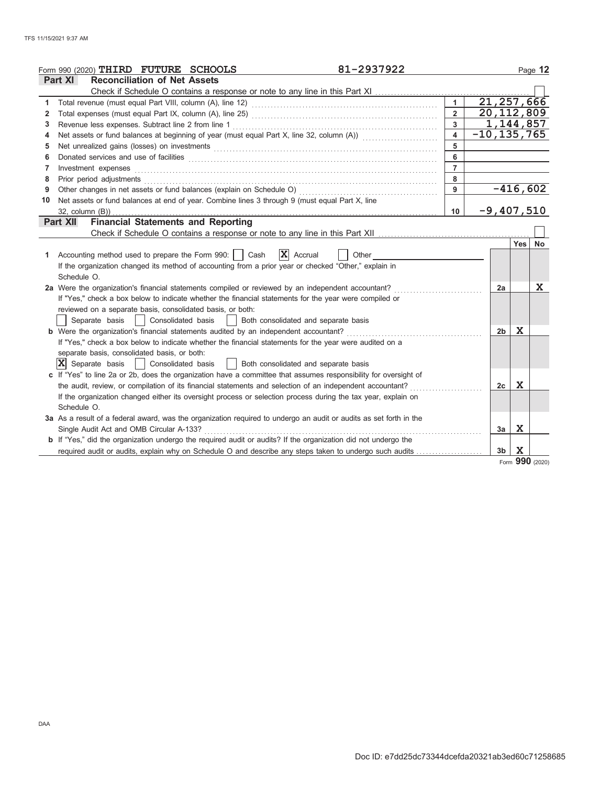|    | 81-2937922<br>Form 990 (2020) THIRD FUTURE SCHOOLS                                                                 |                |                 |             | Page 12         |
|----|--------------------------------------------------------------------------------------------------------------------|----------------|-----------------|-------------|-----------------|
|    | <b>Part XI</b><br><b>Reconciliation of Net Assets</b>                                                              |                |                 |             |                 |
|    |                                                                                                                    |                |                 |             |                 |
| 1. |                                                                                                                    | $\mathbf{1}$   | 21, 257, 666    |             |                 |
| 2  |                                                                                                                    | $\overline{2}$ | 20, 112, 809    |             |                 |
| 3  | Revenue less expenses. Subtract line 2 from line 1                                                                 | $\mathbf{3}$   | 1,144,857       |             |                 |
| 4  | Net assets or fund balances at beginning of year (must equal Part X, line 32, column (A))                          | $\overline{4}$ | $-10, 135, 765$ |             |                 |
| 5  | Net unrealized gains (losses) on investments                                                                       | 5              |                 |             |                 |
| 6  | Donated services and use of facilities                                                                             | 6              |                 |             |                 |
| 7  | Investment expenses                                                                                                | $\overline{7}$ |                 |             |                 |
| 8  | Prior period adjustments                                                                                           | 8              |                 |             |                 |
| 9  | Other changes in net assets or fund balances (explain on Schedule O)                                               | 9              |                 |             | $-416,602$      |
| 10 | Net assets or fund balances at end of year. Combine lines 3 through 9 (must equal Part X, line                     |                |                 |             |                 |
|    |                                                                                                                    | 10             | $-9,407,510$    |             |                 |
|    | <b>Financial Statements and Reporting</b><br><b>Part XII</b>                                                       |                |                 |             |                 |
|    |                                                                                                                    |                |                 |             |                 |
|    |                                                                                                                    |                |                 | Yes   No    |                 |
| 1. | $ X $ Accrual<br>Accounting method used to prepare the Form 990:     Cash<br>Other                                 |                |                 |             |                 |
|    | If the organization changed its method of accounting from a prior year or checked "Other," explain in              |                |                 |             |                 |
|    | Schedule O.                                                                                                        |                |                 |             |                 |
|    | 2a Were the organization's financial statements compiled or reviewed by an independent accountant?                 |                | 2a              |             | $\mathbf x$     |
|    | If "Yes," check a box below to indicate whether the financial statements for the year were compiled or             |                |                 |             |                 |
|    | reviewed on a separate basis, consolidated basis, or both:                                                         |                |                 |             |                 |
|    | Separate basis<br>Consolidated basis<br>Both consolidated and separate basis                                       |                |                 |             |                 |
|    | <b>b</b> Were the organization's financial statements audited by an independent accountant?                        |                | 2 <sub>b</sub>  | X           |                 |
|    | If "Yes," check a box below to indicate whether the financial statements for the year were audited on a            |                |                 |             |                 |
|    | separate basis, consolidated basis, or both:                                                                       |                |                 |             |                 |
|    | $ \mathbf{X} $ Separate basis<br>Consolidated basis<br>  Both consolidated and separate basis                      |                |                 |             |                 |
|    | c If "Yes" to line 2a or 2b, does the organization have a committee that assumes responsibility for oversight of   |                |                 |             |                 |
|    | the audit, review, or compilation of its financial statements and selection of an independent accountant?          |                | 2 <sub>c</sub>  | $\mathbf x$ |                 |
|    | If the organization changed either its oversight process or selection process during the tax year, explain on      |                |                 |             |                 |
|    | Schedule O.                                                                                                        |                |                 |             |                 |
|    | 3a As a result of a federal award, was the organization required to undergo an audit or audits as set forth in the |                |                 |             |                 |
|    | Single Audit Act and OMB Circular A-133?<br>.                                                                      |                | За              | X           |                 |
|    | b If "Yes," did the organization undergo the required audit or audits? If the organization did not undergo the     |                |                 |             |                 |
|    | required audit or audits, explain why on Schedule O and describe any steps taken to undergo such audits            |                | 3 <sub>b</sub>  | X           |                 |
|    |                                                                                                                    |                |                 |             | Form 990 (2020) |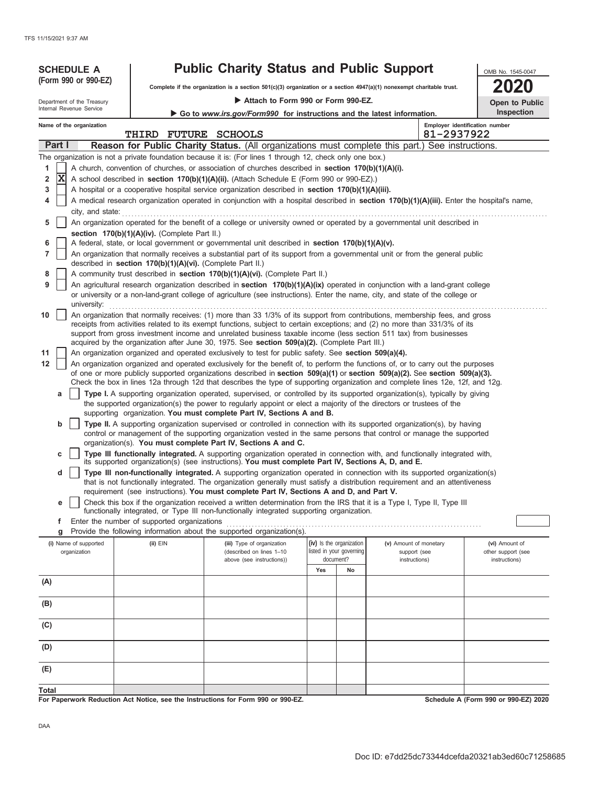|        | <b>SCHEDULE A</b>                     |                                                            | <b>Public Charity Status and Public Support</b>                                                                                                                                                                                                                                                                                                                                                    |     |                                                                   |                                                         | OMB No. 1545-0047                                     |
|--------|---------------------------------------|------------------------------------------------------------|----------------------------------------------------------------------------------------------------------------------------------------------------------------------------------------------------------------------------------------------------------------------------------------------------------------------------------------------------------------------------------------------------|-----|-------------------------------------------------------------------|---------------------------------------------------------|-------------------------------------------------------|
|        | (Form 990 or 990-EZ)                  |                                                            | Complete if the organization is a section $501(c)(3)$ organization or a section $4947(a)(1)$ nonexempt charitable trust.                                                                                                                                                                                                                                                                           |     |                                                                   |                                                         |                                                       |
|        | Department of the Treasury            |                                                            | Attach to Form 990 or Form 990-EZ.                                                                                                                                                                                                                                                                                                                                                                 |     |                                                                   |                                                         |                                                       |
|        | Internal Revenue Service              |                                                            | Go to www.irs.gov/Form990 for instructions and the latest information.                                                                                                                                                                                                                                                                                                                             |     |                                                                   |                                                         | Open to Public<br>Inspection                          |
|        | Name of the organization              |                                                            |                                                                                                                                                                                                                                                                                                                                                                                                    |     |                                                                   |                                                         | Employer identification number                        |
|        | Part I                                | THIRD FUTURE SCHOOLS                                       | Reason for Public Charity Status. (All organizations must complete this part.) See instructions.                                                                                                                                                                                                                                                                                                   |     |                                                                   | 81-2937922                                              |                                                       |
|        |                                       |                                                            | The organization is not a private foundation because it is: (For lines 1 through 12, check only one box.)                                                                                                                                                                                                                                                                                          |     |                                                                   |                                                         |                                                       |
| 1      |                                       |                                                            | A church, convention of churches, or association of churches described in section 170(b)(1)(A)(i).                                                                                                                                                                                                                                                                                                 |     |                                                                   |                                                         |                                                       |
| 2      | X                                     |                                                            | A school described in section 170(b)(1)(A)(ii). (Attach Schedule E (Form 990 or 990-EZ).)                                                                                                                                                                                                                                                                                                          |     |                                                                   |                                                         |                                                       |
| 3      |                                       |                                                            | A hospital or a cooperative hospital service organization described in section $170(b)(1)(A)(iii)$ .                                                                                                                                                                                                                                                                                               |     |                                                                   |                                                         |                                                       |
| 4      |                                       |                                                            | A medical research organization operated in conjunction with a hospital described in section 170(b)(1)(A)(iii). Enter the hospital's name,                                                                                                                                                                                                                                                         |     |                                                                   |                                                         |                                                       |
|        | city, and state:                      |                                                            |                                                                                                                                                                                                                                                                                                                                                                                                    |     |                                                                   |                                                         |                                                       |
| 5      |                                       | section 170(b)(1)(A)(iv). (Complete Part II.)              | An organization operated for the benefit of a college or university owned or operated by a governmental unit described in                                                                                                                                                                                                                                                                          |     |                                                                   |                                                         |                                                       |
| 6      |                                       |                                                            | A federal, state, or local government or governmental unit described in section 170(b)(1)(A)(v).                                                                                                                                                                                                                                                                                                   |     |                                                                   |                                                         |                                                       |
| 7      |                                       |                                                            | An organization that normally receives a substantial part of its support from a governmental unit or from the general public                                                                                                                                                                                                                                                                       |     |                                                                   |                                                         |                                                       |
|        |                                       | described in section 170(b)(1)(A)(vi). (Complete Part II.) |                                                                                                                                                                                                                                                                                                                                                                                                    |     |                                                                   |                                                         |                                                       |
| 8<br>9 |                                       |                                                            | A community trust described in section 170(b)(1)(A)(vi). (Complete Part II.)                                                                                                                                                                                                                                                                                                                       |     |                                                                   |                                                         |                                                       |
|        | university:                           |                                                            | An agricultural research organization described in section 170(b)(1)(A)(ix) operated in conjunction with a land-grant college<br>or university or a non-land-grant college of agriculture (see instructions). Enter the name, city, and state of the college or                                                                                                                                    |     |                                                                   |                                                         |                                                       |
| 10     |                                       |                                                            | An organization that normally receives: (1) more than 33 1/3% of its support from contributions, membership fees, and gross<br>receipts from activities related to its exempt functions, subject to certain exceptions; and (2) no more than 331/3% of its<br>support from gross investment income and unrelated business taxable income (less section 511 tax) from businesses                    |     |                                                                   |                                                         |                                                       |
|        |                                       |                                                            | acquired by the organization after June 30, 1975. See section 509(a)(2). (Complete Part III.)                                                                                                                                                                                                                                                                                                      |     |                                                                   |                                                         |                                                       |
| 11     |                                       |                                                            | An organization organized and operated exclusively to test for public safety. See section 509(a)(4).                                                                                                                                                                                                                                                                                               |     |                                                                   |                                                         |                                                       |
| 12     |                                       |                                                            | An organization organized and operated exclusively for the benefit of, to perform the functions of, or to carry out the purposes<br>of one or more publicly supported organizations described in section 509(a)(1) or section 509(a)(2). See section 509(a)(3).<br>Check the box in lines 12a through 12d that describes the type of supporting organization and complete lines 12e, 12f, and 12g. |     |                                                                   |                                                         |                                                       |
|        | a                                     |                                                            | Type I. A supporting organization operated, supervised, or controlled by its supported organization(s), typically by giving                                                                                                                                                                                                                                                                        |     |                                                                   |                                                         |                                                       |
|        |                                       |                                                            | the supported organization(s) the power to regularly appoint or elect a majority of the directors or trustees of the                                                                                                                                                                                                                                                                               |     |                                                                   |                                                         |                                                       |
|        | b                                     |                                                            | supporting organization. You must complete Part IV, Sections A and B.                                                                                                                                                                                                                                                                                                                              |     |                                                                   |                                                         |                                                       |
|        |                                       |                                                            | Type II. A supporting organization supervised or controlled in connection with its supported organization(s), by having<br>control or management of the supporting organization vested in the same persons that control or manage the supported                                                                                                                                                    |     |                                                                   |                                                         |                                                       |
|        |                                       |                                                            | organization(s). You must complete Part IV, Sections A and C.                                                                                                                                                                                                                                                                                                                                      |     |                                                                   |                                                         |                                                       |
|        | с                                     |                                                            | Type III functionally integrated. A supporting organization operated in connection with, and functionally integrated with,<br>its supported organization(s) (see instructions). You must complete Part IV, Sections A, D, and E.                                                                                                                                                                   |     |                                                                   |                                                         |                                                       |
|        | d                                     |                                                            | Type III non-functionally integrated. A supporting organization operated in connection with its supported organization(s)                                                                                                                                                                                                                                                                          |     |                                                                   |                                                         |                                                       |
|        |                                       |                                                            | that is not functionally integrated. The organization generally must satisfy a distribution requirement and an attentiveness                                                                                                                                                                                                                                                                       |     |                                                                   |                                                         |                                                       |
|        |                                       |                                                            | requirement (see instructions). You must complete Part IV, Sections A and D, and Part V.                                                                                                                                                                                                                                                                                                           |     |                                                                   |                                                         |                                                       |
|        | е                                     |                                                            | Check this box if the organization received a written determination from the IRS that it is a Type I, Type II, Type III<br>functionally integrated, or Type III non-functionally integrated supporting organization.                                                                                                                                                                               |     |                                                                   |                                                         |                                                       |
|        | f                                     | Enter the number of supported organizations                |                                                                                                                                                                                                                                                                                                                                                                                                    |     |                                                                   |                                                         |                                                       |
|        | g                                     |                                                            | Provide the following information about the supported organization(s).                                                                                                                                                                                                                                                                                                                             |     |                                                                   |                                                         |                                                       |
|        | (i) Name of supported<br>organization | (ii) EIN                                                   | (iii) Type of organization<br>(described on lines 1-10<br>above (see instructions))                                                                                                                                                                                                                                                                                                                |     | (iv) Is the organization<br>listed in your governing<br>document? | (v) Amount of monetary<br>support (see<br>instructions) | (vi) Amount of<br>other support (see<br>instructions) |
|        |                                       |                                                            |                                                                                                                                                                                                                                                                                                                                                                                                    | Yes | No                                                                |                                                         |                                                       |
| (A)    |                                       |                                                            |                                                                                                                                                                                                                                                                                                                                                                                                    |     |                                                                   |                                                         |                                                       |
| (B)    |                                       |                                                            |                                                                                                                                                                                                                                                                                                                                                                                                    |     |                                                                   |                                                         |                                                       |
| (C)    |                                       |                                                            |                                                                                                                                                                                                                                                                                                                                                                                                    |     |                                                                   |                                                         |                                                       |
| (D)    |                                       |                                                            |                                                                                                                                                                                                                                                                                                                                                                                                    |     |                                                                   |                                                         |                                                       |
| (E)    |                                       |                                                            |                                                                                                                                                                                                                                                                                                                                                                                                    |     |                                                                   |                                                         |                                                       |
| Total  |                                       |                                                            |                                                                                                                                                                                                                                                                                                                                                                                                    |     |                                                                   |                                                         |                                                       |

**For Paperwork Reduction Act Notice, see the Instructions for Form 990 or 990-EZ.**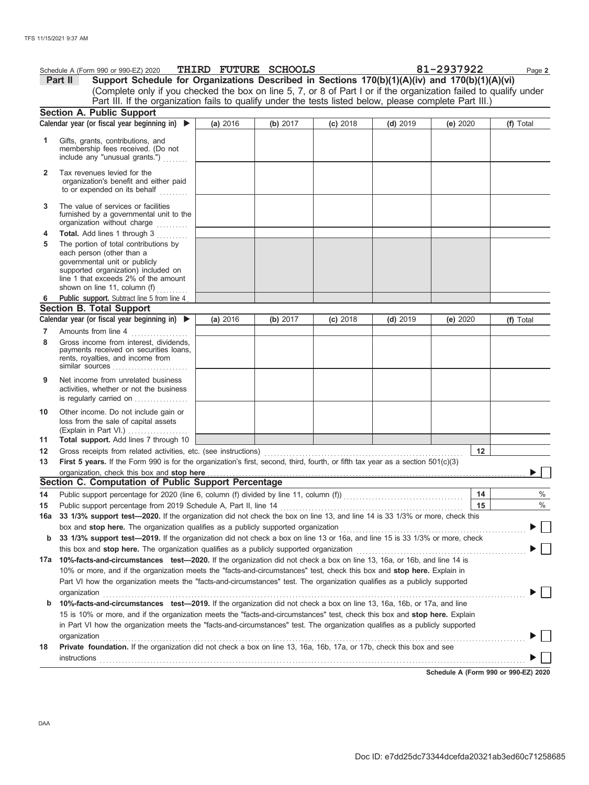|              | Schedule A (Form 990 or 990-EZ) 2020<br>Part II<br>Support Schedule for Organizations Described in Sections 170(b)(1)(A)(iv) and 170(b)(1)(A)(vi)<br>(Complete only if you checked the box on line 5, 7, or 8 of Part I or if the organization failed to qualify under<br>Part III. If the organization fails to qualify under the tests listed below, please complete Part III.) | THIRD FUTURE SCHOOLS |          |            |            | 81-2937922                           | Page 2    |
|--------------|-----------------------------------------------------------------------------------------------------------------------------------------------------------------------------------------------------------------------------------------------------------------------------------------------------------------------------------------------------------------------------------|----------------------|----------|------------|------------|--------------------------------------|-----------|
|              | <b>Section A. Public Support</b>                                                                                                                                                                                                                                                                                                                                                  |                      |          |            |            |                                      |           |
|              | Calendar year (or fiscal year beginning in) $\blacktriangleright$                                                                                                                                                                                                                                                                                                                 | (a) 2016             | (b) 2017 | (c) 2018   | $(d)$ 2019 | (e) 2020                             | (f) Total |
| 1            | Gifts, grants, contributions, and<br>membership fees received. (Do not<br>include any "unusual grants.")                                                                                                                                                                                                                                                                          |                      |          |            |            |                                      |           |
| $\mathbf{2}$ | Tax revenues levied for the<br>organization's benefit and either paid<br>to or expended on its behalf                                                                                                                                                                                                                                                                             |                      |          |            |            |                                      |           |
| 3            | The value of services or facilities<br>furnished by a governmental unit to the<br>organization without charge                                                                                                                                                                                                                                                                     |                      |          |            |            |                                      |           |
| 4<br>5       | Total. Add lines 1 through 3<br>The portion of total contributions by                                                                                                                                                                                                                                                                                                             |                      |          |            |            |                                      |           |
|              | each person (other than a<br>governmental unit or publicly<br>supported organization) included on<br>line 1 that exceeds 2% of the amount<br>shown on line 11, column $(f)$                                                                                                                                                                                                       |                      |          |            |            |                                      |           |
| 6            | Public support. Subtract line 5 from line 4.                                                                                                                                                                                                                                                                                                                                      |                      |          |            |            |                                      |           |
|              | <b>Section B. Total Support</b>                                                                                                                                                                                                                                                                                                                                                   |                      |          |            |            |                                      |           |
|              | Calendar year (or fiscal year beginning in) $\blacktriangleright$                                                                                                                                                                                                                                                                                                                 | (a) 2016             | (b) 2017 | $(c)$ 2018 | $(d)$ 2019 | (e) 2020                             | (f) Total |
| 7<br>8       | Amounts from line 4<br>Gross income from interest, dividends,<br>payments received on securities loans,<br>rents, royalties, and income from<br>similar sources                                                                                                                                                                                                                   |                      |          |            |            |                                      |           |
| 9            | Net income from unrelated business<br>activities, whether or not the business<br>is regularly carried on                                                                                                                                                                                                                                                                          |                      |          |            |            |                                      |           |
| 10           | Other income. Do not include gain or<br>loss from the sale of capital assets<br>(Explain in Part VI.)                                                                                                                                                                                                                                                                             |                      |          |            |            |                                      |           |
| 11           | Total support. Add lines 7 through 10                                                                                                                                                                                                                                                                                                                                             |                      |          |            |            |                                      |           |
| 12           |                                                                                                                                                                                                                                                                                                                                                                                   |                      |          |            |            | 12                                   |           |
| 13           | First 5 years. If the Form 990 is for the organization's first, second, third, fourth, or fifth tax year as a section 501(c)(3)                                                                                                                                                                                                                                                   |                      |          |            |            |                                      |           |
|              | organization, check this box and stop here manufactured and contact the state of the state of the state of the                                                                                                                                                                                                                                                                    |                      |          |            |            |                                      |           |
|              | Section C. Computation of Public Support Percentage                                                                                                                                                                                                                                                                                                                               |                      |          |            |            |                                      |           |
| 14           | Public support percentage for 2020 (line 6, column (f) divided by line 11, column (f)) [[[[[[[[[[[[[[[[[[[[[[                                                                                                                                                                                                                                                                     |                      |          |            |            | 14                                   | %         |
| 15           |                                                                                                                                                                                                                                                                                                                                                                                   |                      |          |            |            | 15                                   | $\%$      |
| 16a          | 33 1/3% support test-2020. If the organization did not check the box on line 13, and line 14 is 33 1/3% or more, check this                                                                                                                                                                                                                                                       |                      |          |            |            |                                      |           |
|              | box and stop here. The organization qualifies as a publicly supported organization                                                                                                                                                                                                                                                                                                |                      |          |            |            |                                      |           |
| b            | 33 1/3% support test-2019. If the organization did not check a box on line 13 or 16a, and line 15 is 33 1/3% or more, check                                                                                                                                                                                                                                                       |                      |          |            |            |                                      |           |
|              | this box and stop here. The organization qualifies as a publicly supported organization                                                                                                                                                                                                                                                                                           |                      |          |            |            |                                      |           |
|              | 17a 10%-facts-and-circumstances test-2020. If the organization did not check a box on line 13, 16a, or 16b, and line 14 is                                                                                                                                                                                                                                                        |                      |          |            |            |                                      |           |
|              | 10% or more, and if the organization meets the "facts-and-circumstances" test, check this box and stop here. Explain in<br>Part VI how the organization meets the "facts-and-circumstances" test. The organization qualifies as a publicly supported                                                                                                                              |                      |          |            |            |                                      |           |
|              | organization                                                                                                                                                                                                                                                                                                                                                                      |                      |          |            |            |                                      |           |
| b            | 10%-facts-and-circumstances test-2019. If the organization did not check a box on line 13, 16a, 16b, or 17a, and line                                                                                                                                                                                                                                                             |                      |          |            |            |                                      |           |
|              | 15 is 10% or more, and if the organization meets the "facts-and-circumstances" test, check this box and stop here. Explain                                                                                                                                                                                                                                                        |                      |          |            |            |                                      |           |
|              | in Part VI how the organization meets the "facts-and-circumstances" test. The organization qualifies as a publicly supported                                                                                                                                                                                                                                                      |                      |          |            |            |                                      |           |
|              | organization                                                                                                                                                                                                                                                                                                                                                                      |                      |          |            |            |                                      |           |
| 18           | Private foundation. If the organization did not check a box on line 13, 16a, 16b, 17a, or 17b, check this box and see                                                                                                                                                                                                                                                             |                      |          |            |            |                                      |           |
|              | instructions                                                                                                                                                                                                                                                                                                                                                                      |                      |          |            |            |                                      |           |
|              |                                                                                                                                                                                                                                                                                                                                                                                   |                      |          |            |            | Pohodule A (Form 000 or 000 EZ) 2020 |           |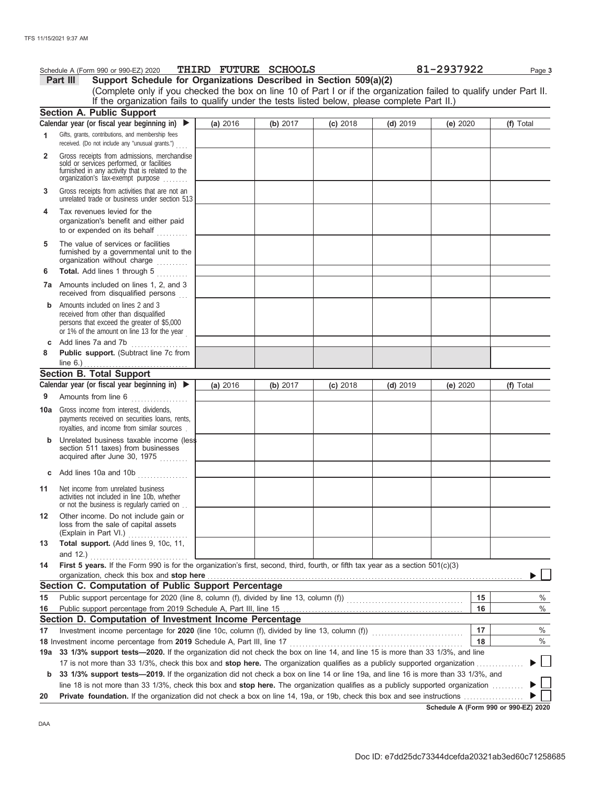|              | Schedule A (Form 990 or 990-EZ) 2020                                                                                                                                              | THIRD FUTURE SCHOOLS |          |            |            | 81-2937922 |    | Page 3    |
|--------------|-----------------------------------------------------------------------------------------------------------------------------------------------------------------------------------|----------------------|----------|------------|------------|------------|----|-----------|
|              | Part III<br>Support Schedule for Organizations Described in Section 509(a)(2)                                                                                                     |                      |          |            |            |            |    |           |
|              | (Complete only if you checked the box on line 10 of Part I or if the organization failed to qualify under Part II.                                                                |                      |          |            |            |            |    |           |
|              | If the organization fails to qualify under the tests listed below, please complete Part II.)                                                                                      |                      |          |            |            |            |    |           |
|              | <b>Section A. Public Support</b>                                                                                                                                                  |                      |          |            |            |            |    |           |
|              | Calendar year (or fiscal year beginning in) $\blacktriangleright$                                                                                                                 | (a) 2016             | (b) 2017 | $(c)$ 2018 | $(d)$ 2019 | (e) 2020   |    | (f) Total |
| 1            | Gifts, grants, contributions, and membership fees<br>received. (Do not include any "unusual grants.")                                                                             |                      |          |            |            |            |    |           |
| $\mathbf{2}$ | Gross receipts from admissions, merchandise<br>sold or services performed, or facilities<br>furnished in any activity that is related to the<br>organization's tax-exempt purpose |                      |          |            |            |            |    |           |
| 3            | Gross receipts from activities that are not an<br>unrelated trade or business under section 513                                                                                   |                      |          |            |            |            |    |           |
| 4            | Tax revenues levied for the<br>organization's benefit and either paid<br>to or expended on its behalf                                                                             |                      |          |            |            |            |    |           |
| 5            | The value of services or facilities<br>furnished by a governmental unit to the<br>organization without charge                                                                     |                      |          |            |            |            |    |           |
| 6            | Total. Add lines 1 through 5                                                                                                                                                      |                      |          |            |            |            |    |           |
|              | 7a Amounts included on lines 1, 2, and 3<br>received from disqualified persons                                                                                                    |                      |          |            |            |            |    |           |
| b            | Amounts included on lines 2 and 3<br>received from other than disqualified<br>persons that exceed the greater of \$5,000<br>or 1% of the amount on line 13 for the year           |                      |          |            |            |            |    |           |
| C            | Add lines 7a and 7b                                                                                                                                                               |                      |          |            |            |            |    |           |
| 8            | Public support. (Subtract line 7c from<br>line $6.$ )                                                                                                                             |                      |          |            |            |            |    |           |
|              | <b>Section B. Total Support</b>                                                                                                                                                   |                      |          |            |            |            |    |           |
|              | Calendar year (or fiscal year beginning in) $\blacktriangleright$                                                                                                                 | (a) 2016             | (b) 2017 | $(c)$ 2018 | $(d)$ 2019 | (e) 2020   |    | (f) Total |
| 9            | Amounts from line 6                                                                                                                                                               |                      |          |            |            |            |    |           |
| 10a          | Gross income from interest, dividends,<br>payments received on securities loans, rents,<br>royalties, and income from similar sources.                                            |                      |          |            |            |            |    |           |
|              | Unrelated business taxable income (less<br>section 511 taxes) from businesses<br>acquired after June 30, 1975                                                                     |                      |          |            |            |            |    |           |
|              | c Add lines 10a and 10b $\ldots$                                                                                                                                                  |                      |          |            |            |            |    |           |
| 11           | Net income from unrelated business<br>activities not included in line 10b, whether<br>or not the business is regularly carried on                                                 |                      |          |            |            |            |    |           |
| 12           | Other income. Do not include gain or<br>loss from the sale of capital assets<br>(Explain in Part VI.)                                                                             |                      |          |            |            |            |    |           |
| 13           | Total support. (Add lines 9, 10c, 11,<br>and 12.)<br>.                                                                                                                            |                      |          |            |            |            |    |           |
| 14           | First 5 years. If the Form 990 is for the organization's first, second, third, fourth, or fifth tax year as a section 501(c)(3)<br>organization, check this box and stop here     |                      |          |            |            |            |    |           |
|              | Section C. Computation of Public Support Percentage                                                                                                                               |                      |          |            |            |            |    |           |
| 15           |                                                                                                                                                                                   |                      |          |            |            |            | 15 | $\%$      |
| 16           |                                                                                                                                                                                   |                      |          |            |            |            | 16 | $\%$      |
|              | Section D. Computation of Investment Income Percentage                                                                                                                            |                      |          |            |            |            |    |           |
| 17           | Investment income percentage for 2020 (line 10c, column (f), divided by line 13, column (f)) [[[[[[[[[[[[[[[[[                                                                    |                      |          |            |            |            | 17 | $\%$      |
|              | 18 Investment income percentage from 2019 Schedule A, Part III, line 17                                                                                                           |                      |          |            |            |            | 18 | %         |
|              | 19a 33 1/3% support tests-2020. If the organization did not check the box on line 14, and line 15 is more than 33 1/3%, and line                                                  |                      |          |            |            |            |    |           |
|              | 17 is not more than 33 1/3%, check this box and stop here. The organization qualifies as a publicly supported organization.                                                       |                      |          |            |            |            |    |           |
| b            | 33 1/3% support tests—2019. If the organization did not check a box on line 14 or line 19a, and line 16 is more than 33 1/3%, and                                                 |                      |          |            |            |            |    |           |
|              | line 18 is not more than 33 1/3%, check this box and stop here. The organization qualifies as a publicly supported organization                                                   |                      |          |            |            |            |    |           |
| 20           |                                                                                                                                                                                   |                      |          |            |            |            |    |           |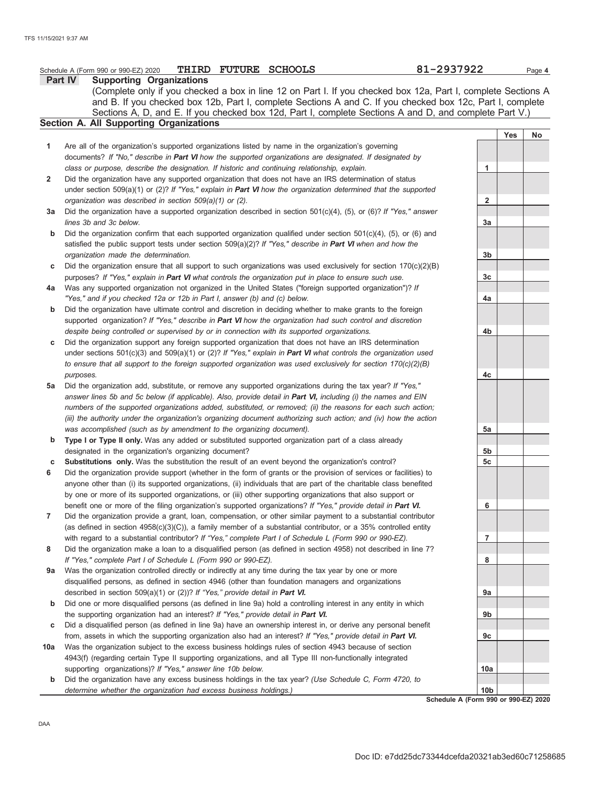## Schedule A (Form 990 or 990-EZ) 2020 **PHIRD FUTURE SCHOOLS** 81-2937922 Page 4

**Part IV Supporting Organizations** Sections A, D, and E. If you checked box 12d, Part I, complete Sections A and D, and complete Part V.) (Complete only if you checked a box in line 12 on Part I. If you checked box 12a, Part I, complete Sections A and B. If you checked box 12b, Part I, complete Sections A and C. If you checked box 12c, Part I, complete

**Section A. All Supporting Organizations**

- Are all of the organization's supported organizations listed by name in the organization's governing documents? *If "No," describe in Part VI how the supported organizations are designated. If designated by class or purpose, describe the designation. If historic and continuing relationship, explain.* **1**
- Did the organization have any supported organization that does not have an IRS determination of status under section 509(a)(1) or (2)? *If "Yes," explain in Part VI how the organization determined that the supported organization was described in section 509(a)(1) or (2).* **2**
- **3a** Did the organization have a supported organization described in section 501(c)(4), (5), or (6)? *If "Yes," answer lines 3b and 3c below.*
- **b** Did the organization confirm that each supported organization qualified under section 501(c)(4), (5), or (6) and satisfied the public support tests under section 509(a)(2)? *If "Yes," describe in Part VI when and how the organization made the determination.*
- **c** Did the organization ensure that all support to such organizations was used exclusively for section 170(c)(2)(B) purposes? *If "Yes," explain in Part VI what controls the organization put in place to ensure such use.*
- **4a** Was any supported organization not organized in the United States ("foreign supported organization")? *If "Yes," and if you checked 12a or 12b in Part I, answer (b) and (c) below.*
- **b** Did the organization have ultimate control and discretion in deciding whether to make grants to the foreign supported organization? *If "Yes," describe in Part VI how the organization had such control and discretion despite being controlled or supervised by or in connection with its supported organizations.*
- **c** Did the organization support any foreign supported organization that does not have an IRS determination under sections 501(c)(3) and 509(a)(1) or (2)? *If "Yes," explain in Part VI what controls the organization used to ensure that all support to the foreign supported organization was used exclusively for section 170(c)(2)(B) purposes.*
- **5a** Did the organization add, substitute, or remove any supported organizations during the tax year? *If "Yes," answer lines 5b and 5c below (if applicable). Also, provide detail in Part VI, including (i) the names and EIN numbers of the supported organizations added, substituted, or removed; (ii) the reasons for each such action; (iii) the authority under the organization's organizing document authorizing such action; and (iv) how the action was accomplished (such as by amendment to the organizing document).*
- **b** Type I or Type II only. Was any added or substituted supported organization part of a class already designated in the organization's organizing document?
- **c Substitutions only.** Was the substitution the result of an event beyond the organization's control?
- **6** Did the organization provide support (whether in the form of grants or the provision of services or facilities) to anyone other than (i) its supported organizations, (ii) individuals that are part of the charitable class benefited by one or more of its supported organizations, or (iii) other supporting organizations that also support or benefit one or more of the filing organization's supported organizations? *If "Yes," provide detail in Part VI.*
- **7** Did the organization provide a grant, loan, compensation, or other similar payment to a substantial contributor (as defined in section 4958(c)(3)(C)), a family member of a substantial contributor, or a 35% controlled entity with regard to a substantial contributor? *If "Yes," complete Part I of Schedule L (Form 990 or 990-EZ).*
- **8** Did the organization make a loan to a disqualified person (as defined in section 4958) not described in line 7? *If "Yes," complete Part I of Schedule L (Form 990 or 990-EZ).*
- **9a** Was the organization controlled directly or indirectly at any time during the tax year by one or more disqualified persons, as defined in section 4946 (other than foundation managers and organizations described in section 509(a)(1) or (2))? *If "Yes," provide detail in Part VI.*
- **b** Did one or more disqualified persons (as defined in line 9a) hold a controlling interest in any entity in which the supporting organization had an interest? *If "Yes," provide detail in Part VI.*
- **c** Did a disqualified person (as defined in line 9a) have an ownership interest in, or derive any personal benefit from, assets in which the supporting organization also had an interest? *If "Yes," provide detail in Part VI.*
- **10a** Was the organization subject to the excess business holdings rules of section 4943 because of section 4943(f) (regarding certain Type II supporting organizations, and all Type III non-functionally integrated supporting organizations)? *If "Yes," answer line 10b below.*
- **b** Did the organization have any excess business holdings in the tax year? *(Use Schedule C, Form 4720, to determine whether the organization had excess business holdings.)*

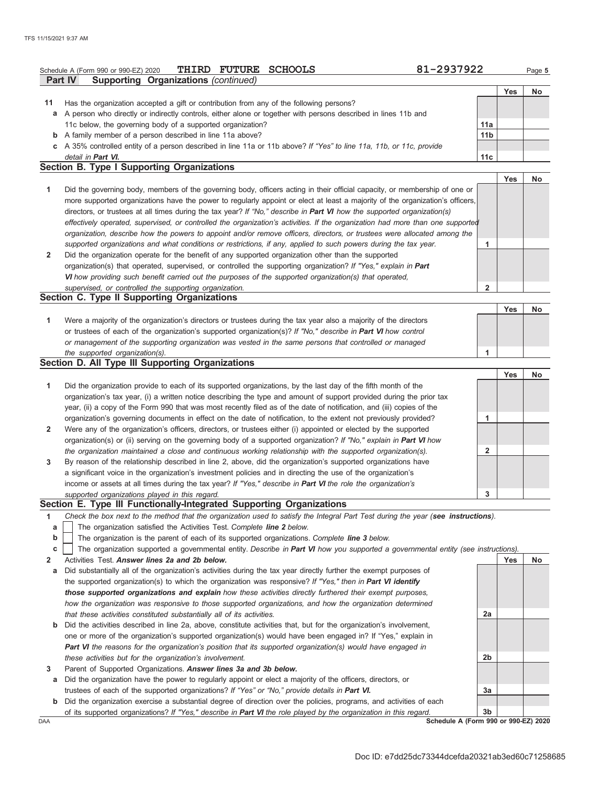|              | THIRD<br><b>FUTURE SCHOOLS</b><br>Schedule A (Form 990 or 990-EZ) 2020                                                                     | 81-2937922      |            | Page 5    |
|--------------|--------------------------------------------------------------------------------------------------------------------------------------------|-----------------|------------|-----------|
|              | <b>Part IV</b><br><b>Supporting Organizations (continued)</b>                                                                              |                 |            |           |
|              |                                                                                                                                            |                 | Yes        | <b>No</b> |
| 11           | Has the organization accepted a gift or contribution from any of the following persons?                                                    |                 |            |           |
| а            | A person who directly or indirectly controls, either alone or together with persons described in lines 11b and                             |                 |            |           |
|              | 11c below, the governing body of a supported organization?                                                                                 | 11a             |            |           |
| b            | A family member of a person described in line 11a above?                                                                                   | 11 <sub>b</sub> |            |           |
|              | c A 35% controlled entity of a person described in line 11a or 11b above? If "Yes" to line 11a, 11b, or 11c, provide<br>detail in Part VI. | 11c             |            |           |
|              | <b>Section B. Type I Supporting Organizations</b>                                                                                          |                 |            |           |
|              |                                                                                                                                            |                 | Yes        | No        |
| 1            | Did the governing body, members of the governing body, officers acting in their official capacity, or membership of one or                 |                 |            |           |
|              | more supported organizations have the power to regularly appoint or elect at least a majority of the organization's officers,              |                 |            |           |
|              | directors, or trustees at all times during the tax year? If "No," describe in <b>Part VI</b> how the supported organization(s)             |                 |            |           |
|              | effectively operated, supervised, or controlled the organization's activities. If the organization had more than one supported             |                 |            |           |
|              | organization, describe how the powers to appoint and/or remove officers, directors, or trustees were allocated among the                   |                 |            |           |
|              | supported organizations and what conditions or restrictions, if any, applied to such powers during the tax year.                           | 1               |            |           |
| $\mathbf{2}$ | Did the organization operate for the benefit of any supported organization other than the supported                                        |                 |            |           |
|              | organization(s) that operated, supervised, or controlled the supporting organization? If "Yes," explain in Part                            |                 |            |           |
|              | VI how providing such benefit carried out the purposes of the supported organization(s) that operated,                                     |                 |            |           |
|              |                                                                                                                                            | $\mathbf{2}$    |            |           |
|              | supervised, or controlled the supporting organization.<br>Section C. Type II Supporting Organizations                                      |                 |            |           |
|              |                                                                                                                                            |                 | Yes        | No        |
| 1            | Were a majority of the organization's directors or trustees during the tax year also a majority of the directors                           |                 |            |           |
|              | or trustees of each of the organization's supported organization(s)? If "No," describe in Part VI how control                              |                 |            |           |
|              | or management of the supporting organization was vested in the same persons that controlled or managed                                     |                 |            |           |
|              | the supported organization(s).                                                                                                             | 1               |            |           |
|              | Section D. All Type III Supporting Organizations                                                                                           |                 |            |           |
|              |                                                                                                                                            |                 | <b>Yes</b> | No        |
| 1            | Did the organization provide to each of its supported organizations, by the last day of the fifth month of the                             |                 |            |           |
|              | organization's tax year, (i) a written notice describing the type and amount of support provided during the prior tax                      |                 |            |           |
|              | year, (ii) a copy of the Form 990 that was most recently filed as of the date of notification, and (iii) copies of the                     |                 |            |           |
|              | organization's governing documents in effect on the date of notification, to the extent not previously provided?                           | 1               |            |           |
| 2            | Were any of the organization's officers, directors, or trustees either (i) appointed or elected by the supported                           |                 |            |           |
|              | organization(s) or (ii) serving on the governing body of a supported organization? If "No," explain in Part VI how                         |                 |            |           |
|              | the organization maintained a close and continuous working relationship with the supported organization(s).                                | 2               |            |           |
|              | By reason of the relationship described in line 2, above, did the organization's supported organizations have                              |                 |            |           |
|              | a significant voice in the organization's investment policies and in directing the use of the organization's                               |                 |            |           |
|              | income or assets at all times during the tax year? If "Yes," describe in Part VI the role the organization's                               |                 |            |           |
|              | supported organizations played in this regard.                                                                                             | 3               |            |           |
|              | Section E. Type III Functionally-Integrated Supporting Organizations                                                                       |                 |            |           |
| 1            | Check the box next to the method that the organization used to satisfy the Integral Part Test during the year (see instructions).          |                 |            |           |
| a            | The organization satisfied the Activities Test. Complete line 2 below.                                                                     |                 |            |           |
| b            | The organization is the parent of each of its supported organizations. Complete line 3 below.                                              |                 |            |           |
| C            | The organization supported a governmental entity. Describe in Part VI how you supported a governmental entity (see instructions).          |                 |            |           |
| 2            | Activities Test. Answer lines 2a and 2b below.                                                                                             |                 | <b>Yes</b> | <b>No</b> |
| a            | Did substantially all of the organization's activities during the tax year directly further the exempt purposes of                         |                 |            |           |
|              | the supported organization(s) to which the organization was responsive? If "Yes," then in Part VI identify                                 |                 |            |           |
|              | those supported organizations and explain how these activities directly furthered their exempt purposes,                                   |                 |            |           |
|              | how the organization was responsive to those supported organizations, and how the organization determined                                  |                 |            |           |
|              |                                                                                                                                            |                 |            |           |
|              | that these activities constituted substantially all of its activities.                                                                     | 2a              |            |           |
| b            | Did the activities described in line 2a, above, constitute activities that, but for the organization's involvement,                        |                 |            |           |
|              | one or more of the organization's supported organization(s) would have been engaged in? If "Yes," explain in                               |                 |            |           |
|              | Part VI the reasons for the organization's position that its supported organization(s) would have engaged in                               |                 |            |           |
|              | these activities but for the organization's involvement.                                                                                   | 2b              |            |           |
| 3            | Parent of Supported Organizations. Answer lines 3a and 3b below.                                                                           |                 |            |           |
| а            | Did the organization have the power to regularly appoint or elect a majority of the officers, directors, or                                |                 |            |           |

**b** Did the organization exercise a substantial degree of direction over the policies, programs, and activities of each of its supported organizations? *If "Yes," describe in Part VI the role played by the organization in this regard.*

DAA **Schedule A (Form 990 or 990-EZ) 2020 3b**

**3a**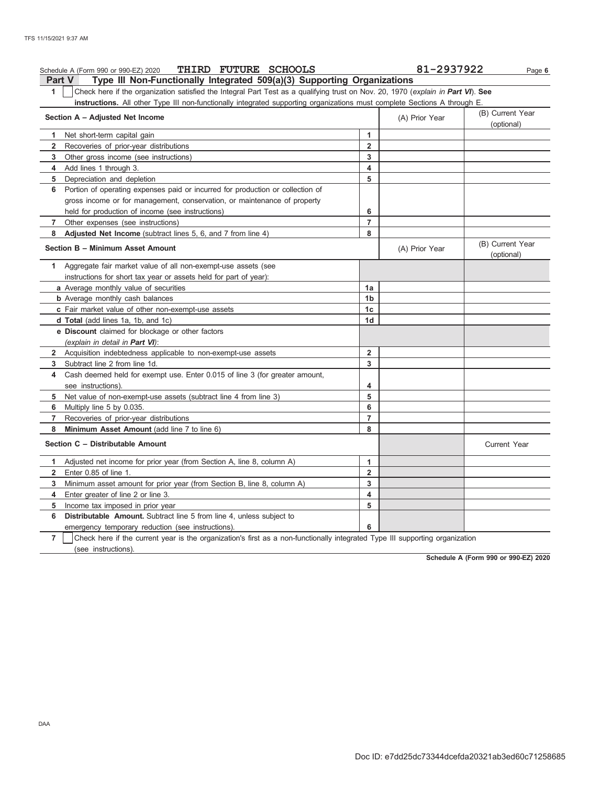|                | THIRD FUTURE SCHOOLS<br>Schedule A (Form 990 or 990-EZ) 2020                                                                        |                         | 81-2937922     | Page 6                         |
|----------------|-------------------------------------------------------------------------------------------------------------------------------------|-------------------------|----------------|--------------------------------|
|                | <b>Part V</b><br>Type III Non-Functionally Integrated 509(a)(3) Supporting Organizations                                            |                         |                |                                |
| $\mathbf{1}$   | Check here if the organization satisfied the Integral Part Test as a qualifying trust on Nov. 20, 1970 (explain in Part VI). See    |                         |                |                                |
|                | <b>instructions.</b> All other Type III non-functionally integrated supporting organizations must complete Sections A through E.    |                         |                |                                |
|                | Section A - Adjusted Net Income                                                                                                     |                         | (A) Prior Year | (B) Current Year               |
|                |                                                                                                                                     |                         |                | (optional)                     |
| 1.             | Net short-term capital gain                                                                                                         | 1                       |                |                                |
| $\mathbf{2}$   | Recoveries of prior-year distributions                                                                                              | $\overline{2}$          |                |                                |
| 3              | Other gross income (see instructions)                                                                                               | 3                       |                |                                |
| $\overline{4}$ | Add lines 1 through 3.                                                                                                              | 4                       |                |                                |
| 5              | Depreciation and depletion                                                                                                          | 5                       |                |                                |
| 6              | Portion of operating expenses paid or incurred for production or collection of                                                      |                         |                |                                |
|                | gross income or for management, conservation, or maintenance of property                                                            |                         |                |                                |
|                | held for production of income (see instructions)                                                                                    | 6                       |                |                                |
| 7              | Other expenses (see instructions)                                                                                                   | $\overline{7}$          |                |                                |
| 8              | Adjusted Net Income (subtract lines 5, 6, and 7 from line 4)                                                                        | 8                       |                |                                |
|                | Section B - Minimum Asset Amount                                                                                                    |                         | (A) Prior Year | (B) Current Year<br>(optional) |
| 1.             | Aggregate fair market value of all non-exempt-use assets (see                                                                       |                         |                |                                |
|                | instructions for short tax year or assets held for part of year):                                                                   |                         |                |                                |
|                | a Average monthly value of securities                                                                                               | 1a                      |                |                                |
|                | <b>b</b> Average monthly cash balances                                                                                              | 1 <sub>b</sub>          |                |                                |
|                | c Fair market value of other non-exempt-use assets                                                                                  | 1 <sub>c</sub>          |                |                                |
|                | d Total (add lines 1a, 1b, and 1c)                                                                                                  | 1d                      |                |                                |
|                | e Discount claimed for blockage or other factors                                                                                    |                         |                |                                |
|                | (explain in detail in <b>Part VI</b> ):                                                                                             |                         |                |                                |
|                | 2 Acquisition indebtedness applicable to non-exempt-use assets                                                                      | $\overline{2}$          |                |                                |
| 3              | Subtract line 2 from line 1d.                                                                                                       | 3                       |                |                                |
| 4              | Cash deemed held for exempt use. Enter 0.015 of line 3 (for greater amount,                                                         |                         |                |                                |
|                | see instructions).                                                                                                                  | 4                       |                |                                |
| 5              | Net value of non-exempt-use assets (subtract line 4 from line 3)                                                                    | 5                       |                |                                |
| 6              | Multiply line 5 by 0.035.                                                                                                           | 6                       |                |                                |
| 7              | Recoveries of prior-year distributions                                                                                              | $\overline{7}$          |                |                                |
| 8              | Minimum Asset Amount (add line 7 to line 6)                                                                                         | 8                       |                |                                |
|                | Section C - Distributable Amount                                                                                                    |                         |                | <b>Current Year</b>            |
| 1              | Adjusted net income for prior year (from Section A, line 8, column A)                                                               | 1                       |                |                                |
| $\mathbf{2}$   | Enter 0.85 of line 1.                                                                                                               | $\overline{\mathbf{2}}$ |                |                                |
| 3              | Minimum asset amount for prior year (from Section B, line 8, column A)                                                              | 3                       |                |                                |
| 4              | Enter greater of line 2 or line 3.                                                                                                  | $\overline{\mathbf{4}}$ |                |                                |
| 5              | Income tax imposed in prior year                                                                                                    | 5                       |                |                                |
| 6              | <b>Distributable Amount.</b> Subtract line 5 from line 4, unless subject to                                                         |                         |                |                                |
|                | emergency temporary reduction (see instructions).                                                                                   | 6                       |                |                                |
| $\overline{ }$ | $\Box$ Chook hara if the ourrent veer is the ergenization's first as a non-functionally integrated Type III supporting ergenization |                         |                |                                |

**7** | Check here if the current year is the organization's first as a non-functionally integrated Type III supporting organization (see instructions).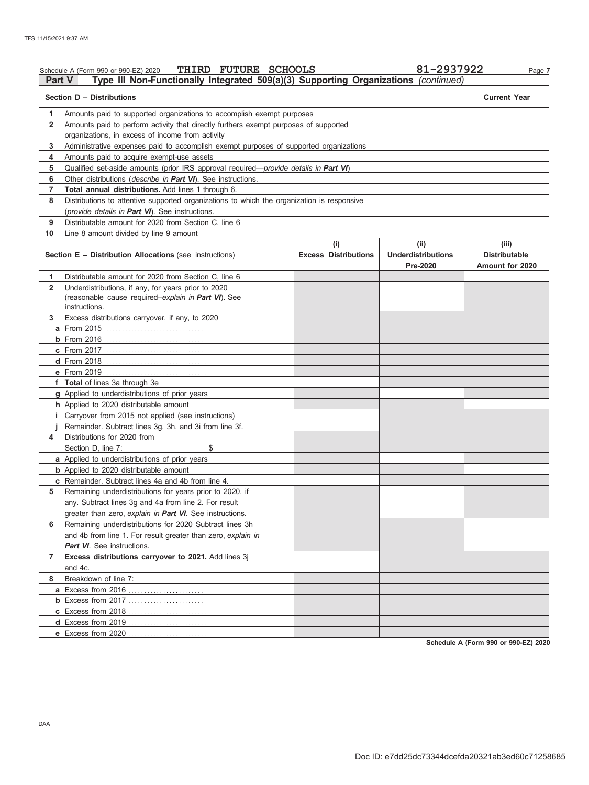| <b>Part V</b> | THIRD FUTURE SCHOOLS<br>Schedule A (Form 990 or 990-EZ) 2020<br>Type III Non-Functionally Integrated 509(a)(3) Supporting Organizations (continued) |                             | 81-2937922                                   | Page 7                                         |
|---------------|-----------------------------------------------------------------------------------------------------------------------------------------------------|-----------------------------|----------------------------------------------|------------------------------------------------|
|               | Section D - Distributions                                                                                                                           |                             |                                              | <b>Current Year</b>                            |
| 1             | Amounts paid to supported organizations to accomplish exempt purposes                                                                               |                             |                                              |                                                |
| $\mathbf{2}$  | Amounts paid to perform activity that directly furthers exempt purposes of supported<br>organizations, in excess of income from activity            |                             |                                              |                                                |
| 3             | Administrative expenses paid to accomplish exempt purposes of supported organizations                                                               |                             |                                              |                                                |
| 4             | Amounts paid to acquire exempt-use assets                                                                                                           |                             |                                              |                                                |
| 5             | Qualified set-aside amounts (prior IRS approval required-provide details in Part VI)                                                                |                             |                                              |                                                |
| 6             | Other distributions (describe in Part VI). See instructions.                                                                                        |                             |                                              |                                                |
| 7             | Total annual distributions. Add lines 1 through 6.                                                                                                  |                             |                                              |                                                |
| 8             | Distributions to attentive supported organizations to which the organization is responsive                                                          |                             |                                              |                                                |
|               | (provide details in Part VI). See instructions.                                                                                                     |                             |                                              |                                                |
| 9             | Distributable amount for 2020 from Section C, line 6                                                                                                |                             |                                              |                                                |
| 10            | Line 8 amount divided by line 9 amount                                                                                                              |                             |                                              |                                                |
|               |                                                                                                                                                     | (i)                         | (ii)                                         | (iii)                                          |
|               | Section E - Distribution Allocations (see instructions)                                                                                             | <b>Excess Distributions</b> | <b>Underdistributions</b><br><b>Pre-2020</b> | <b>Distributable</b><br><b>Amount for 2020</b> |
| 1             | Distributable amount for 2020 from Section C. line 6                                                                                                |                             |                                              |                                                |
| $\mathbf{2}$  | Underdistributions, if any, for years prior to 2020<br>(reasonable cause required-explain in Part VI). See<br>instructions.                         |                             |                                              |                                                |
| 3             | Excess distributions carryover, if any, to 2020                                                                                                     |                             |                                              |                                                |
|               |                                                                                                                                                     |                             |                                              |                                                |
|               | $b$ From 2016                                                                                                                                       |                             |                                              |                                                |
|               | <b>c</b> From 2017                                                                                                                                  |                             |                                              |                                                |
|               | d From 2018                                                                                                                                         |                             |                                              |                                                |
|               | e From 2019                                                                                                                                         |                             |                                              |                                                |
|               | f Total of lines 3a through 3e                                                                                                                      |                             |                                              |                                                |
|               | g Applied to underdistributions of prior years                                                                                                      |                             |                                              |                                                |
|               | h Applied to 2020 distributable amount                                                                                                              |                             |                                              |                                                |
|               | i Carryover from 2015 not applied (see instructions)                                                                                                |                             |                                              |                                                |
|               | Remainder. Subtract lines 3g, 3h, and 3i from line 3f.                                                                                              |                             |                                              |                                                |
| 4             | Distributions for 2020 from                                                                                                                         |                             |                                              |                                                |
|               | Section D. line 7:<br>\$                                                                                                                            |                             |                                              |                                                |
|               | a Applied to underdistributions of prior years                                                                                                      |                             |                                              |                                                |
|               | <b>b</b> Applied to 2020 distributable amount                                                                                                       |                             |                                              |                                                |
|               | c Remainder. Subtract lines 4a and 4b from line 4.                                                                                                  |                             |                                              |                                                |
| 5             | Remaining underdistributions for years prior to 2020, if                                                                                            |                             |                                              |                                                |
|               | any. Subtract lines 3g and 4a from line 2. For result                                                                                               |                             |                                              |                                                |
|               | greater than zero, explain in Part VI. See instructions.                                                                                            |                             |                                              |                                                |
| 6             | Remaining underdistributions for 2020 Subtract lines 3h                                                                                             |                             |                                              |                                                |
|               | and 4b from line 1. For result greater than zero, explain in                                                                                        |                             |                                              |                                                |
|               | <b>Part VI</b> . See instructions.                                                                                                                  |                             |                                              |                                                |
|               | Excess distributions carryover to 2021. Add lines 3j                                                                                                |                             |                                              |                                                |
| 7             | and 4c.                                                                                                                                             |                             |                                              |                                                |
| 8             | Breakdown of line 7:                                                                                                                                |                             |                                              |                                                |
|               |                                                                                                                                                     |                             |                                              |                                                |
|               |                                                                                                                                                     |                             |                                              |                                                |
|               |                                                                                                                                                     |                             |                                              |                                                |
|               |                                                                                                                                                     |                             |                                              |                                                |
|               |                                                                                                                                                     |                             |                                              |                                                |
|               |                                                                                                                                                     |                             |                                              |                                                |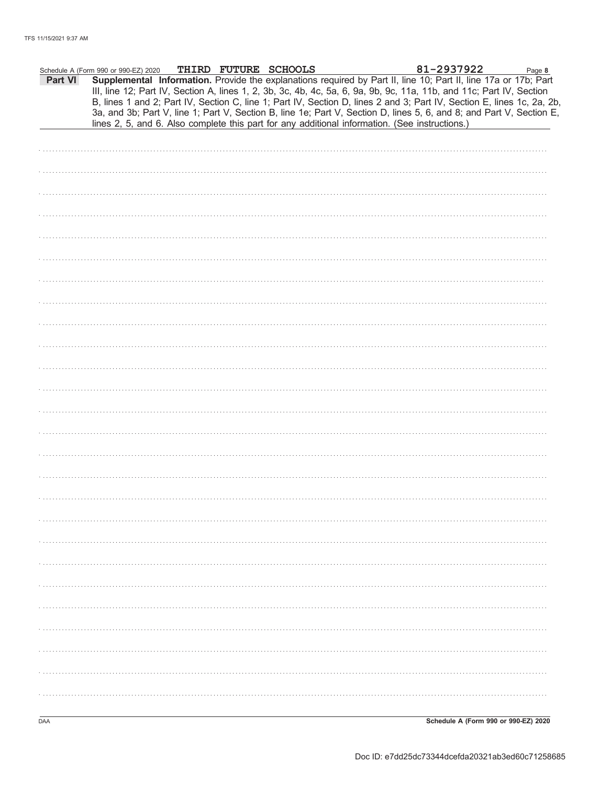|         | Schedule A (Form 990 or 990-EZ) 2020 |  | THIRD FUTURE SCHOOLS |                                                                                                                                                                                                                                                                                                                                                                                                                                                                                           | 81-2937922 | Page 8 |
|---------|--------------------------------------|--|----------------------|-------------------------------------------------------------------------------------------------------------------------------------------------------------------------------------------------------------------------------------------------------------------------------------------------------------------------------------------------------------------------------------------------------------------------------------------------------------------------------------------|------------|--------|
| Part VI |                                      |  |                      | Supplemental Information. Provide the explanations required by Part II, line 10; Part II, line 17a or 17b; Part<br>III, line 12; Part IV, Section A, lines 1, 2, 3b, 3c, 4b, 4c, 5a, 6, 9a, 9b, 9c, 11a, 11b, and 11c; Part IV, Section<br>B, lines 1 and 2; Part IV, Section C, line 1; Part IV, Section D, lines 2 and 3; Part IV, Section E, lines 1c, 2a, 2b,<br>3a, and 3b; Part V, line 1; Part V, Section B, line 1e; Part V, Section D, lines 5, 6, and 8; and Part V, Section E, |            |        |
|         |                                      |  |                      | lines 2, 5, and 6. Also complete this part for any additional information. (See instructions.)                                                                                                                                                                                                                                                                                                                                                                                            |            |        |
|         |                                      |  |                      |                                                                                                                                                                                                                                                                                                                                                                                                                                                                                           |            |        |
|         |                                      |  |                      |                                                                                                                                                                                                                                                                                                                                                                                                                                                                                           |            |        |
|         |                                      |  |                      |                                                                                                                                                                                                                                                                                                                                                                                                                                                                                           |            |        |
|         |                                      |  |                      |                                                                                                                                                                                                                                                                                                                                                                                                                                                                                           |            |        |
|         |                                      |  |                      |                                                                                                                                                                                                                                                                                                                                                                                                                                                                                           |            |        |
|         |                                      |  |                      |                                                                                                                                                                                                                                                                                                                                                                                                                                                                                           |            |        |
|         |                                      |  |                      |                                                                                                                                                                                                                                                                                                                                                                                                                                                                                           |            |        |
|         |                                      |  |                      |                                                                                                                                                                                                                                                                                                                                                                                                                                                                                           |            |        |
|         |                                      |  |                      |                                                                                                                                                                                                                                                                                                                                                                                                                                                                                           |            |        |
|         |                                      |  |                      |                                                                                                                                                                                                                                                                                                                                                                                                                                                                                           |            |        |
|         |                                      |  |                      |                                                                                                                                                                                                                                                                                                                                                                                                                                                                                           |            |        |
|         |                                      |  |                      |                                                                                                                                                                                                                                                                                                                                                                                                                                                                                           |            |        |
|         |                                      |  |                      |                                                                                                                                                                                                                                                                                                                                                                                                                                                                                           |            |        |
|         |                                      |  |                      |                                                                                                                                                                                                                                                                                                                                                                                                                                                                                           |            |        |
|         |                                      |  |                      |                                                                                                                                                                                                                                                                                                                                                                                                                                                                                           |            |        |
|         |                                      |  |                      |                                                                                                                                                                                                                                                                                                                                                                                                                                                                                           |            |        |
|         |                                      |  |                      |                                                                                                                                                                                                                                                                                                                                                                                                                                                                                           |            |        |
|         |                                      |  |                      |                                                                                                                                                                                                                                                                                                                                                                                                                                                                                           |            |        |
|         |                                      |  |                      |                                                                                                                                                                                                                                                                                                                                                                                                                                                                                           |            |        |
|         |                                      |  |                      |                                                                                                                                                                                                                                                                                                                                                                                                                                                                                           |            |        |
|         |                                      |  |                      |                                                                                                                                                                                                                                                                                                                                                                                                                                                                                           |            |        |
|         |                                      |  |                      |                                                                                                                                                                                                                                                                                                                                                                                                                                                                                           |            |        |
|         |                                      |  |                      |                                                                                                                                                                                                                                                                                                                                                                                                                                                                                           |            |        |
|         |                                      |  |                      |                                                                                                                                                                                                                                                                                                                                                                                                                                                                                           |            |        |
|         |                                      |  |                      |                                                                                                                                                                                                                                                                                                                                                                                                                                                                                           |            |        |
|         |                                      |  |                      |                                                                                                                                                                                                                                                                                                                                                                                                                                                                                           |            |        |
|         |                                      |  |                      |                                                                                                                                                                                                                                                                                                                                                                                                                                                                                           |            |        |
|         |                                      |  |                      |                                                                                                                                                                                                                                                                                                                                                                                                                                                                                           |            |        |
|         |                                      |  |                      |                                                                                                                                                                                                                                                                                                                                                                                                                                                                                           |            |        |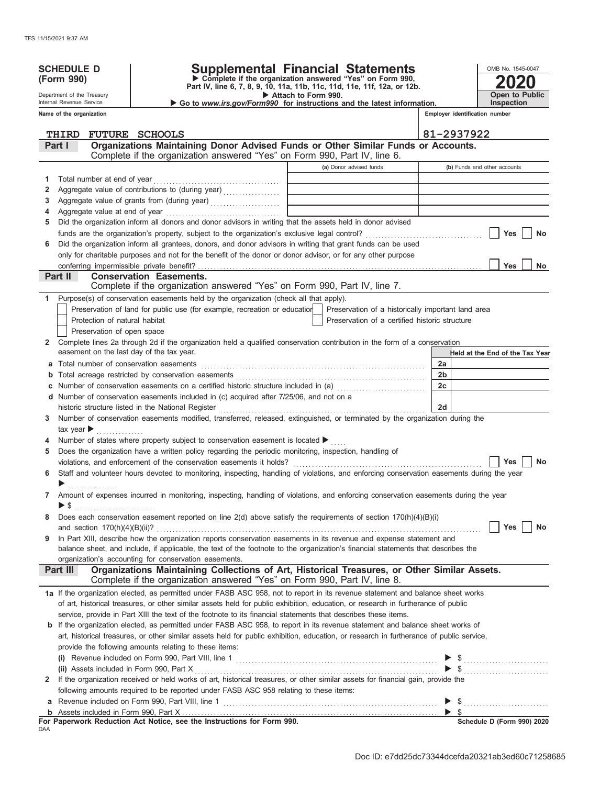| <b>SCHEDULE D</b><br>(Form 990)<br>Department of the Treasury |                                           |                                                                                                                                                                                                                                                                      | <b>Supplemental Financial Statements</b><br>Complete if the organization answered "Yes" on Form 990,<br>Part IV, line 6, 7, 8, 9, 10, 11a, 11b, 11c, 11d, 11e, 11f, 12a, or 12b. | OMB No. 1545-0047                                   |
|---------------------------------------------------------------|-------------------------------------------|----------------------------------------------------------------------------------------------------------------------------------------------------------------------------------------------------------------------------------------------------------------------|----------------------------------------------------------------------------------------------------------------------------------------------------------------------------------|-----------------------------------------------------|
|                                                               | Internal Revenue Service                  |                                                                                                                                                                                                                                                                      | Attach to Form 990.                                                                                                                                                              | <b>Open to Public</b>                               |
|                                                               | Name of the organization                  |                                                                                                                                                                                                                                                                      | Go to www.irs.gov/Form990 for instructions and the latest information.                                                                                                           | <b>Inspection</b><br>Employer identification number |
|                                                               |                                           |                                                                                                                                                                                                                                                                      |                                                                                                                                                                                  |                                                     |
|                                                               | THIRD                                     | <b>FUTURE SCHOOLS</b>                                                                                                                                                                                                                                                |                                                                                                                                                                                  | 81-2937922                                          |
|                                                               | Part I                                    | Organizations Maintaining Donor Advised Funds or Other Similar Funds or Accounts.                                                                                                                                                                                    |                                                                                                                                                                                  |                                                     |
|                                                               |                                           | Complete if the organization answered "Yes" on Form 990, Part IV, line 6.                                                                                                                                                                                            |                                                                                                                                                                                  |                                                     |
|                                                               |                                           |                                                                                                                                                                                                                                                                      | (a) Donor advised funds                                                                                                                                                          | (b) Funds and other accounts                        |
| 1.<br>2                                                       | Total number at end of year               | Aggregate value of contributions to (during year)                                                                                                                                                                                                                    |                                                                                                                                                                                  |                                                     |
| 3                                                             |                                           | Aggregate value of grants from (during year) [[11][11] Aggregate value of grants from (during year)                                                                                                                                                                  |                                                                                                                                                                                  |                                                     |
| 4                                                             | Aggregate value at end of year            |                                                                                                                                                                                                                                                                      |                                                                                                                                                                                  |                                                     |
| 5.                                                            |                                           | Did the organization inform all donors and donor advisors in writing that the assets held in donor advised                                                                                                                                                           |                                                                                                                                                                                  |                                                     |
|                                                               |                                           |                                                                                                                                                                                                                                                                      |                                                                                                                                                                                  | <b>Yes</b><br><b>No</b>                             |
| 6                                                             |                                           | Did the organization inform all grantees, donors, and donor advisors in writing that grant funds can be used                                                                                                                                                         |                                                                                                                                                                                  |                                                     |
|                                                               |                                           | only for charitable purposes and not for the benefit of the donor or donor advisor, or for any other purpose                                                                                                                                                         |                                                                                                                                                                                  |                                                     |
|                                                               |                                           | <b>Conservation Easements.</b>                                                                                                                                                                                                                                       |                                                                                                                                                                                  | Yes<br>No                                           |
|                                                               | Part II                                   | Complete if the organization answered "Yes" on Form 990, Part IV, line 7.                                                                                                                                                                                            |                                                                                                                                                                                  |                                                     |
| 1.                                                            |                                           | Purpose(s) of conservation easements held by the organization (check all that apply).                                                                                                                                                                                |                                                                                                                                                                                  |                                                     |
|                                                               |                                           | Preservation of land for public use (for example, recreation or education                                                                                                                                                                                            | Preservation of a historically important land area                                                                                                                               |                                                     |
|                                                               | Protection of natural habitat             |                                                                                                                                                                                                                                                                      | Preservation of a certified historic structure                                                                                                                                   |                                                     |
|                                                               | Preservation of open space                |                                                                                                                                                                                                                                                                      |                                                                                                                                                                                  |                                                     |
| 2.                                                            |                                           | Complete lines 2a through 2d if the organization held a qualified conservation contribution in the form of a conservation                                                                                                                                            |                                                                                                                                                                                  |                                                     |
|                                                               | easement on the last day of the tax year. |                                                                                                                                                                                                                                                                      |                                                                                                                                                                                  | Held at the End of the Tax Year                     |
| a                                                             | Total number of conservation easements    |                                                                                                                                                                                                                                                                      |                                                                                                                                                                                  | 2a                                                  |
| b                                                             |                                           | Total acreage restricted by conservation easements                                                                                                                                                                                                                   |                                                                                                                                                                                  | 2 <sub>b</sub><br>2c                                |
| С                                                             |                                           | Number of conservation easements on a certified historic structure included in (a) [[[[[[[[[[[[[[[[[[[[[[[[[]]]]]]]<br>d Number of conservation easements included in (c) acquired after 7/25/06, and not on a                                                       |                                                                                                                                                                                  |                                                     |
|                                                               |                                           | historic structure listed in the National Register                                                                                                                                                                                                                   |                                                                                                                                                                                  | 2d                                                  |
|                                                               |                                           | Number of conservation easements modified, transferred, released, extinguished, or terminated by the organization during the                                                                                                                                         |                                                                                                                                                                                  |                                                     |
|                                                               | tax year $\blacktriangleright$            |                                                                                                                                                                                                                                                                      |                                                                                                                                                                                  |                                                     |
|                                                               |                                           | Number of states where property subject to conservation easement is located ▶                                                                                                                                                                                        |                                                                                                                                                                                  |                                                     |
| 5                                                             |                                           | Does the organization have a written policy regarding the periodic monitoring, inspection, handling of                                                                                                                                                               |                                                                                                                                                                                  |                                                     |
|                                                               |                                           | violations, and enforcement of the conservation easements it holds?                                                                                                                                                                                                  |                                                                                                                                                                                  | <b>Yes</b><br><b>No</b>                             |
| 6                                                             |                                           | Staff and volunteer hours devoted to monitoring, inspecting, handling of violations, and enforcing conservation easements during the year                                                                                                                            |                                                                                                                                                                                  |                                                     |
|                                                               |                                           |                                                                                                                                                                                                                                                                      |                                                                                                                                                                                  |                                                     |
| 7                                                             | $\blacktriangleright$ \$                  | Amount of expenses incurred in monitoring, inspecting, handling of violations, and enforcing conservation easements during the year                                                                                                                                  |                                                                                                                                                                                  |                                                     |
| 8                                                             |                                           | Does each conservation easement reported on line 2(d) above satisfy the requirements of section 170(h)(4)(B)(i)                                                                                                                                                      |                                                                                                                                                                                  |                                                     |
|                                                               |                                           |                                                                                                                                                                                                                                                                      |                                                                                                                                                                                  | Yes<br>No                                           |
| 9                                                             |                                           | In Part XIII, describe how the organization reports conservation easements in its revenue and expense statement and                                                                                                                                                  |                                                                                                                                                                                  |                                                     |
|                                                               |                                           | balance sheet, and include, if applicable, the text of the footnote to the organization's financial statements that describes the                                                                                                                                    |                                                                                                                                                                                  |                                                     |
|                                                               |                                           | organization's accounting for conservation easements.                                                                                                                                                                                                                |                                                                                                                                                                                  |                                                     |
|                                                               | Part III                                  | Organizations Maintaining Collections of Art, Historical Treasures, or Other Similar Assets.<br>Complete if the organization answered "Yes" on Form 990, Part IV, line 8.                                                                                            |                                                                                                                                                                                  |                                                     |
|                                                               |                                           |                                                                                                                                                                                                                                                                      |                                                                                                                                                                                  |                                                     |
|                                                               |                                           | 1a If the organization elected, as permitted under FASB ASC 958, not to report in its revenue statement and balance sheet works<br>of art, historical treasures, or other similar assets held for public exhibition, education, or research in furtherance of public |                                                                                                                                                                                  |                                                     |
|                                                               |                                           | service, provide in Part XIII the text of the footnote to its financial statements that describes these items.                                                                                                                                                       |                                                                                                                                                                                  |                                                     |
|                                                               |                                           | b If the organization elected, as permitted under FASB ASC 958, to report in its revenue statement and balance sheet works of                                                                                                                                        |                                                                                                                                                                                  |                                                     |
|                                                               |                                           | art, historical treasures, or other similar assets held for public exhibition, education, or research in furtherance of public service,                                                                                                                              |                                                                                                                                                                                  |                                                     |
|                                                               |                                           | provide the following amounts relating to these items:                                                                                                                                                                                                               |                                                                                                                                                                                  |                                                     |
|                                                               |                                           |                                                                                                                                                                                                                                                                      |                                                                                                                                                                                  | $\blacktriangleright$ \$                            |
|                                                               | (ii) Assets included in Form 990, Part X  |                                                                                                                                                                                                                                                                      |                                                                                                                                                                                  | $\sqrt{ }$                                          |
| $\mathbf{2}$                                                  |                                           | If the organization received or held works of art, historical treasures, or other similar assets for financial gain, provide the                                                                                                                                     |                                                                                                                                                                                  |                                                     |
|                                                               |                                           | following amounts required to be reported under FASB ASC 958 relating to these items:                                                                                                                                                                                |                                                                                                                                                                                  |                                                     |
| а                                                             |                                           |                                                                                                                                                                                                                                                                      |                                                                                                                                                                                  | $\triangleright$ \$                                 |
|                                                               |                                           | For Paperwork Reduction Act Notice, see the Instructions for Form 990.                                                                                                                                                                                               |                                                                                                                                                                                  | Schedule D (Form 990) 2020                          |
| DAA                                                           |                                           |                                                                                                                                                                                                                                                                      |                                                                                                                                                                                  |                                                     |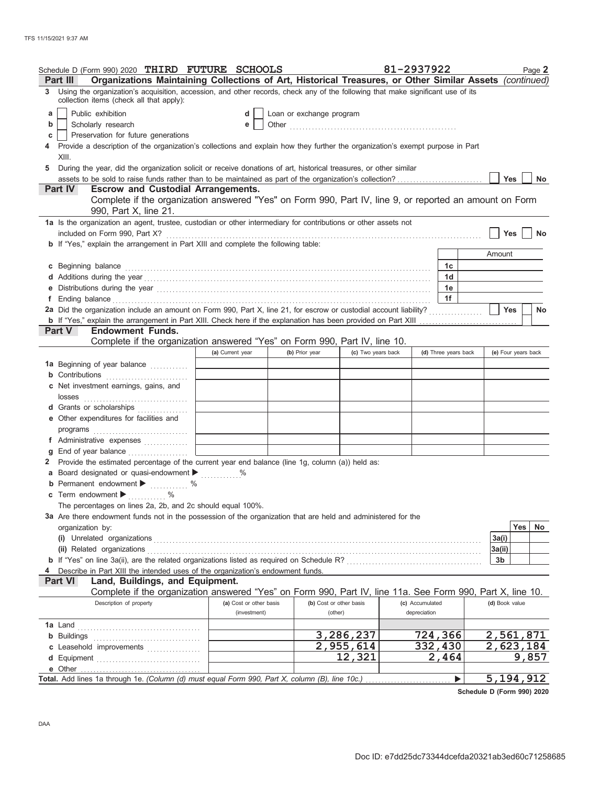|    | Schedule D (Form 990) 2020 THIRD FUTURE SCHOOLS                                                                                                                                                                               |                         |                          |                           | 81-2937922      |                      | Page 2                  |
|----|-------------------------------------------------------------------------------------------------------------------------------------------------------------------------------------------------------------------------------|-------------------------|--------------------------|---------------------------|-----------------|----------------------|-------------------------|
|    | Organizations Maintaining Collections of Art, Historical Treasures, or Other Similar Assets (continued)<br>Part III                                                                                                           |                         |                          |                           |                 |                      |                         |
| 3. | Using the organization's acquisition, accession, and other records, check any of the following that make significant use of its<br>collection items (check all that apply):                                                   |                         |                          |                           |                 |                      |                         |
| a  | Public exhibition                                                                                                                                                                                                             | d                       | Loan or exchange program |                           |                 |                      |                         |
| b  | Scholarly research                                                                                                                                                                                                            | е                       |                          |                           |                 |                      |                         |
| С  | Preservation for future generations                                                                                                                                                                                           |                         |                          |                           |                 |                      |                         |
|    | Provide a description of the organization's collections and explain how they further the organization's exempt purpose in Part                                                                                                |                         |                          |                           |                 |                      |                         |
|    | XIII.                                                                                                                                                                                                                         |                         |                          |                           |                 |                      |                         |
| 5  | During the year, did the organization solicit or receive donations of art, historical treasures, or other similar                                                                                                             |                         |                          |                           |                 |                      |                         |
|    |                                                                                                                                                                                                                               |                         |                          |                           |                 |                      | Yes<br>No               |
|    | <b>Escrow and Custodial Arrangements.</b><br><b>Part IV</b>                                                                                                                                                                   |                         |                          |                           |                 |                      |                         |
|    | Complete if the organization answered "Yes" on Form 990, Part IV, line 9, or reported an amount on Form<br>990, Part X, line 21.                                                                                              |                         |                          |                           |                 |                      |                         |
|    | 1a Is the organization an agent, trustee, custodian or other intermediary for contributions or other assets not                                                                                                               |                         |                          |                           |                 |                      |                         |
|    | included on Form 990, Part X?                                                                                                                                                                                                 |                         |                          |                           |                 |                      | Yes  <br>No             |
|    | b If "Yes," explain the arrangement in Part XIII and complete the following table:                                                                                                                                            |                         |                          |                           |                 |                      |                         |
|    |                                                                                                                                                                                                                               |                         |                          |                           |                 |                      | Amount                  |
|    | c Beginning balance                                                                                                                                                                                                           |                         |                          |                           |                 | 1c                   |                         |
|    |                                                                                                                                                                                                                               |                         |                          |                           |                 | 1 <sub>d</sub>       |                         |
|    |                                                                                                                                                                                                                               |                         |                          |                           |                 | 1e                   |                         |
|    | Ending balance contains and a series of the series of the series of the series of the series of the series of the series of the series of the series of the series of the series of the series of the series of the series of |                         |                          |                           |                 | 1f                   |                         |
|    | 2a Did the organization include an amount on Form 990, Part X, line 21, for escrow or custodial account liability?                                                                                                            |                         |                          |                           |                 |                      | <b>Yes</b><br><b>No</b> |
|    |                                                                                                                                                                                                                               |                         |                          |                           |                 |                      |                         |
|    | <b>Endowment Funds.</b><br><b>Part V</b>                                                                                                                                                                                      |                         |                          |                           |                 |                      |                         |
|    | Complete if the organization answered "Yes" on Form 990, Part IV, line 10.                                                                                                                                                    |                         |                          |                           |                 |                      |                         |
|    |                                                                                                                                                                                                                               | (a) Current year        | (b) Prior year           | (c) Two years back        |                 | (d) Three years back | (e) Four years back     |
|    | 1a Beginning of year balance                                                                                                                                                                                                  |                         |                          |                           |                 |                      |                         |
|    | <b>b</b> Contributions                                                                                                                                                                                                        |                         |                          |                           |                 |                      |                         |
|    | c Net investment earnings, gains, and                                                                                                                                                                                         |                         |                          |                           |                 |                      |                         |
|    | losses                                                                                                                                                                                                                        |                         |                          |                           |                 |                      |                         |
|    | d Grants or scholarships<br>.                                                                                                                                                                                                 |                         |                          |                           |                 |                      |                         |
|    | e Other expenditures for facilities and                                                                                                                                                                                       |                         |                          |                           |                 |                      |                         |
|    |                                                                                                                                                                                                                               |                         |                          |                           |                 |                      |                         |
|    | f Administrative expenses                                                                                                                                                                                                     |                         |                          |                           |                 |                      |                         |
|    | End of year balance                                                                                                                                                                                                           |                         |                          |                           |                 |                      |                         |
|    | 2 Provide the estimated percentage of the current year end balance (line 1g, column (a)) held as:                                                                                                                             |                         |                          |                           |                 |                      |                         |
|    | a Board designated or quasi-endowment > %                                                                                                                                                                                     |                         |                          |                           |                 |                      |                         |
|    | <b>b</b> Permanent endowment <b>D</b> %                                                                                                                                                                                       |                         |                          |                           |                 |                      |                         |
|    | Term endowment ▶<br>$\ldots \ldots \overset{\varphi_{0}}{\ldots}$<br>The percentages on lines 2a, 2b, and 2c should equal 100%.                                                                                               |                         |                          |                           |                 |                      |                         |
|    | 3a Are there endowment funds not in the possession of the organization that are held and administered for the                                                                                                                 |                         |                          |                           |                 |                      |                         |
|    | organization by:                                                                                                                                                                                                              |                         |                          |                           |                 |                      | <b>Yes</b><br>No        |
|    | (i) Unrelated organizations                                                                                                                                                                                                   |                         |                          |                           |                 |                      | 3a(i)                   |
|    | (ii) Related organizations                                                                                                                                                                                                    |                         |                          |                           |                 |                      | 3a(ii)                  |
|    |                                                                                                                                                                                                                               |                         |                          |                           |                 |                      | 3b                      |
|    | Describe in Part XIII the intended uses of the organization's endowment funds.                                                                                                                                                |                         |                          |                           |                 |                      |                         |
|    | Land, Buildings, and Equipment.<br><b>Part VI</b>                                                                                                                                                                             |                         |                          |                           |                 |                      |                         |
|    | Complete if the organization answered "Yes" on Form 990, Part IV, line 11a. See Form 990, Part X, line 10.                                                                                                                    |                         |                          |                           |                 |                      |                         |
|    | Description of property                                                                                                                                                                                                       | (a) Cost or other basis | (b) Cost or other basis  |                           | (c) Accumulated |                      | (d) Book value          |
|    |                                                                                                                                                                                                                               | (investment)            | (other)                  |                           | depreciation    |                      |                         |
|    | 1a Land                                                                                                                                                                                                                       |                         |                          |                           |                 |                      |                         |
|    | <b>b</b> Buildings                                                                                                                                                                                                            |                         |                          | 3,286,237                 |                 | 724,366              | 2,561,871               |
|    | c Leasehold improvements                                                                                                                                                                                                      |                         |                          | $\overline{2}$ , 955, 614 |                 | 332,430              | 2,623,184               |
|    |                                                                                                                                                                                                                               |                         |                          | 12,321                    |                 | 2,464                | 9,857                   |
|    |                                                                                                                                                                                                                               |                         |                          |                           |                 |                      |                         |
|    |                                                                                                                                                                                                                               |                         |                          |                           |                 |                      | 5, 194, 912             |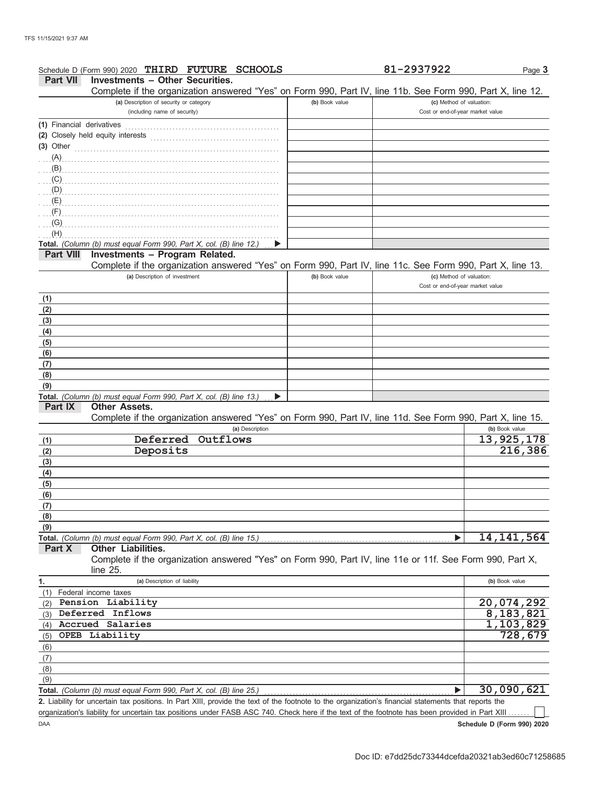| <b>Part VII</b>                   | <b>Investments - Other Securities.</b>                                                                                                                                                                                     |                | 81-2937922                                                   |                            |
|-----------------------------------|----------------------------------------------------------------------------------------------------------------------------------------------------------------------------------------------------------------------------|----------------|--------------------------------------------------------------|----------------------------|
|                                   |                                                                                                                                                                                                                            |                |                                                              |                            |
|                                   | Complete if the organization answered "Yes" on Form 990, Part IV, line 11b. See Form 990, Part X, line 12.                                                                                                                 |                |                                                              |                            |
|                                   | (a) Description of security or category                                                                                                                                                                                    | (b) Book value | (c) Method of valuation:                                     |                            |
|                                   | (including name of security)                                                                                                                                                                                               |                | Cost or end-of-year market value                             |                            |
| (1) Financial derivatives         |                                                                                                                                                                                                                            |                |                                                              |                            |
| (2) Closely held equity interests |                                                                                                                                                                                                                            |                |                                                              |                            |
| $(3)$ Other                       |                                                                                                                                                                                                                            |                |                                                              |                            |
| (A)                               |                                                                                                                                                                                                                            |                |                                                              |                            |
| (B)                               |                                                                                                                                                                                                                            |                |                                                              |                            |
| (C)                               |                                                                                                                                                                                                                            |                |                                                              |                            |
| (D)                               |                                                                                                                                                                                                                            |                |                                                              |                            |
| (E)                               |                                                                                                                                                                                                                            |                |                                                              |                            |
| (F)                               |                                                                                                                                                                                                                            |                |                                                              |                            |
| (G)                               |                                                                                                                                                                                                                            |                |                                                              |                            |
| (H)                               |                                                                                                                                                                                                                            |                |                                                              |                            |
|                                   | Total. (Column (b) must equal Form 990, Part X, col. (B) line 12.)                                                                                                                                                         |                |                                                              |                            |
| <b>Part VIII</b>                  | <b>Investments - Program Related.</b>                                                                                                                                                                                      |                |                                                              |                            |
|                                   | Complete if the organization answered "Yes" on Form 990, Part IV, line 11c. See Form 990, Part X, line 13.                                                                                                                 |                |                                                              |                            |
|                                   | (a) Description of investment                                                                                                                                                                                              | (b) Book value | (c) Method of valuation:<br>Cost or end-of-year market value |                            |
|                                   |                                                                                                                                                                                                                            |                |                                                              |                            |
| (1)                               |                                                                                                                                                                                                                            |                |                                                              |                            |
| (2)                               |                                                                                                                                                                                                                            |                |                                                              |                            |
| (3)                               |                                                                                                                                                                                                                            |                |                                                              |                            |
| (4)                               |                                                                                                                                                                                                                            |                |                                                              |                            |
| (5)                               |                                                                                                                                                                                                                            |                |                                                              |                            |
| (6)                               |                                                                                                                                                                                                                            |                |                                                              |                            |
| (7)                               |                                                                                                                                                                                                                            |                |                                                              |                            |
| (8)<br>(9)                        |                                                                                                                                                                                                                            |                |                                                              |                            |
|                                   | Total. (Column (b) must equal Form 990, Part X, col. (B) line 13.)                                                                                                                                                         |                |                                                              |                            |
| Part IX                           | <b>Other Assets.</b>                                                                                                                                                                                                       |                |                                                              |                            |
|                                   | Complete if the organization answered "Yes" on Form 990, Part IV, line 11d. See Form 990, Part X, line 15.                                                                                                                 |                |                                                              |                            |
|                                   | (a) Description                                                                                                                                                                                                            |                |                                                              | (b) Book value             |
| (1)                               | Deferred<br>Outflows                                                                                                                                                                                                       |                |                                                              | 13, 925, 178               |
| (2)                               | Deposits                                                                                                                                                                                                                   |                |                                                              | 216,386                    |
| (3)                               |                                                                                                                                                                                                                            |                |                                                              |                            |
| (4)                               |                                                                                                                                                                                                                            |                |                                                              |                            |
| (5)                               |                                                                                                                                                                                                                            |                |                                                              |                            |
| (6)                               |                                                                                                                                                                                                                            |                |                                                              |                            |
| (7)                               |                                                                                                                                                                                                                            |                |                                                              |                            |
| (8)                               |                                                                                                                                                                                                                            |                |                                                              |                            |
| (9)                               |                                                                                                                                                                                                                            |                |                                                              |                            |
|                                   |                                                                                                                                                                                                                            |                |                                                              | 14, 141, 564               |
| Part X                            | <b>Other Liabilities.</b>                                                                                                                                                                                                  |                |                                                              |                            |
|                                   | Complete if the organization answered "Yes" on Form 990, Part IV, line 11e or 11f. See Form 990, Part X,                                                                                                                   |                |                                                              |                            |
|                                   | line 25.                                                                                                                                                                                                                   |                |                                                              |                            |
| 1.                                | (a) Description of liability                                                                                                                                                                                               |                |                                                              | (b) Book value             |
| (1)                               | Federal income taxes                                                                                                                                                                                                       |                |                                                              |                            |
| (2)                               | Pension Liability                                                                                                                                                                                                          |                |                                                              | $\overline{20}$ , 074, 292 |
| (3)                               | Deferred Inflows                                                                                                                                                                                                           |                |                                                              | 8,183,821                  |
| (4)                               | Accrued Salaries                                                                                                                                                                                                           |                |                                                              | 1,103,829                  |
| (5)                               | OPEB Liability                                                                                                                                                                                                             |                |                                                              | 728,679                    |
| (6)                               |                                                                                                                                                                                                                            |                |                                                              |                            |
| (7)                               |                                                                                                                                                                                                                            |                |                                                              |                            |
| (8)                               |                                                                                                                                                                                                                            |                |                                                              |                            |
| (9)                               |                                                                                                                                                                                                                            |                |                                                              |                            |
|                                   | Total. (Column (b) must equal Form 990, Part X, col. (B) line 25.)<br>2. Liability for uncertain tax positions. In Part XIII, provide the text of the footnote to the organization's financial statements that reports the |                |                                                              | 30,090,621                 |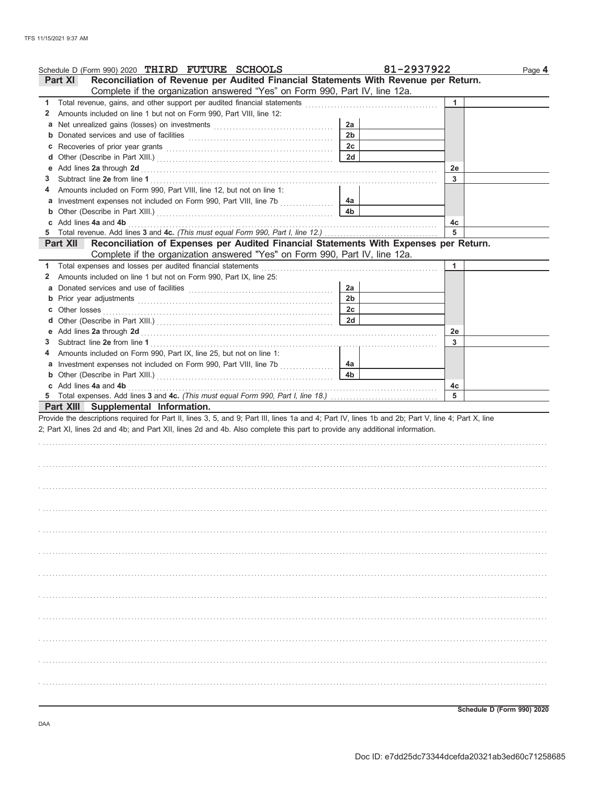|              | Schedule D (Form 990) 2020 THIRD FUTURE SCHOOLS                                                                                                                  |                | 81-2937922 |    | Page 4 |
|--------------|------------------------------------------------------------------------------------------------------------------------------------------------------------------|----------------|------------|----|--------|
|              | Reconciliation of Revenue per Audited Financial Statements With Revenue per Return.<br><b>Part XI</b>                                                            |                |            |    |        |
|              | Complete if the organization answered "Yes" on Form 990, Part IV, line 12a.                                                                                      |                |            |    |        |
| 1.           |                                                                                                                                                                  |                |            |    |        |
| $\mathbf{2}$ | Amounts included on line 1 but not on Form 990, Part VIII, line 12:                                                                                              |                |            |    |        |
|              |                                                                                                                                                                  | 2a             |            |    |        |
|              |                                                                                                                                                                  | 2 <sub>b</sub> |            |    |        |
| С            |                                                                                                                                                                  | 2c             |            |    |        |
| d            |                                                                                                                                                                  | 2d             |            |    |        |
|              |                                                                                                                                                                  |                |            | 2e |        |
| 3            |                                                                                                                                                                  |                |            | 3  |        |
| 4            | Amounts included on Form 990, Part VIII, line 12, but not on line 1:                                                                                             |                |            |    |        |
|              | a Investment expenses not included on Form 990, Part VIII, line 7b                                                                                               | 4a             |            |    |        |
| b            |                                                                                                                                                                  | 4 <sub>b</sub> |            |    |        |
|              | c Add lines 4a and 4b                                                                                                                                            |                |            | 4c |        |
|              |                                                                                                                                                                  |                |            | 5  |        |
|              | Reconciliation of Expenses per Audited Financial Statements With Expenses per Return.<br><b>Part XII</b>                                                         |                |            |    |        |
|              | Complete if the organization answered "Yes" on Form 990, Part IV, line 12a.                                                                                      |                |            |    |        |
|              | 1 Total expenses and losses per audited financial statements [11] [11] Total expenses and losses per audited financial statements [11] Total expenses and losses |                |            | 1  |        |
| $\mathbf{2}$ | Amounts included on line 1 but not on Form 990, Part IX, line 25:                                                                                                |                |            |    |        |
|              |                                                                                                                                                                  | 2a             |            |    |        |
| b            |                                                                                                                                                                  | 2 <sub>b</sub> |            |    |        |
| C            | Other losses                                                                                                                                                     | 2c             |            |    |        |
| d            |                                                                                                                                                                  | 2d             |            |    |        |
|              |                                                                                                                                                                  |                |            | 2e |        |
| 3            |                                                                                                                                                                  |                |            | 3  |        |
| 4            | Amounts included on Form 990, Part IX, line 25, but not on line 1:                                                                                               |                |            |    |        |
|              | a Investment expenses not included on Form 990, Part VIII, line 7b                                                                                               | 4a             |            |    |        |
|              |                                                                                                                                                                  | 4 <sub>b</sub> |            |    |        |
|              | c Add lines 4a and 4b                                                                                                                                            |                |            | 4c |        |
|              |                                                                                                                                                                  |                |            |    |        |
|              |                                                                                                                                                                  |                |            | 5  |        |
|              | Part XIII Supplemental Information.                                                                                                                              |                |            |    |        |
|              | Provide the descriptions required for Part II, lines 3, 5, and 9; Part III, lines 1a and 4; Part IV, lines 1b and 2b; Part V, line 4; Part X, line               |                |            |    |        |
|              | 2; Part XI, lines 2d and 4b; and Part XII, lines 2d and 4b. Also complete this part to provide any additional information.                                       |                |            |    |        |
|              |                                                                                                                                                                  |                |            |    |        |
|              |                                                                                                                                                                  |                |            |    |        |
|              |                                                                                                                                                                  |                |            |    |        |
|              |                                                                                                                                                                  |                |            |    |        |
|              |                                                                                                                                                                  |                |            |    |        |
|              |                                                                                                                                                                  |                |            |    |        |
|              |                                                                                                                                                                  |                |            |    |        |
|              |                                                                                                                                                                  |                |            |    |        |
|              |                                                                                                                                                                  |                |            |    |        |
|              |                                                                                                                                                                  |                |            |    |        |
|              |                                                                                                                                                                  |                |            |    |        |
|              |                                                                                                                                                                  |                |            |    |        |
|              |                                                                                                                                                                  |                |            |    |        |
|              |                                                                                                                                                                  |                |            |    |        |
|              |                                                                                                                                                                  |                |            |    |        |
|              |                                                                                                                                                                  |                |            |    |        |
|              |                                                                                                                                                                  |                |            |    |        |
|              |                                                                                                                                                                  |                |            |    |        |
|              |                                                                                                                                                                  |                |            |    |        |
|              |                                                                                                                                                                  |                |            |    |        |
|              |                                                                                                                                                                  |                |            |    |        |
|              |                                                                                                                                                                  |                |            |    |        |
|              |                                                                                                                                                                  |                |            |    |        |
|              |                                                                                                                                                                  |                |            |    |        |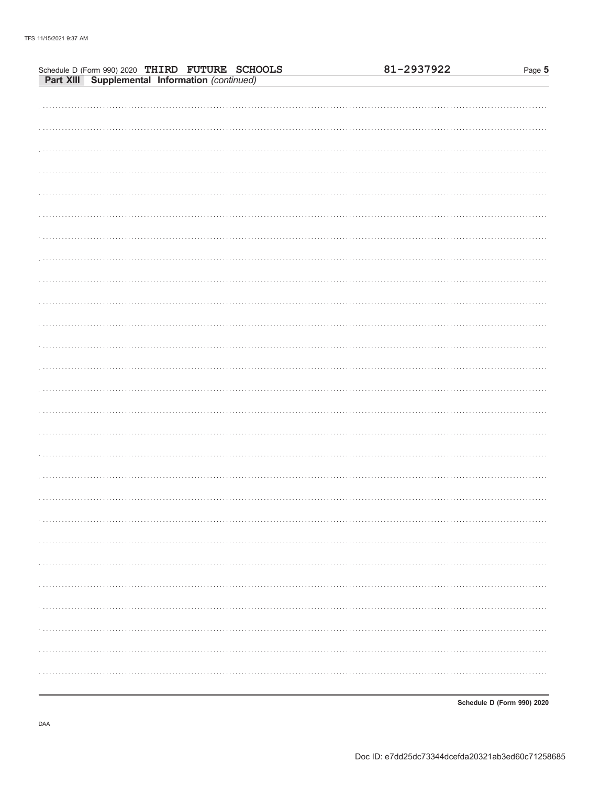|   | Schedule D (Form 990) 2020 THIRD FUTURE SCHOOLS<br>Part XIII Supplemental Information (continued) |  |  | 81-2937922 |   | Page 5 |
|---|---------------------------------------------------------------------------------------------------|--|--|------------|---|--------|
|   |                                                                                                   |  |  |            |   |        |
|   |                                                                                                   |  |  |            |   |        |
|   |                                                                                                   |  |  |            |   |        |
|   |                                                                                                   |  |  |            |   |        |
|   |                                                                                                   |  |  |            |   |        |
|   |                                                                                                   |  |  |            |   |        |
|   |                                                                                                   |  |  |            |   |        |
|   |                                                                                                   |  |  |            |   |        |
|   |                                                                                                   |  |  |            |   |        |
|   |                                                                                                   |  |  |            |   |        |
|   |                                                                                                   |  |  |            |   |        |
|   |                                                                                                   |  |  |            |   |        |
|   |                                                                                                   |  |  |            |   |        |
|   |                                                                                                   |  |  |            |   |        |
|   |                                                                                                   |  |  |            |   |        |
|   |                                                                                                   |  |  |            |   |        |
|   |                                                                                                   |  |  |            |   |        |
|   |                                                                                                   |  |  |            |   |        |
|   |                                                                                                   |  |  |            |   |        |
|   |                                                                                                   |  |  |            |   |        |
|   |                                                                                                   |  |  |            |   |        |
|   |                                                                                                   |  |  |            |   |        |
|   |                                                                                                   |  |  |            |   |        |
|   |                                                                                                   |  |  |            |   |        |
|   |                                                                                                   |  |  |            |   |        |
|   |                                                                                                   |  |  |            |   |        |
|   |                                                                                                   |  |  |            |   |        |
|   |                                                                                                   |  |  |            |   |        |
|   |                                                                                                   |  |  |            |   |        |
|   |                                                                                                   |  |  |            |   |        |
|   |                                                                                                   |  |  |            | . |        |
|   |                                                                                                   |  |  |            |   |        |
| . |                                                                                                   |  |  |            |   |        |
|   |                                                                                                   |  |  |            |   |        |
| . |                                                                                                   |  |  |            |   |        |
|   |                                                                                                   |  |  |            |   |        |
|   |                                                                                                   |  |  |            |   |        |
|   |                                                                                                   |  |  |            |   |        |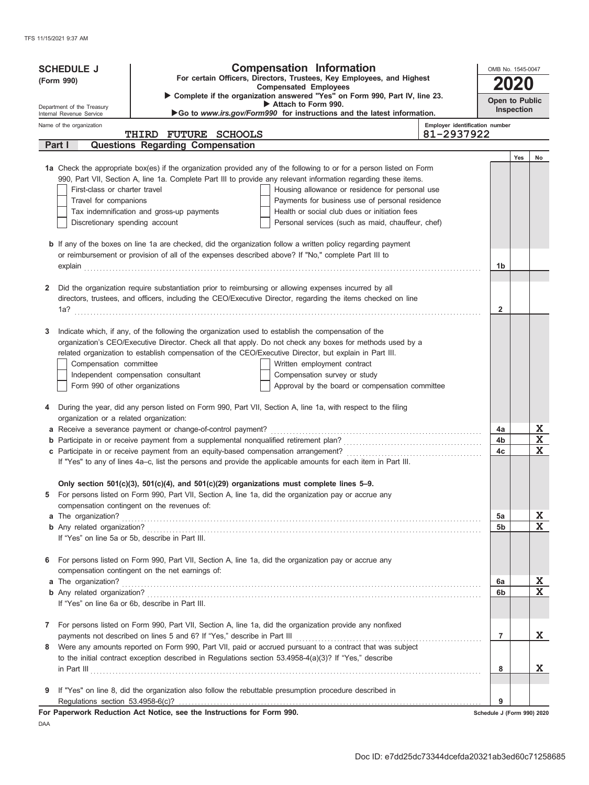|    | <b>SCHEDULE J</b><br>(Form 990)                                                                     | <b>Compensation Information</b><br>For certain Officers, Directors, Trustees, Key Employees, and Highest                                                                                                                                             | OMB No. 1545-0047                                 |                            |            |              |
|----|-----------------------------------------------------------------------------------------------------|------------------------------------------------------------------------------------------------------------------------------------------------------------------------------------------------------------------------------------------------------|---------------------------------------------------|----------------------------|------------|--------------|
|    | Department of the Treasury                                                                          | <b>Compensated Employees</b><br>Complete if the organization answered "Yes" on Form 990, Part IV, line 23.<br>Attach to Form 990.                                                                                                                    |                                                   | Open to Public             | Inspection |              |
|    | Internal Revenue Service<br>Name of the organization                                                | Go to www.irs.gov/Form990 for instructions and the latest information.                                                                                                                                                                               | Employer identification number                    |                            |            |              |
|    |                                                                                                     | <b>FUTURE SCHOOLS</b><br><b>THIRD</b>                                                                                                                                                                                                                | 81-2937922                                        |                            |            |              |
|    | Part I                                                                                              | Questions Regarding Compensation                                                                                                                                                                                                                     |                                                   |                            |            |              |
|    |                                                                                                     |                                                                                                                                                                                                                                                      |                                                   |                            | Yes        | No           |
|    |                                                                                                     | 1a Check the appropriate box(es) if the organization provided any of the following to or for a person listed on Form<br>990, Part VII, Section A, line 1a. Complete Part III to provide any relevant information regarding these items.              |                                                   |                            |            |              |
|    | First-class or charter travel                                                                       |                                                                                                                                                                                                                                                      | Housing allowance or residence for personal use   |                            |            |              |
|    | Travel for companions                                                                               |                                                                                                                                                                                                                                                      | Payments for business use of personal residence   |                            |            |              |
|    |                                                                                                     | Tax indemnification and gross-up payments                                                                                                                                                                                                            | Health or social club dues or initiation fees     |                            |            |              |
|    | Discretionary spending account                                                                      |                                                                                                                                                                                                                                                      | Personal services (such as maid, chauffeur, chef) |                            |            |              |
|    |                                                                                                     |                                                                                                                                                                                                                                                      |                                                   |                            |            |              |
|    |                                                                                                     | <b>b</b> If any of the boxes on line 1a are checked, did the organization follow a written policy regarding payment<br>or reimbursement or provision of all of the expenses described above? If "No," complete Part III to                           |                                                   |                            |            |              |
|    |                                                                                                     | explain<br>explain<br>explain<br>explain<br>explain<br>explain<br>explain<br>explain<br>explain<br>explain<br>explain<br>order to the distribution of the distribution of the distribution of the distribution of the distribution of the distributi |                                                   | 1b                         |            |              |
|    |                                                                                                     |                                                                                                                                                                                                                                                      |                                                   |                            |            |              |
| 2  |                                                                                                     | Did the organization require substantiation prior to reimbursing or allowing expenses incurred by all                                                                                                                                                |                                                   |                            |            |              |
|    |                                                                                                     | directors, trustees, and officers, including the CEO/Executive Director, regarding the items checked on line                                                                                                                                         |                                                   | $\mathbf{2}$               |            |              |
|    |                                                                                                     |                                                                                                                                                                                                                                                      |                                                   |                            |            |              |
| 3  | Indicate which, if any, of the following the organization used to establish the compensation of the |                                                                                                                                                                                                                                                      |                                                   |                            |            |              |
|    |                                                                                                     | organization's CEO/Executive Director. Check all that apply. Do not check any boxes for methods used by a                                                                                                                                            |                                                   |                            |            |              |
|    |                                                                                                     | related organization to establish compensation of the CEO/Executive Director, but explain in Part III.                                                                                                                                               |                                                   |                            |            |              |
|    | Compensation committee                                                                              | Written employment contract                                                                                                                                                                                                                          |                                                   |                            |            |              |
|    | Form 990 of other organizations                                                                     | Independent compensation consultant<br>Compensation survey or study                                                                                                                                                                                  | Approval by the board or compensation committee   |                            |            |              |
|    |                                                                                                     |                                                                                                                                                                                                                                                      |                                                   |                            |            |              |
| 4  |                                                                                                     | During the year, did any person listed on Form 990, Part VII, Section A, line 1a, with respect to the filing                                                                                                                                         |                                                   |                            |            |              |
|    | organization or a related organization:                                                             |                                                                                                                                                                                                                                                      |                                                   |                            |            |              |
|    |                                                                                                     | a Receive a severance payment or change-of-control payment?                                                                                                                                                                                          |                                                   | 4a<br>4b                   |            | X<br>X       |
|    |                                                                                                     |                                                                                                                                                                                                                                                      |                                                   | 4c                         |            | X            |
|    |                                                                                                     | If "Yes" to any of lines 4a-c, list the persons and provide the applicable amounts for each item in Part III.                                                                                                                                        |                                                   |                            |            |              |
|    |                                                                                                     | Only section $501(c)(3)$ , $501(c)(4)$ , and $501(c)(29)$ organizations must complete lines 5–9.                                                                                                                                                     |                                                   |                            |            |              |
| 5  |                                                                                                     | For persons listed on Form 990, Part VII, Section A, line 1a, did the organization pay or accrue any                                                                                                                                                 |                                                   |                            |            |              |
|    |                                                                                                     | compensation contingent on the revenues of:                                                                                                                                                                                                          |                                                   |                            |            |              |
|    |                                                                                                     |                                                                                                                                                                                                                                                      |                                                   | 5a                         |            | X            |
|    |                                                                                                     |                                                                                                                                                                                                                                                      |                                                   | 5b                         |            | $\mathbf x$  |
|    |                                                                                                     | If "Yes" on line 5a or 5b, describe in Part III.                                                                                                                                                                                                     |                                                   |                            |            |              |
| 6  |                                                                                                     | For persons listed on Form 990, Part VII, Section A, line 1a, did the organization pay or accrue any                                                                                                                                                 |                                                   |                            |            |              |
|    |                                                                                                     | compensation contingent on the net earnings of:                                                                                                                                                                                                      |                                                   |                            |            |              |
|    | a The organization?                                                                                 |                                                                                                                                                                                                                                                      |                                                   | 6a                         |            | $\mathbf{x}$ |
|    |                                                                                                     | If "Yes" on line 6a or 6b, describe in Part III.                                                                                                                                                                                                     |                                                   | 6b                         |            | $\mathbf{x}$ |
|    |                                                                                                     |                                                                                                                                                                                                                                                      |                                                   |                            |            |              |
| 7. |                                                                                                     | For persons listed on Form 990, Part VII, Section A, line 1a, did the organization provide any nonfixed                                                                                                                                              |                                                   |                            |            |              |
|    |                                                                                                     |                                                                                                                                                                                                                                                      |                                                   | $\overline{7}$             |            | X            |
| 8  |                                                                                                     | Were any amounts reported on Form 990, Part VII, paid or accrued pursuant to a contract that was subject                                                                                                                                             |                                                   |                            |            |              |
|    |                                                                                                     | to the initial contract exception described in Regulations section 53.4958-4(a)(3)? If "Yes," describe                                                                                                                                               |                                                   | 8                          |            | X            |
|    |                                                                                                     |                                                                                                                                                                                                                                                      |                                                   |                            |            |              |
| 9  |                                                                                                     | If "Yes" on line 8, did the organization also follow the rebuttable presumption procedure described in                                                                                                                                               |                                                   |                            |            |              |
|    |                                                                                                     |                                                                                                                                                                                                                                                      |                                                   | 9                          |            |              |
|    |                                                                                                     | For Paperwork Reduction Act Notice, see the Instructions for Form 990.                                                                                                                                                                               |                                                   | Schedule J (Form 990) 2020 |            |              |

DAA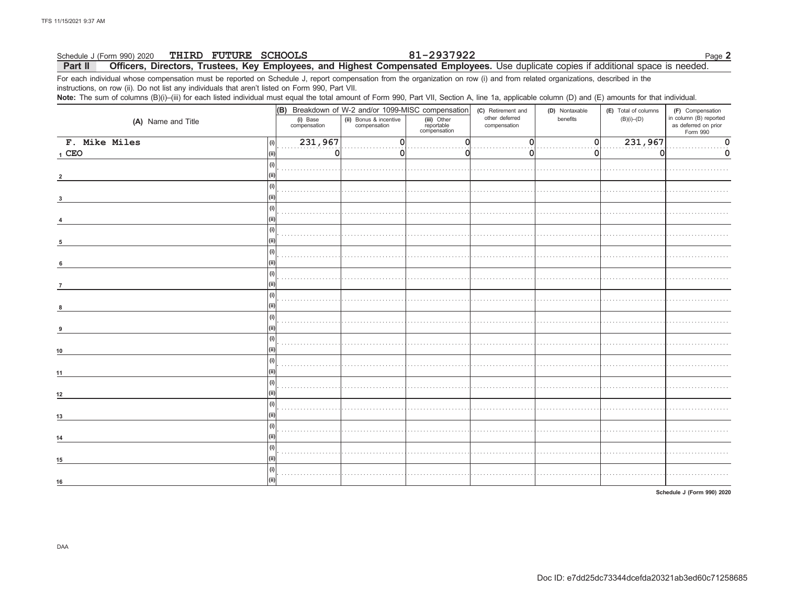#### 81-2937922 THIRD FUTURE SCHOOLS Schedule J (Form 990) 2020

#### Officers, Directors, Trustees, Key Employees, and Highest Compensated Employees. Use duplicate copies if additional space is needed. Part II

For each individual whose compensation must be reported on Schedule J, report compensation from the organization on row (i) and from related organizations, described in the instructions, on row (ii). Do not list any individuals that aren't listed on Form 990, Part VII.

Note: The sum of columns (B)(i)-(iii) for each listed individual must equal the total amount of Form 990, Part VII, Section A, line 1a, applicable column (D) and (E) amounts for that individual.

|                    |       |                          | (B) Breakdown of W-2 and/or 1099-MISC compensation |                                           | (C) Retirement and             | (D) Nontaxable | (E) Total of columns | (F) Compensation                                           |
|--------------------|-------|--------------------------|----------------------------------------------------|-------------------------------------------|--------------------------------|----------------|----------------------|------------------------------------------------------------|
| (A) Name and Title |       | (i) Base<br>compensation | (ii) Bonus & incentive<br>compensation             | (iii) Other<br>reportable<br>compensation | other deferred<br>compensation | benefits       | $(B)(i)$ – $(D)$     | in column (B) reported<br>as deferred on prior<br>Form 990 |
| F. Mike Miles      | (i)   | 231,967                  | $\Omega$                                           |                                           | n                              | $\mathbf{0}$   | 231,967              | n                                                          |
| $1$ CEO            | (iii) | 0                        | O                                                  |                                           |                                | 0              | O                    | 0                                                          |
|                    | (i)   |                          |                                                    |                                           |                                |                |                      |                                                            |
|                    |       |                          |                                                    |                                           |                                |                |                      |                                                            |
|                    | (i)   |                          |                                                    |                                           |                                |                |                      |                                                            |
| 3                  |       |                          |                                                    |                                           |                                |                |                      |                                                            |
|                    | (i)   |                          |                                                    |                                           |                                |                |                      |                                                            |
|                    |       |                          |                                                    |                                           |                                |                |                      |                                                            |
|                    |       |                          |                                                    |                                           |                                |                |                      |                                                            |
| 5                  |       |                          |                                                    |                                           |                                |                |                      |                                                            |
|                    | (i)   |                          |                                                    |                                           |                                |                |                      |                                                            |
| 6                  |       |                          |                                                    |                                           |                                |                |                      |                                                            |
|                    | (i)   |                          |                                                    |                                           |                                |                |                      |                                                            |
| $\overline{7}$     |       |                          |                                                    |                                           |                                |                |                      |                                                            |
|                    | (i)   |                          |                                                    |                                           |                                |                |                      |                                                            |
| 8                  |       |                          |                                                    |                                           |                                |                |                      |                                                            |
|                    |       |                          |                                                    |                                           |                                |                |                      |                                                            |
| q                  |       |                          |                                                    |                                           |                                |                |                      |                                                            |
|                    | (i)   |                          |                                                    |                                           |                                |                |                      |                                                            |
| 10                 |       |                          |                                                    |                                           |                                |                |                      |                                                            |
|                    | (i)   |                          |                                                    |                                           |                                |                |                      |                                                            |
| 11                 | (ii)  |                          |                                                    |                                           |                                |                |                      |                                                            |
|                    | (i)   |                          |                                                    |                                           |                                |                |                      |                                                            |
| 12                 |       |                          |                                                    |                                           |                                |                |                      |                                                            |
|                    |       |                          |                                                    |                                           |                                |                |                      |                                                            |
| 13                 |       |                          |                                                    |                                           |                                |                |                      |                                                            |
|                    | (i)   |                          |                                                    |                                           |                                |                |                      |                                                            |
| 14                 |       |                          |                                                    |                                           |                                |                |                      |                                                            |
|                    | (i)   |                          |                                                    |                                           |                                |                |                      |                                                            |
| 15                 | (ii)  |                          |                                                    |                                           |                                |                |                      |                                                            |
|                    | (i)   |                          |                                                    |                                           |                                |                |                      |                                                            |
| 16                 |       |                          |                                                    |                                           |                                |                |                      |                                                            |
|                    |       |                          |                                                    |                                           |                                |                |                      |                                                            |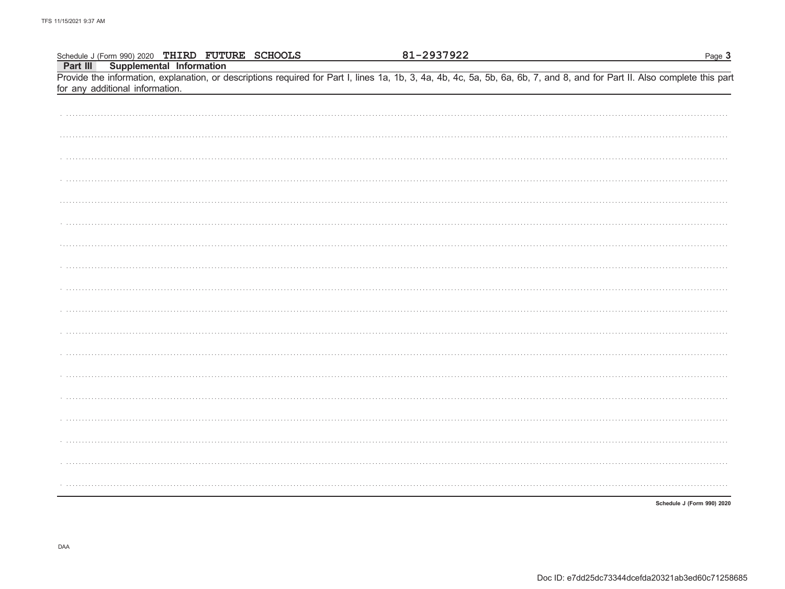|          | Schedule J (Form 990) 2020 THIRD FUTURE SCHOOLS |  |  | 81-2937922 |  | Page 3                                                                                                                                                                     |
|----------|-------------------------------------------------|--|--|------------|--|----------------------------------------------------------------------------------------------------------------------------------------------------------------------------|
| Part III | Supplemental Information                        |  |  |            |  |                                                                                                                                                                            |
|          |                                                 |  |  |            |  | Provide the information, explanation, or descriptions required for Part I, lines 1a, 1b, 3, 4a, 4b, 4c, 5a, 5b, 6a, 6b, 7, and 8, and for Part II. Also complete this part |
|          | for any additional information.                 |  |  |            |  |                                                                                                                                                                            |
|          |                                                 |  |  |            |  |                                                                                                                                                                            |
|          |                                                 |  |  |            |  |                                                                                                                                                                            |
|          |                                                 |  |  |            |  |                                                                                                                                                                            |
|          |                                                 |  |  |            |  |                                                                                                                                                                            |
|          |                                                 |  |  |            |  |                                                                                                                                                                            |
|          |                                                 |  |  |            |  |                                                                                                                                                                            |
|          |                                                 |  |  |            |  |                                                                                                                                                                            |
|          |                                                 |  |  |            |  |                                                                                                                                                                            |
|          |                                                 |  |  |            |  |                                                                                                                                                                            |
|          |                                                 |  |  |            |  |                                                                                                                                                                            |
|          |                                                 |  |  |            |  |                                                                                                                                                                            |
|          |                                                 |  |  |            |  |                                                                                                                                                                            |
|          |                                                 |  |  |            |  |                                                                                                                                                                            |
|          |                                                 |  |  |            |  |                                                                                                                                                                            |
|          |                                                 |  |  |            |  |                                                                                                                                                                            |
|          |                                                 |  |  |            |  |                                                                                                                                                                            |
|          |                                                 |  |  |            |  |                                                                                                                                                                            |
|          |                                                 |  |  |            |  |                                                                                                                                                                            |
|          |                                                 |  |  |            |  |                                                                                                                                                                            |
|          |                                                 |  |  |            |  |                                                                                                                                                                            |
|          |                                                 |  |  |            |  |                                                                                                                                                                            |
|          |                                                 |  |  |            |  |                                                                                                                                                                            |
|          |                                                 |  |  |            |  |                                                                                                                                                                            |
|          |                                                 |  |  |            |  |                                                                                                                                                                            |
|          |                                                 |  |  |            |  |                                                                                                                                                                            |
|          |                                                 |  |  |            |  |                                                                                                                                                                            |
|          |                                                 |  |  |            |  |                                                                                                                                                                            |
|          |                                                 |  |  |            |  |                                                                                                                                                                            |
|          |                                                 |  |  |            |  |                                                                                                                                                                            |
|          |                                                 |  |  |            |  |                                                                                                                                                                            |
|          |                                                 |  |  |            |  |                                                                                                                                                                            |
|          |                                                 |  |  |            |  |                                                                                                                                                                            |
|          |                                                 |  |  |            |  |                                                                                                                                                                            |
|          |                                                 |  |  |            |  | Schedule J (Form 990) 2020                                                                                                                                                 |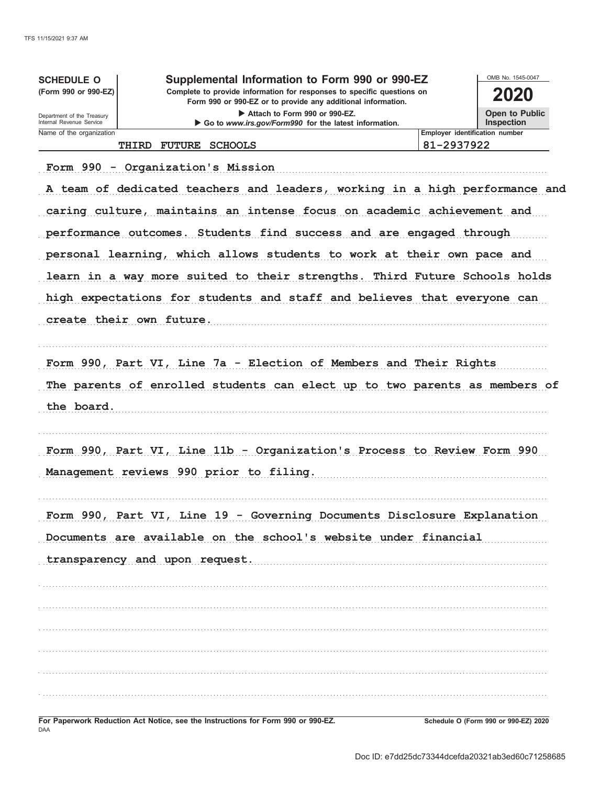|                                                      | Supplemental Information to Form 990 or 990-EZ                                                                                                            |  | OMB No. 1545-0047                          |  |  |  |  |
|------------------------------------------------------|-----------------------------------------------------------------------------------------------------------------------------------------------------------|--|--------------------------------------------|--|--|--|--|
| (Form 990 or 990-EZ)                                 | Complete to provide information for responses to specific questions on<br>Form 990 or 990-EZ or to provide any additional information.                    |  | 2020                                       |  |  |  |  |
| Department of the Treasury                           | Attach to Form 990 or 990-EZ.                                                                                                                             |  | <b>Open to Public</b><br><b>Inspection</b> |  |  |  |  |
| Internal Revenue Service<br>Name of the organization | $\triangleright$ Go to www.irs.gov/Form990 for the latest information.<br>Employer identification number<br>81-2937922<br><b>FUTURE</b><br><b>SCHOOLS</b> |  |                                            |  |  |  |  |
|                                                      | THIRD                                                                                                                                                     |  |                                            |  |  |  |  |
|                                                      | Form 990 - Organization's Mission                                                                                                                         |  |                                            |  |  |  |  |
|                                                      | A team of dedicated teachers and leaders, working in a high performance and                                                                               |  |                                            |  |  |  |  |
|                                                      | caring culture, maintains an intense focus on academic achievement and                                                                                    |  |                                            |  |  |  |  |
|                                                      | performance outcomes. Students find success and are engaged through                                                                                       |  |                                            |  |  |  |  |
|                                                      | personal learning, which allows students to work at their own pace and                                                                                    |  |                                            |  |  |  |  |
|                                                      | learn in a way more suited to their strengths. Third Future Schools holds                                                                                 |  |                                            |  |  |  |  |
|                                                      | high expectations for students and staff and believes that everyone can                                                                                   |  |                                            |  |  |  |  |
|                                                      | create their own future.                                                                                                                                  |  |                                            |  |  |  |  |
|                                                      |                                                                                                                                                           |  |                                            |  |  |  |  |
|                                                      |                                                                                                                                                           |  |                                            |  |  |  |  |
|                                                      | Form 990, Part VI, Line 7a - Election of Members and Their Rights                                                                                         |  |                                            |  |  |  |  |
|                                                      | The parents of enrolled students can elect up to two parents as members of                                                                                |  |                                            |  |  |  |  |
| the board.                                           |                                                                                                                                                           |  |                                            |  |  |  |  |
|                                                      |                                                                                                                                                           |  |                                            |  |  |  |  |
|                                                      |                                                                                                                                                           |  |                                            |  |  |  |  |
|                                                      | Form 990, Part VI, Line 11b - Organization's Process to Review Form 990                                                                                   |  |                                            |  |  |  |  |
|                                                      | Management reviews 990 prior to filing.                                                                                                                   |  |                                            |  |  |  |  |
|                                                      |                                                                                                                                                           |  |                                            |  |  |  |  |
|                                                      | Form 990, Part VI, Line 19 - Governing Documents Disclosure Explanation                                                                                   |  |                                            |  |  |  |  |
|                                                      | Documents are available on the school's website under financial                                                                                           |  |                                            |  |  |  |  |
|                                                      | transparency and upon request.                                                                                                                            |  |                                            |  |  |  |  |
|                                                      |                                                                                                                                                           |  |                                            |  |  |  |  |
|                                                      |                                                                                                                                                           |  |                                            |  |  |  |  |
|                                                      |                                                                                                                                                           |  |                                            |  |  |  |  |
|                                                      |                                                                                                                                                           |  |                                            |  |  |  |  |
|                                                      |                                                                                                                                                           |  |                                            |  |  |  |  |
|                                                      |                                                                                                                                                           |  |                                            |  |  |  |  |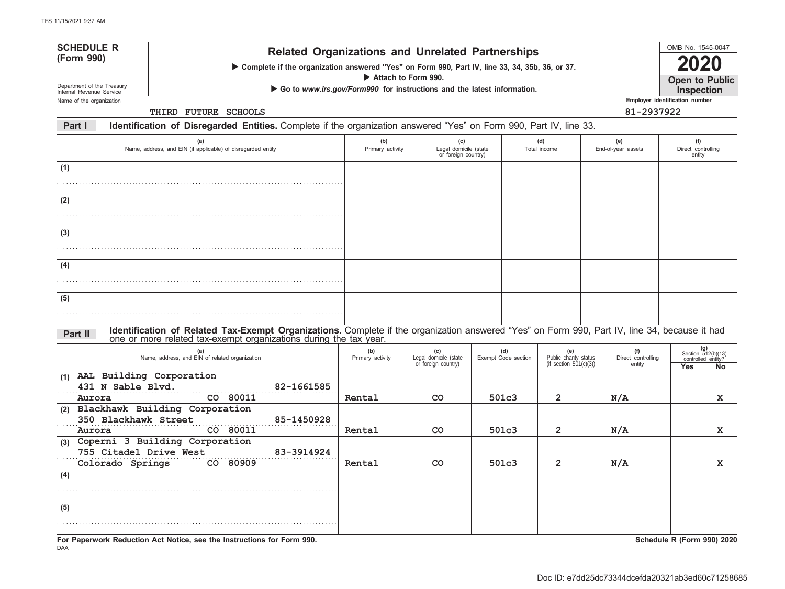DAA

| <b>SCHEDULE R</b><br>(Form 990)<br>Department of the Treasury<br>Internal Revenue Service | <b>Related Organizations and Unrelated Partnerships</b><br>> Complete if the organization answered "Yes" on Form 990, Part IV, line 33, 34, 35b, 36, or 37.<br>Attach to Form 990.<br>Go to www.irs.gov/Form990 for instructions and the latest information. |                         |                                                     |                            |                                                           |                                     |                                                     |                                                                |
|-------------------------------------------------------------------------------------------|--------------------------------------------------------------------------------------------------------------------------------------------------------------------------------------------------------------------------------------------------------------|-------------------------|-----------------------------------------------------|----------------------------|-----------------------------------------------------------|-------------------------------------|-----------------------------------------------------|----------------------------------------------------------------|
| Name of the organization                                                                  |                                                                                                                                                                                                                                                              |                         |                                                     |                            |                                                           |                                     | <b>Inspection</b><br>Employer identification number |                                                                |
| Part I                                                                                    | THIRD FUTURE SCHOOLS<br>Identification of Disregarded Entities. Complete if the organization answered "Yes" on Form 990, Part IV, line 33.                                                                                                                   |                         |                                                     |                            |                                                           | 81-2937922                          |                                                     |                                                                |
|                                                                                           | (a)<br>Name, address, and EIN (if applicable) of disregarded entity                                                                                                                                                                                          | (b)<br>Primary activity | (c)<br>Legal domicile (state<br>or foreign country) |                            | (d)<br>Total income                                       | (e)<br>End-of-year assets           | (f)<br>Direct controlling<br>entity                 |                                                                |
| (1)                                                                                       |                                                                                                                                                                                                                                                              |                         |                                                     |                            |                                                           |                                     |                                                     |                                                                |
| (2)                                                                                       |                                                                                                                                                                                                                                                              |                         |                                                     |                            |                                                           |                                     |                                                     |                                                                |
| (3)                                                                                       |                                                                                                                                                                                                                                                              |                         |                                                     |                            |                                                           |                                     |                                                     |                                                                |
|                                                                                           |                                                                                                                                                                                                                                                              |                         |                                                     |                            |                                                           |                                     |                                                     |                                                                |
| (4)                                                                                       |                                                                                                                                                                                                                                                              |                         |                                                     |                            |                                                           |                                     |                                                     |                                                                |
| (5)                                                                                       |                                                                                                                                                                                                                                                              |                         |                                                     |                            |                                                           |                                     |                                                     |                                                                |
| Part II                                                                                   | Identification of Related Tax-Exempt Organizations. Complete if the organization answered "Yes" on Form 990, Part IV, line 34, because it had<br>one or more related tax-exempt organizations during the tax year.                                           |                         |                                                     |                            |                                                           |                                     |                                                     |                                                                |
|                                                                                           | (a)<br>Name, address, and EIN of related organization                                                                                                                                                                                                        | (b)<br>Primary activity | (C)<br>Legal domicile (state<br>or foreign country) | (d)<br>Exempt Code section | (e)<br>Public charity status<br>(if section $501(c)(3)$ ) | (f)<br>Direct controlling<br>entity | Yes                                                 | $(g)$<br>Section 512(b)(13)<br>controlled entity?<br><b>No</b> |
| (1)<br>431 N Sable Blvd.<br>Aurora                                                        | AAL Building Corporation<br>82-1661585<br>CO 80011                                                                                                                                                                                                           | Rental                  | $\rm CO$                                            | 501c3                      | $\overline{2}$                                            | N/A                                 |                                                     | x                                                              |
| (2)<br>350 Blackhawk Street<br>Aurora                                                     | Blackhawk Building Corporation<br>85-1450928<br>CO 80011                                                                                                                                                                                                     | Rental                  | CO                                                  | 501c3                      | 2                                                         | N/A                                 |                                                     | x                                                              |
| 755 Citadel Drive West<br>Colorado Springs                                                | (3) Coperni 3 Building Corporation<br>83-3914924<br>CO 80909                                                                                                                                                                                                 | Rental                  | CO                                                  | 501c3                      | $\overline{2}$                                            | N/A                                 |                                                     | X                                                              |
| (4)                                                                                       |                                                                                                                                                                                                                                                              |                         |                                                     |                            |                                                           |                                     |                                                     |                                                                |
| (5)                                                                                       |                                                                                                                                                                                                                                                              |                         |                                                     |                            |                                                           |                                     |                                                     |                                                                |
|                                                                                           | For Paperwork Reduction Act Notice, see the Instructions for Form 990.                                                                                                                                                                                       |                         |                                                     |                            |                                                           |                                     | Schedule R (Form 990) 2020                          |                                                                |

Doc ID: e7dd25dc73344dcefda20321ab3ed60c71258685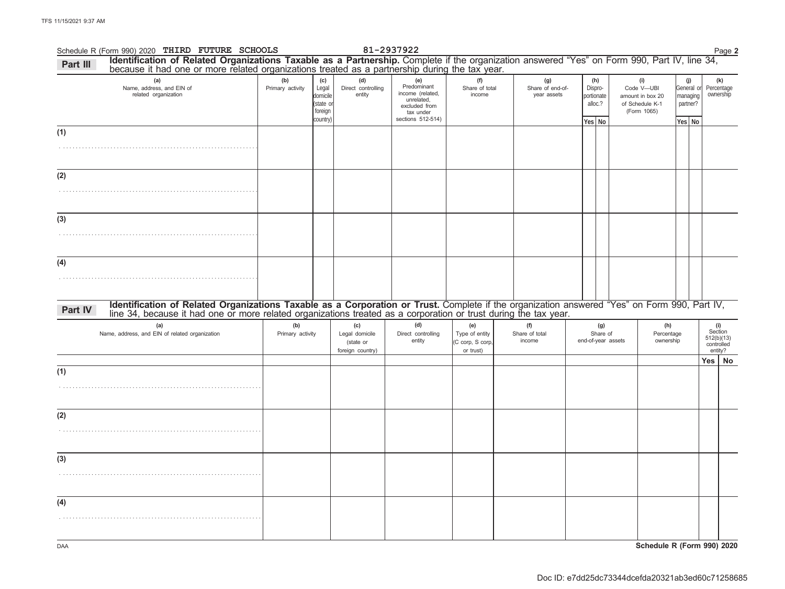DAA

|          | Schedule R (Form 990) 2020 THIRD FUTURE SCHOOLS                                                                                                                                                                                                                  |                         |                                                             |                                                        | 81-2937922                                                                                              |                                                        |                                        |                                                     |                    |                                                                         |                                                     | Page 2                                                |  |
|----------|------------------------------------------------------------------------------------------------------------------------------------------------------------------------------------------------------------------------------------------------------------------|-------------------------|-------------------------------------------------------------|--------------------------------------------------------|---------------------------------------------------------------------------------------------------------|--------------------------------------------------------|----------------------------------------|-----------------------------------------------------|--------------------|-------------------------------------------------------------------------|-----------------------------------------------------|-------------------------------------------------------|--|
| Part III | Identification of Related Organizations Taxable as a Partnership. Complete if the organization answered "Yes" on Form 990, Part IV, line 34, because it had one or more related organizations treated as a partnership during                                    |                         |                                                             |                                                        |                                                                                                         |                                                        |                                        |                                                     |                    |                                                                         |                                                     |                                                       |  |
|          | (a)<br>Name, address, and EIN of<br>related organization                                                                                                                                                                                                         | (b)<br>Primary activity | (c)<br>Legal<br>domicile<br>state or<br>foreign<br>:ountry) | (d)<br>Direct controlling<br>entity                    | (e)<br>Predominant<br>income (related,<br>unrelated,<br>excluded from<br>tax under<br>sections 512-514) | (f)<br>Share of total<br>income                        | (g)<br>Share of end-of-<br>year assets | (h)<br>Dispro-<br>portionate<br>alloc.?<br>Yes   No |                    | (i)<br>Code V-UBI<br>amount in box 20<br>of Schedule K-1<br>(Form 1065) | (j)<br>General or<br>managing<br>partner?<br>Yes No | (k)<br>Percentage<br>ownership                        |  |
| (1)      |                                                                                                                                                                                                                                                                  |                         |                                                             |                                                        |                                                                                                         |                                                        |                                        |                                                     |                    |                                                                         |                                                     |                                                       |  |
| (2)      |                                                                                                                                                                                                                                                                  |                         |                                                             |                                                        |                                                                                                         |                                                        |                                        |                                                     |                    |                                                                         |                                                     |                                                       |  |
| (3)      |                                                                                                                                                                                                                                                                  |                         |                                                             |                                                        |                                                                                                         |                                                        |                                        |                                                     |                    |                                                                         |                                                     |                                                       |  |
| (4)      |                                                                                                                                                                                                                                                                  |                         |                                                             |                                                        |                                                                                                         |                                                        |                                        |                                                     |                    |                                                                         |                                                     |                                                       |  |
| Part IV  | Identification of Related Organizations Taxable as a Corporation or Trust. Complete if the organization answered "Yes" on Form 990, Part IV,<br>line 34, because it had one or more related organizations treated as a corporation or trust during the tax year. |                         |                                                             |                                                        |                                                                                                         |                                                        |                                        |                                                     |                    |                                                                         |                                                     |                                                       |  |
|          | (a)<br>Name, address, and EIN of related organization                                                                                                                                                                                                            | (b)<br>Primary activity |                                                             | (c)<br>Legal domicile<br>(state or<br>foreign country) | (d)<br>Direct controlling<br>entity                                                                     | (e)<br>Type of entity<br>(C corp, S corp,<br>or trust) | (f)<br>Share of total<br>income        | (g)<br>Share of                                     | end-of-year assets | (h)<br>Percentage<br>ownership                                          |                                                     | (i)<br>Section<br>512(b)(13)<br>controlled<br>entity? |  |
| (1)      |                                                                                                                                                                                                                                                                  |                         |                                                             |                                                        |                                                                                                         |                                                        |                                        |                                                     |                    |                                                                         |                                                     | Yes   No                                              |  |
| (2)      |                                                                                                                                                                                                                                                                  |                         |                                                             |                                                        |                                                                                                         |                                                        |                                        |                                                     |                    |                                                                         |                                                     |                                                       |  |
| (3)      |                                                                                                                                                                                                                                                                  |                         |                                                             |                                                        |                                                                                                         |                                                        |                                        |                                                     |                    |                                                                         |                                                     |                                                       |  |
| (4)      |                                                                                                                                                                                                                                                                  |                         |                                                             |                                                        |                                                                                                         |                                                        |                                        |                                                     |                    |                                                                         |                                                     |                                                       |  |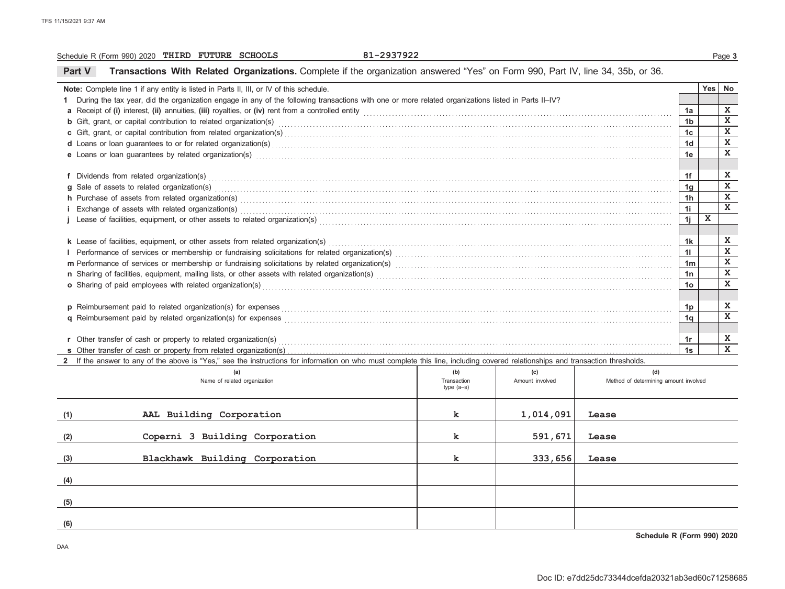|        | 81-2937922<br>Schedule R (Form 990) 2020 THIRD FUTURE SCHOOLS                                                                                                                                                                    |                             |                 |                                       |                |   | Page 3       |
|--------|----------------------------------------------------------------------------------------------------------------------------------------------------------------------------------------------------------------------------------|-----------------------------|-----------------|---------------------------------------|----------------|---|--------------|
| Part V | Transactions With Related Organizations. Complete if the organization answered "Yes" on Form 990, Part IV, line 34, 35b, or 36.                                                                                                  |                             |                 |                                       |                |   |              |
|        | Note: Complete line 1 if any entity is listed in Parts II, III, or IV of this schedule.                                                                                                                                          |                             |                 |                                       |                |   | Yes No       |
|        | During the tax year, did the organization engage in any of the following transactions with one or more related organizations listed in Parts II–IV?                                                                              |                             |                 |                                       |                |   |              |
|        |                                                                                                                                                                                                                                  |                             |                 |                                       | 1a             |   | $\mathbf{x}$ |
|        |                                                                                                                                                                                                                                  |                             |                 |                                       | 1 <sub>b</sub> |   | $\mathbf{x}$ |
|        | c Gift, grant, or capital contribution from related organization(s) encourance contains and contained a substantial contribution from related organization(s) encourance contains and containing of Gift, grant, or capital co   |                             |                 |                                       | 1c             |   | $\mathbf{x}$ |
|        | d Loans or loan guarantees to or for related organization(s) encourance contains and contained a contact the contact or for related organization(s) encourance contact the contact of loans or loans or loans and guarantees t   |                             |                 |                                       | 1 <sub>d</sub> |   | $\mathbf{x}$ |
|        | e Loans or loan guarantees by related organization(s) encourance contract the contract of contract or loan guarantees by related organization(s)                                                                                 |                             |                 |                                       | 1e             |   | $\mathbf{x}$ |
|        |                                                                                                                                                                                                                                  |                             |                 |                                       | 1f             |   | $\mathbf{x}$ |
|        | g Sale of assets to related organization(s)<br>interaction continuous continuous continuous continuous contractions are the contract of the contract of the contract of the contract of the contract of the contract of the cont |                             |                 |                                       | 1q             |   | $\mathbf{x}$ |
|        | h Purchase of assets from related organization(s) encourance contains a substantial container and a set of assets from related organization(s)                                                                                   |                             |                 |                                       | 1 <sub>h</sub> |   | $\mathbf{x}$ |
|        |                                                                                                                                                                                                                                  |                             |                 |                                       | 1i             |   | $\mathbf{x}$ |
|        |                                                                                                                                                                                                                                  |                             |                 |                                       | 11             | X |              |
|        | k Lease of facilities, equipment, or other assets from related organization(s)                                                                                                                                                   |                             |                 |                                       | 1k             |   | X            |
|        |                                                                                                                                                                                                                                  |                             |                 |                                       | 11             |   | $\mathbf{x}$ |
|        |                                                                                                                                                                                                                                  |                             |                 |                                       | 1 <sub>m</sub> |   | $\mathbf{x}$ |
|        |                                                                                                                                                                                                                                  |                             |                 |                                       | 1n             |   | $\mathbf{x}$ |
|        | o Sharing of paid employees with related organization(s) encourance contains an account of the state of paid employees with related organization(s)                                                                              |                             |                 |                                       | 1o             |   | $\mathbf{x}$ |
|        |                                                                                                                                                                                                                                  |                             |                 |                                       |                |   |              |
|        |                                                                                                                                                                                                                                  |                             |                 |                                       | 1 <sub>p</sub> |   | $\mathbf{x}$ |
|        |                                                                                                                                                                                                                                  |                             |                 |                                       | 1 <sub>q</sub> |   | $\mathbf{x}$ |
|        |                                                                                                                                                                                                                                  |                             |                 |                                       |                |   |              |
|        |                                                                                                                                                                                                                                  |                             |                 |                                       | 1r             |   | $\mathbf{x}$ |
|        |                                                                                                                                                                                                                                  |                             |                 |                                       | 1s             |   | $\mathbf{x}$ |
|        | 2 If the answer to any of the above is "Yes," see the instructions for information on who must complete this line, including covered relationships and transaction thresholds.                                                   |                             |                 |                                       |                |   |              |
|        | (a)                                                                                                                                                                                                                              | (b)                         | (c)             | (d)                                   |                |   |              |
|        | Name of related organization                                                                                                                                                                                                     | Transaction<br>type $(a-s)$ | Amount involved | Method of determining amount involved |                |   |              |
|        |                                                                                                                                                                                                                                  |                             |                 |                                       |                |   |              |
| (1)    | AAL Building Corporation                                                                                                                                                                                                         | k                           | 1,014,091       | Lease                                 |                |   |              |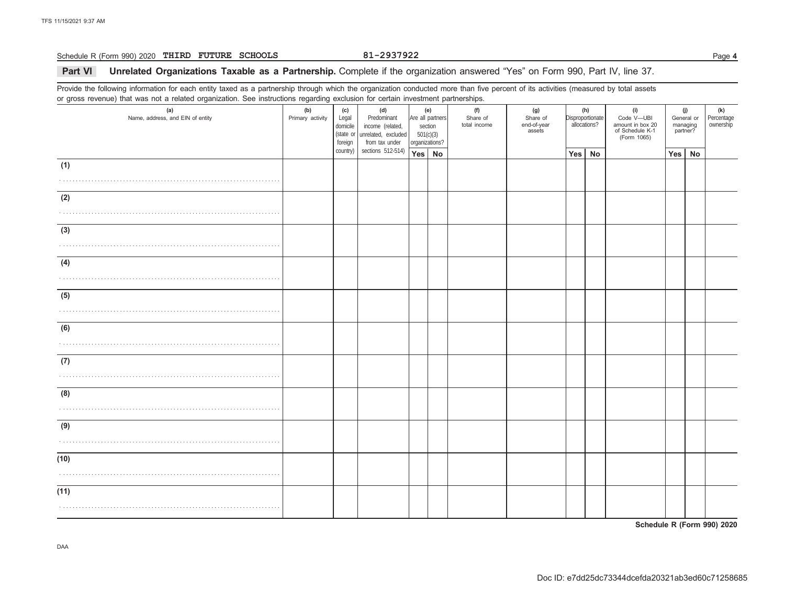## Schedule R (Form 990) 2020 Page **4 THIRD FUTURE SCHOOLS 81-2937922**

### 81-2937922

## **Part VI Unrelated Organizations Taxable as a Partnership.** Complete if the organization answered "Yes" on Form 990, Part IV, line 37.

Provide the following information for each entity taxed as a partnership through which the organization conducted more than five percent of its activities (measured by total assets or gross revenue) that was not a related organization. See instructions regarding exclusion for certain investment partnerships.

| $\tilde{\phantom{a}}$<br>ັ<br>(a)<br>Name, address, and EIN of entity | ັ<br>(b)<br>Primary activity | (c)<br>Legal<br>domicile<br>(state or<br>foreign | (d)<br>Predominant<br>income (related,<br>unrelated, excluded<br>from tax under | (e)<br>Are all partners<br>section<br>501(c)(3)<br>organizations? | (f)<br>Share of<br>total income | (g)<br>Share of<br>end-of-year<br>assets |     | (h)<br>Disproportionate<br>allocations? | (i)<br>Code V-UBI<br>amount in box 20<br>of Schedule K-1<br>(Form 1065) | (j)<br>managing<br>partner? | General or | (k)<br>Percentage<br>ownership |
|-----------------------------------------------------------------------|------------------------------|--------------------------------------------------|---------------------------------------------------------------------------------|-------------------------------------------------------------------|---------------------------------|------------------------------------------|-----|-----------------------------------------|-------------------------------------------------------------------------|-----------------------------|------------|--------------------------------|
|                                                                       |                              | country)                                         | sections 512-514)                                                               | $Yes \mid No$                                                     |                                 |                                          | Yes | No                                      |                                                                         | Yes                         | No         |                                |
| (1)                                                                   |                              |                                                  |                                                                                 |                                                                   |                                 |                                          |     |                                         |                                                                         |                             |            |                                |
|                                                                       |                              |                                                  |                                                                                 |                                                                   |                                 |                                          |     |                                         |                                                                         |                             |            |                                |
| (2)                                                                   |                              |                                                  |                                                                                 |                                                                   |                                 |                                          |     |                                         |                                                                         |                             |            |                                |
|                                                                       |                              |                                                  |                                                                                 |                                                                   |                                 |                                          |     |                                         |                                                                         |                             |            |                                |
| (3)                                                                   |                              |                                                  |                                                                                 |                                                                   |                                 |                                          |     |                                         |                                                                         |                             |            |                                |
|                                                                       |                              |                                                  |                                                                                 |                                                                   |                                 |                                          |     |                                         |                                                                         |                             |            |                                |
|                                                                       |                              |                                                  |                                                                                 |                                                                   |                                 |                                          |     |                                         |                                                                         |                             |            |                                |
| (4)                                                                   |                              |                                                  |                                                                                 |                                                                   |                                 |                                          |     |                                         |                                                                         |                             |            |                                |
|                                                                       |                              |                                                  |                                                                                 |                                                                   |                                 |                                          |     |                                         |                                                                         |                             |            |                                |
| (5)                                                                   |                              |                                                  |                                                                                 |                                                                   |                                 |                                          |     |                                         |                                                                         |                             |            |                                |
|                                                                       |                              |                                                  |                                                                                 |                                                                   |                                 |                                          |     |                                         |                                                                         |                             |            |                                |
| (6)                                                                   |                              |                                                  |                                                                                 |                                                                   |                                 |                                          |     |                                         |                                                                         |                             |            |                                |
|                                                                       |                              |                                                  |                                                                                 |                                                                   |                                 |                                          |     |                                         |                                                                         |                             |            |                                |
| (7)                                                                   |                              |                                                  |                                                                                 |                                                                   |                                 |                                          |     |                                         |                                                                         |                             |            |                                |
|                                                                       |                              |                                                  |                                                                                 |                                                                   |                                 |                                          |     |                                         |                                                                         |                             |            |                                |
|                                                                       |                              |                                                  |                                                                                 |                                                                   |                                 |                                          |     |                                         |                                                                         |                             |            |                                |
| (8)                                                                   |                              |                                                  |                                                                                 |                                                                   |                                 |                                          |     |                                         |                                                                         |                             |            |                                |
|                                                                       |                              |                                                  |                                                                                 |                                                                   |                                 |                                          |     |                                         |                                                                         |                             |            |                                |
| (9)                                                                   |                              |                                                  |                                                                                 |                                                                   |                                 |                                          |     |                                         |                                                                         |                             |            |                                |
|                                                                       |                              |                                                  |                                                                                 |                                                                   |                                 |                                          |     |                                         |                                                                         |                             |            |                                |
| (10)                                                                  |                              |                                                  |                                                                                 |                                                                   |                                 |                                          |     |                                         |                                                                         |                             |            |                                |
|                                                                       |                              |                                                  |                                                                                 |                                                                   |                                 |                                          |     |                                         |                                                                         |                             |            |                                |
| (11)                                                                  |                              |                                                  |                                                                                 |                                                                   |                                 |                                          |     |                                         |                                                                         |                             |            |                                |
|                                                                       |                              |                                                  |                                                                                 |                                                                   |                                 |                                          |     |                                         |                                                                         |                             |            |                                |
|                                                                       |                              |                                                  |                                                                                 |                                                                   |                                 |                                          |     |                                         |                                                                         |                             |            |                                |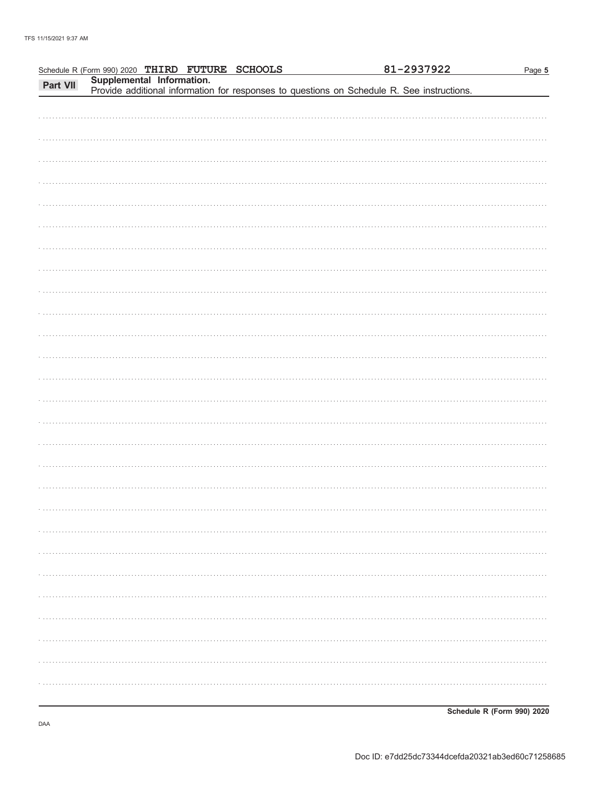| Schedule R (Form 990) 2020 THIRD FUTURE SCHOOLS 81-2937922<br>Part VII Supplemental Information.<br>Provide additional information for responses to questions on Schedule R. See instructions. |  |  |  | 81-2937922 | Page 5 |
|------------------------------------------------------------------------------------------------------------------------------------------------------------------------------------------------|--|--|--|------------|--------|
|                                                                                                                                                                                                |  |  |  |            |        |
|                                                                                                                                                                                                |  |  |  |            |        |
|                                                                                                                                                                                                |  |  |  |            |        |
|                                                                                                                                                                                                |  |  |  |            |        |
|                                                                                                                                                                                                |  |  |  |            |        |
|                                                                                                                                                                                                |  |  |  |            |        |
|                                                                                                                                                                                                |  |  |  |            |        |
|                                                                                                                                                                                                |  |  |  |            |        |
|                                                                                                                                                                                                |  |  |  |            |        |
|                                                                                                                                                                                                |  |  |  |            |        |
|                                                                                                                                                                                                |  |  |  |            |        |
|                                                                                                                                                                                                |  |  |  |            |        |
|                                                                                                                                                                                                |  |  |  |            |        |
|                                                                                                                                                                                                |  |  |  |            |        |
|                                                                                                                                                                                                |  |  |  |            |        |
|                                                                                                                                                                                                |  |  |  |            |        |
|                                                                                                                                                                                                |  |  |  |            |        |
|                                                                                                                                                                                                |  |  |  |            |        |
|                                                                                                                                                                                                |  |  |  |            |        |
|                                                                                                                                                                                                |  |  |  |            |        |
|                                                                                                                                                                                                |  |  |  |            |        |
|                                                                                                                                                                                                |  |  |  |            |        |
|                                                                                                                                                                                                |  |  |  |            |        |
|                                                                                                                                                                                                |  |  |  |            |        |
|                                                                                                                                                                                                |  |  |  |            |        |
|                                                                                                                                                                                                |  |  |  |            |        |
|                                                                                                                                                                                                |  |  |  |            |        |
|                                                                                                                                                                                                |  |  |  |            |        |
|                                                                                                                                                                                                |  |  |  |            |        |
|                                                                                                                                                                                                |  |  |  |            |        |
|                                                                                                                                                                                                |  |  |  |            |        |
|                                                                                                                                                                                                |  |  |  |            |        |
|                                                                                                                                                                                                |  |  |  |            |        |